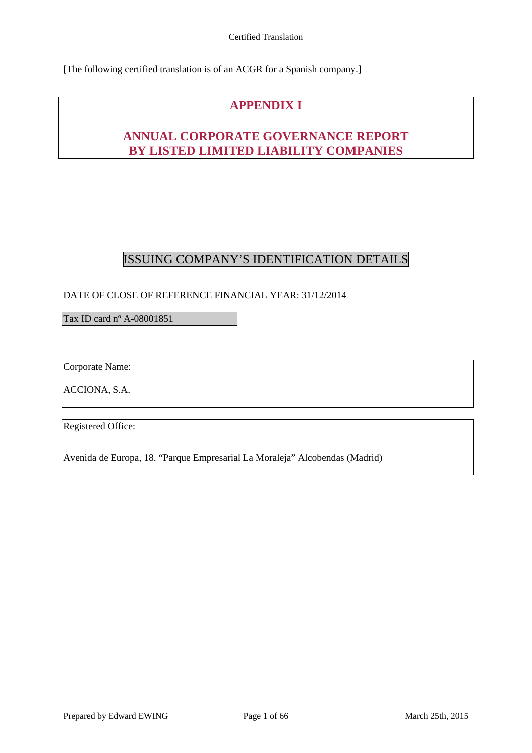[The following certified translation is of an ACGR for a Spanish company.]

# **APPENDIX I**

# **ANNUAL CORPORATE GOVERNANCE REPORT BY LISTED LIMITED LIABILITY COMPANIES**

# ISSUING COMPANY'S IDENTIFICATION DETAILS

# DATE OF CLOSE OF REFERENCE FINANCIAL YEAR: 31/12/2014

Tax ID card nº A-08001851

Corporate Name:

ACCIONA, S.A.

Registered Office:

Avenida de Europa, 18. "Parque Empresarial La Moraleja" Alcobendas (Madrid)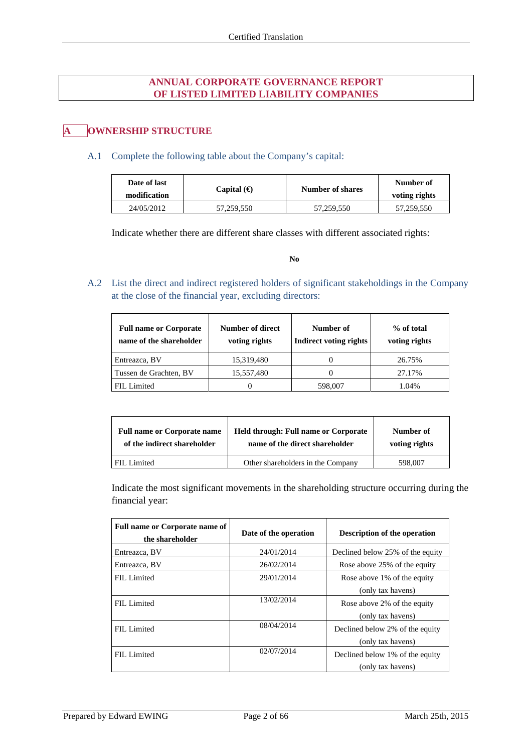# **ANNUAL CORPORATE GOVERNANCE REPORT OF LISTED LIMITED LIABILITY COMPANIES**

# **A OWNERSHIP STRUCTURE**

### A.1 Complete the following table about the Company's capital:

| Date of last<br>modification | Capital $(\bigoplus$ | Number of shares | Number of<br>voting rights |
|------------------------------|----------------------|------------------|----------------------------|
| 24/05/2012                   | 57,259,550           | 57,259,550       | 57,259,550                 |

Indicate whether there are different share classes with different associated rights:

**No**

A.2 List the direct and indirect registered holders of significant stakeholdings in the Company at the close of the financial year, excluding directors:

| <b>Full name or Corporate</b><br>name of the shareholder | Number of direct<br>voting rights | Number of<br><b>Indirect voting rights</b> | % of total<br>voting rights |
|----------------------------------------------------------|-----------------------------------|--------------------------------------------|-----------------------------|
| Entreazca, BV                                            | 15,319,480                        |                                            | 26.75%                      |
| Tussen de Grachten, BV                                   | 15,557,480                        |                                            | 27.17%                      |
| FIL Limited                                              |                                   | 598,007                                    | 1.04%                       |

| <b>Full name or Corporate name</b> | <b>Held through: Full name or Corporate</b> | Number of     |
|------------------------------------|---------------------------------------------|---------------|
| of the indirect shareholder        | name of the direct shareholder              | voting rights |
| FIL Limited                        | Other shareholders in the Company           | 598,007       |

Indicate the most significant movements in the shareholding structure occurring during the financial year:

| <b>Full name or Corporate name of</b><br>the shareholder | Date of the operation | <b>Description of the operation</b>                  |
|----------------------------------------------------------|-----------------------|------------------------------------------------------|
| Entreazca, BV                                            | 24/01/2014            | Declined below 25% of the equity                     |
| Entreazca, BV                                            | 26/02/2014            | Rose above 25% of the equity                         |
| FIL Limited                                              | 29/01/2014            | Rose above 1% of the equity<br>(only tax havens)     |
| FIL Limited                                              | 13/02/2014            | Rose above 2% of the equity<br>(only tax havens)     |
| FIL Limited                                              | 08/04/2014            | Declined below 2% of the equity<br>(only tax havens) |
| FIL Limited                                              | 02/07/2014            | Declined below 1% of the equity<br>(only tax havens) |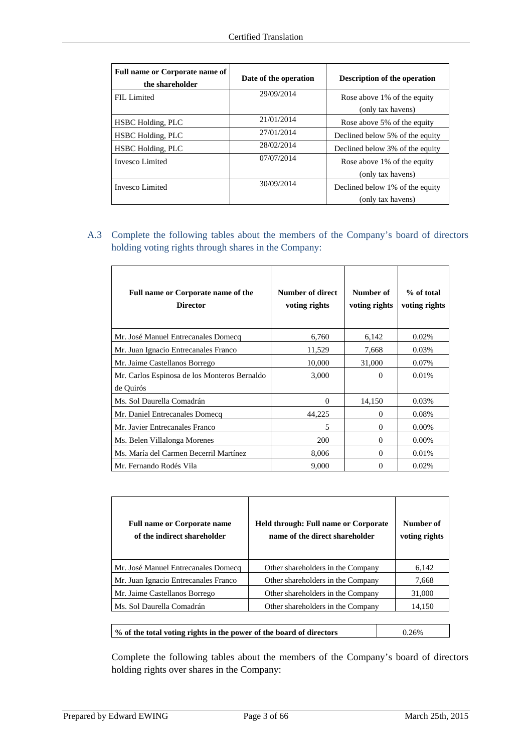| Full name or Corporate name of<br>the shareholder | Date of the operation | <b>Description of the operation</b> |
|---------------------------------------------------|-----------------------|-------------------------------------|
| FIL Limited                                       | 29/09/2014            | Rose above 1% of the equity         |
|                                                   |                       | (only tax havens)                   |
| <b>HSBC</b> Holding, PLC                          | 21/01/2014            | Rose above 5% of the equity         |
| <b>HSBC</b> Holding, PLC                          | 27/01/2014            | Declined below 5% of the equity     |
| <b>HSBC</b> Holding, PLC                          | 28/02/2014            | Declined below 3% of the equity     |
| Invesco Limited                                   | 07/07/2014            | Rose above 1% of the equity         |
|                                                   |                       | (only tax havens)                   |
| Invesco Limited                                   | 30/09/2014            | Declined below 1% of the equity     |
|                                                   |                       | (only tax havens)                   |

A.3 Complete the following tables about the members of the Company's board of directors holding voting rights through shares in the Company:

| <b>Full name or Corporate name of the</b><br><b>Director</b> | Number of direct<br>voting rights | Number of<br>voting rights | % of total<br>voting rights |
|--------------------------------------------------------------|-----------------------------------|----------------------------|-----------------------------|
| Mr. José Manuel Entrecanales Domecq                          | 6,760                             | 6,142                      | 0.02%                       |
| Mr. Juan Ignacio Entrecanales Franco                         | 11,529                            | 7,668                      | 0.03%                       |
| Mr. Jaime Castellanos Borrego                                | 10,000                            | 31,000                     | 0.07%                       |
| Mr. Carlos Espinosa de los Monteros Bernaldo<br>de Quirós    | 3,000                             | $\Omega$                   | 0.01%                       |
| Ms. Sol Daurella Comadrán                                    | $\Omega$                          | 14,150                     | 0.03%                       |
| Mr. Daniel Entrecanales Domecq                               | 44,225                            | $\Omega$                   | 0.08%                       |
| Mr. Javier Entrecanales Franco                               | 5                                 | $\Omega$                   | $0.00\%$                    |
| Ms. Belen Villalonga Morenes                                 | 200                               | $\Omega$                   | $0.00\%$                    |
| Ms. María del Carmen Becerril Martínez                       | 8,006                             | $\Omega$                   | 0.01%                       |
| Mr. Fernando Rodés Vila                                      | 9,000                             | $\Omega$                   | 0.02%                       |

| <b>Full name or Corporate name</b><br>of the indirect shareholder | <b>Held through: Full name or Corporate</b><br>name of the direct shareholder | Number of<br>voting rights |
|-------------------------------------------------------------------|-------------------------------------------------------------------------------|----------------------------|
| Mr. José Manuel Entrecanales Domecq                               | Other shareholders in the Company                                             | 6.142                      |
| Mr. Juan Ignacio Entrecanales Franco                              | Other shareholders in the Company                                             | 7.668                      |
| Mr. Jaime Castellanos Borrego                                     | Other shareholders in the Company                                             | 31,000                     |
| Ms. Sol Daurella Comadrán                                         | Other shareholders in the Company                                             | 14.150                     |

| % of the total voting rights in the power of the board of directors | 0.26% |
|---------------------------------------------------------------------|-------|
|                                                                     |       |

Complete the following tables about the members of the Company's board of directors holding rights over shares in the Company:

 $\overline{\phantom{a}}$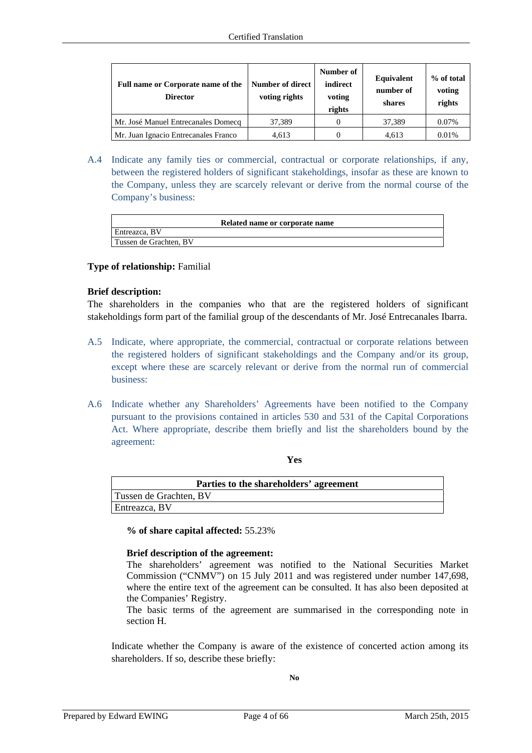| Full name or Corporate name of the<br><b>Director</b> | Number of direct<br>voting rights | Number of<br>indirect<br>voting<br>rights | Equivalent<br>number of<br>shares | % of total<br>voting<br>rights |
|-------------------------------------------------------|-----------------------------------|-------------------------------------------|-----------------------------------|--------------------------------|
| Mr. José Manuel Entrecanales Domecq                   | 37,389                            |                                           | 37.389                            | 0.07%                          |
| Mr. Juan Ignacio Entrecanales Franco                  | 4.613                             |                                           | 4.613                             | 0.01%                          |

A.4 Indicate any family ties or commercial, contractual or corporate relationships, if any, between the registered holders of significant stakeholdings, insofar as these are known to the Company, unless they are scarcely relevant or derive from the normal course of the Company's business:

| Entreazca, BV |                        | Related name or corporate name |
|---------------|------------------------|--------------------------------|
|               |                        |                                |
|               | Tussen de Grachten, BV |                                |

### **Type of relationship:** Familial

### **Brief description:**

The shareholders in the companies who that are the registered holders of significant stakeholdings form part of the familial group of the descendants of Mr. José Entrecanales Ibarra.

- A.5 Indicate, where appropriate, the commercial, contractual or corporate relations between the registered holders of significant stakeholdings and the Company and/or its group, except where these are scarcely relevant or derive from the normal run of commercial business:
- A.6 Indicate whether any Shareholders' Agreements have been notified to the Company pursuant to the provisions contained in articles 530 and 531 of the Capital Corporations Act. Where appropriate, describe them briefly and list the shareholders bound by the agreement:

### **Yes**

| Parties to the shareholders' agreement |
|----------------------------------------|
| Tussen de Grachten, BV                 |
| Entreazca, BV                          |

**% of share capital affected:** 55.23%

### **Brief description of the agreement:**

The shareholders' agreement was notified to the National Securities Market Commission ("CNMV") on 15 July 2011 and was registered under number 147,698, where the entire text of the agreement can be consulted. It has also been deposited at the Companies' Registry.

The basic terms of the agreement are summarised in the corresponding note in section H.

Indicate whether the Company is aware of the existence of concerted action among its shareholders. If so, describe these briefly: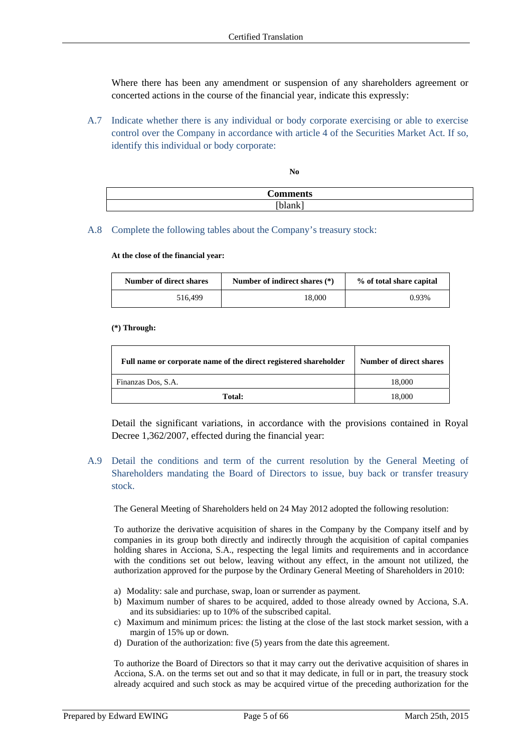Where there has been any amendment or suspension of any shareholders agreement or concerted actions in the course of the financial year, indicate this expressly:

A.7 Indicate whether there is any individual or body corporate exercising or able to exercise control over the Company in accordance with article 4 of the Securities Market Act. If so, identify this individual or body corporate:

**No** 

| `ommer<br>LЭ |
|--------------|
| $\mathbf -$  |

A.8 Complete the following tables about the Company's treasury stock:

**At the close of the financial year:** 

| Number of direct shares | Number of indirect shares (*) | % of total share capital |
|-------------------------|-------------------------------|--------------------------|
| 516,499                 | 18.000                        | 0.93%                    |

### **(\*) Through:**

| Full name or corporate name of the direct registered shareholder | <b>Number of direct shares</b> |
|------------------------------------------------------------------|--------------------------------|
| Finanzas Dos, S.A.                                               | 18,000                         |
| Total:                                                           | 18,000                         |

Detail the significant variations, in accordance with the provisions contained in Royal Decree 1,362/2007, effected during the financial year:

A.9 Detail the conditions and term of the current resolution by the General Meeting of Shareholders mandating the Board of Directors to issue, buy back or transfer treasury stock.

The General Meeting of Shareholders held on 24 May 2012 adopted the following resolution:

To authorize the derivative acquisition of shares in the Company by the Company itself and by companies in its group both directly and indirectly through the acquisition of capital companies holding shares in Acciona, S.A., respecting the legal limits and requirements and in accordance with the conditions set out below, leaving without any effect, in the amount not utilized, the authorization approved for the purpose by the Ordinary General Meeting of Shareholders in 2010:

- a) Modality: sale and purchase, swap, loan or surrender as payment.
- b) Maximum number of shares to be acquired, added to those already owned by Acciona, S.A. and its subsidiaries: up to 10% of the subscribed capital.
- c) Maximum and minimum prices: the listing at the close of the last stock market session, with a margin of 15% up or down.
- d) Duration of the authorization: five (5) years from the date this agreement.

To authorize the Board of Directors so that it may carry out the derivative acquisition of shares in Acciona, S.A. on the terms set out and so that it may dedicate, in full or in part, the treasury stock already acquired and such stock as may be acquired virtue of the preceding authorization for the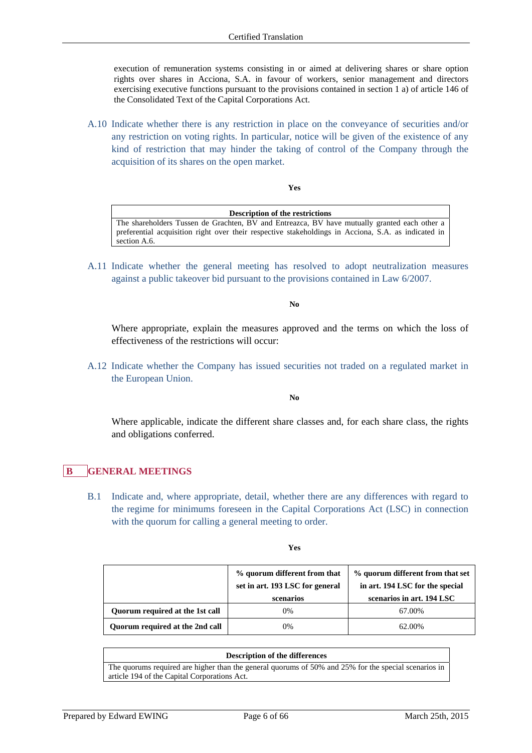execution of remuneration systems consisting in or aimed at delivering shares or share option rights over shares in Acciona, S.A. in favour of workers, senior management and directors exercising executive functions pursuant to the provisions contained in section 1 a) of article 146 of the Consolidated Text of the Capital Corporations Act.

A.10 Indicate whether there is any restriction in place on the conveyance of securities and/or any restriction on voting rights. In particular, notice will be given of the existence of any kind of restriction that may hinder the taking of control of the Company through the acquisition of its shares on the open market.

#### **Yes**

**Description of the restrictions** The shareholders Tussen de Grachten, BV and Entreazca, BV have mutually granted each other a preferential acquisition right over their respective stakeholdings in Acciona, S.A. as indicated in section A.6.

A.11 Indicate whether the general meeting has resolved to adopt neutralization measures against a public takeover bid pursuant to the provisions contained in Law 6/2007.

**No** 

Where appropriate, explain the measures approved and the terms on which the loss of effectiveness of the restrictions will occur:

A.12 Indicate whether the Company has issued securities not traded on a regulated market in the European Union.

**No** 

Where applicable, indicate the different share classes and, for each share class, the rights and obligations conferred.

# **B GENERAL MEETINGS**

B.1 Indicate and, where appropriate, detail, whether there are any differences with regard to the regime for minimums foreseen in the Capital Corporations Act (LSC) in connection with the quorum for calling a general meeting to order.

|                                 | % quorum different from that<br>set in art. 193 LSC for general<br>scenarios | % quorum different from that set<br>in art. 194 LSC for the special<br>scenarios in art. 194 LSC |
|---------------------------------|------------------------------------------------------------------------------|--------------------------------------------------------------------------------------------------|
| Ouorum required at the 1st call | 0%                                                                           | 67.00%                                                                                           |
| Quorum required at the 2nd call | 0%                                                                           | 62.00%                                                                                           |

### **Description of the differences**

The quorums required are higher than the general quorums of 50% and 25% for the special scenarios in article 194 of the Capital Corporations Act.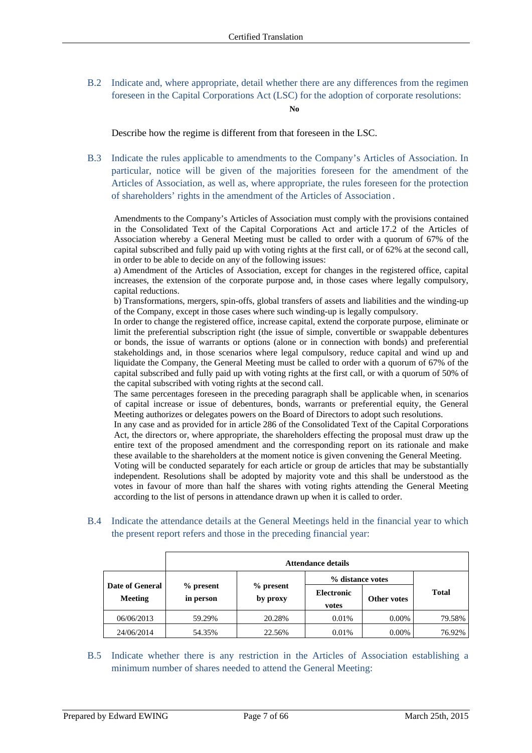B.2 Indicate and, where appropriate, detail whether there are any differences from the regimen foreseen in the Capital Corporations Act (LSC) for the adoption of corporate resolutions:

### **No**

Describe how the regime is different from that foreseen in the LSC.

B.3 Indicate the rules applicable to amendments to the Company's Articles of Association. In particular, notice will be given of the majorities foreseen for the amendment of the Articles of Association, as well as, where appropriate, the rules foreseen for the protection of shareholders' rights in the amendment of the Articles of Association .

Amendments to the Company's Articles of Association must comply with the provisions contained in the Consolidated Text of the Capital Corporations Act and article 17.2 of the Articles of Association whereby a General Meeting must be called to order with a quorum of 67% of the capital subscribed and fully paid up with voting rights at the first call, or of 62% at the second call, in order to be able to decide on any of the following issues:

a) Amendment of the Articles of Association, except for changes in the registered office, capital increases, the extension of the corporate purpose and, in those cases where legally compulsory, capital reductions.

b) Transformations, mergers, spin-offs, global transfers of assets and liabilities and the winding-up of the Company, except in those cases where such winding-up is legally compulsory.

In order to change the registered office, increase capital, extend the corporate purpose, eliminate or limit the preferential subscription right (the issue of simple, convertible or swappable debentures or bonds, the issue of warrants or options (alone or in connection with bonds) and preferential stakeholdings and, in those scenarios where legal compulsory, reduce capital and wind up and liquidate the Company, the General Meeting must be called to order with a quorum of 67% of the capital subscribed and fully paid up with voting rights at the first call, or with a quorum of 50% of the capital subscribed with voting rights at the second call.

The same percentages foreseen in the preceding paragraph shall be applicable when, in scenarios of capital increase or issue of debentures, bonds, warrants or preferential equity, the General Meeting authorizes or delegates powers on the Board of Directors to adopt such resolutions.

In any case and as provided for in article 286 of the Consolidated Text of the Capital Corporations Act, the directors or, where appropriate, the shareholders effecting the proposal must draw up the entire text of the proposed amendment and the corresponding report on its rationale and make these available to the shareholders at the moment notice is given convening the General Meeting.

Voting will be conducted separately for each article or group de articles that may be substantially independent. Resolutions shall be adopted by majority vote and this shall be understood as the votes in favour of more than half the shares with voting rights attending the General Meeting according to the list of persons in attendance drawn up when it is called to order.

B.4 Indicate the attendance details at the General Meetings held in the financial year to which the present report refers and those in the preceding financial year:

|                                   | <b>Attendance details</b> |                       |                            |             |              |
|-----------------------------------|---------------------------|-----------------------|----------------------------|-------------|--------------|
|                                   |                           |                       | % distance votes           |             |              |
| Date of General<br><b>Meeting</b> | $%$ present<br>in person  | % present<br>by proxy | <b>Electronic</b><br>votes | Other votes | <b>Total</b> |
| 06/06/2013                        | 59.29%                    | 20.28%                | 0.01%                      | $0.00\%$    | 79.58%       |
| 24/06/2014                        | 54.35%                    | 22.56%                | 0.01%                      | $0.00\%$    | 76.92%       |

B.5 Indicate whether there is any restriction in the Articles of Association establishing a minimum number of shares needed to attend the General Meeting: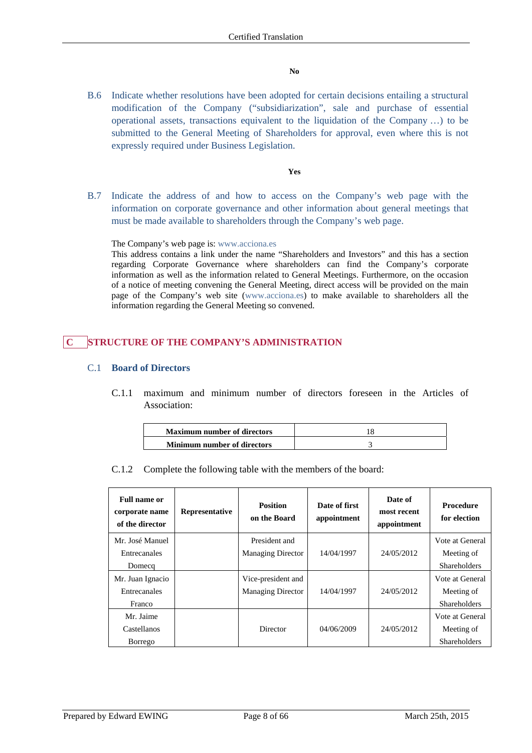### **No**

B.6 Indicate whether resolutions have been adopted for certain decisions entailing a structural modification of the Company ("subsidiarization", sale and purchase of essential operational assets, transactions equivalent to the liquidation of the Company …) to be submitted to the General Meeting of Shareholders for approval, even where this is not expressly required under Business Legislation.

### **Yes**

B.7 Indicate the address of and how to access on the Company's web page with the information on corporate governance and other information about general meetings that must be made available to shareholders through the Company's web page.

### The Company's web page is: www.acciona.es

This address contains a link under the name "Shareholders and Investors" and this has a section regarding Corporate Governance where shareholders can find the Company's corporate information as well as the information related to General Meetings. Furthermore, on the occasion of a notice of meeting convening the General Meeting, direct access will be provided on the main page of the Company's web site (www.acciona.es) to make available to shareholders all the information regarding the General Meeting so convened.

# **C STRUCTURE OF THE COMPANY'S ADMINISTRATION**

### C.1 **Board of Directors**

C.1.1 maximum and minimum number of directors foreseen in the Articles of Association:

| <b>Maximum number of directors</b> |  |
|------------------------------------|--|
| <b>Minimum number of directors</b> |  |

C.1.2 Complete the following table with the members of the board:

| <b>Full name or</b><br>corporate name<br>of the director | Representative | <b>Position</b><br>on the Board | Date of first<br>appointment | Date of<br>most recent<br>appointment | <b>Procedure</b><br>for election |
|----------------------------------------------------------|----------------|---------------------------------|------------------------------|---------------------------------------|----------------------------------|
| Mr. José Manuel                                          |                | President and                   |                              |                                       | Vote at General                  |
| Entrecanales                                             |                | <b>Managing Director</b>        | 14/04/1997                   | 24/05/2012                            | Meeting of                       |
| Domecq                                                   |                |                                 |                              |                                       | <b>Shareholders</b>              |
| Mr. Juan Ignacio                                         |                | Vice-president and              |                              |                                       | Vote at General                  |
| Entrecanales                                             |                | <b>Managing Director</b>        | 14/04/1997                   | 24/05/2012                            | Meeting of                       |
| Franco                                                   |                |                                 |                              |                                       | <b>Shareholders</b>              |
| Mr. Jaime                                                |                |                                 |                              |                                       | Vote at General                  |
| Castellanos                                              |                | Director                        | 04/06/2009                   | 24/05/2012                            | Meeting of                       |
| Borrego                                                  |                |                                 |                              |                                       | <b>Shareholders</b>              |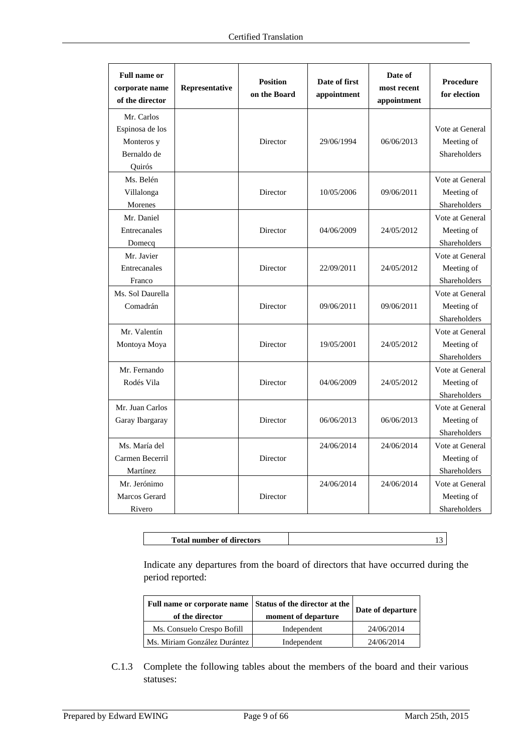| <b>Full name or</b><br>corporate name<br>of the director             | Representative | <b>Position</b><br>on the Board | Date of first<br>appointment | Date of<br>most recent<br>appointment | Procedure<br>for election                     |
|----------------------------------------------------------------------|----------------|---------------------------------|------------------------------|---------------------------------------|-----------------------------------------------|
| Mr. Carlos<br>Espinosa de los<br>Monteros y<br>Bernaldo de<br>Ouirós |                | Director                        | 29/06/1994                   | 06/06/2013                            | Vote at General<br>Meeting of<br>Shareholders |
| Ms. Belén<br>Villalonga<br>Morenes                                   |                | Director                        | 10/05/2006                   | 09/06/2011                            | Vote at General<br>Meeting of<br>Shareholders |
| Mr. Daniel<br>Entrecanales<br>Domecq                                 |                | Director                        | 04/06/2009                   | 24/05/2012                            | Vote at General<br>Meeting of<br>Shareholders |
| Mr. Javier<br>Entrecanales<br>Franco                                 |                | Director                        | 22/09/2011                   | 24/05/2012                            | Vote at General<br>Meeting of<br>Shareholders |
| Ms. Sol Daurella<br>Comadrán                                         |                | Director                        | 09/06/2011                   | 09/06/2011                            | Vote at General<br>Meeting of<br>Shareholders |
| Mr. Valentín<br>Montoya Moya                                         |                | Director                        | 19/05/2001                   | 24/05/2012                            | Vote at General<br>Meeting of<br>Shareholders |
| Mr. Fernando<br>Rodés Vila                                           |                | Director                        | 04/06/2009                   | 24/05/2012                            | Vote at General<br>Meeting of<br>Shareholders |
| Mr. Juan Carlos<br>Garay Ibargaray                                   |                | Director                        | 06/06/2013                   | 06/06/2013                            | Vote at General<br>Meeting of<br>Shareholders |
| Ms. María del<br>Carmen Becerril<br>Martínez                         |                | Director                        | 24/06/2014                   | 24/06/2014                            | Vote at General<br>Meeting of<br>Shareholders |
| Mr. Jerónimo<br>Marcos Gerard<br>Rivero                              |                | Director                        | 24/06/2014                   | 24/06/2014                            | Vote at General<br>Meeting of<br>Shareholders |

Indicate any departures from the board of directors that have occurred during the period reported:

| Full name or corporate name Status of the director at the<br>of the director | moment of departure | Date of departure |
|------------------------------------------------------------------------------|---------------------|-------------------|
| Ms. Consuelo Crespo Bofill                                                   | Independent         | 24/06/2014        |
| Ms. Miriam González Durántez                                                 | Independent         | 24/06/2014        |

C.1.3 Complete the following tables about the members of the board and their various statuses: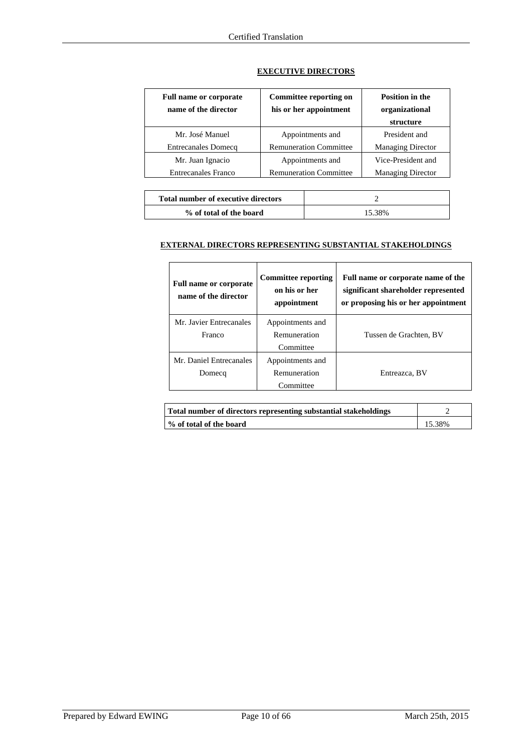| Full name or corporate<br>name of the director | Committee reporting on<br>his or her appointment | <b>Position in the</b><br>organizational<br>structure |
|------------------------------------------------|--------------------------------------------------|-------------------------------------------------------|
| Mr. José Manuel                                | Appointments and                                 | President and                                         |
| <b>Entrecanales Domecq</b>                     | <b>Remuneration Committee</b>                    | <b>Managing Director</b>                              |
| Mr. Juan Ignacio                               | Appointments and                                 | Vice-President and                                    |
| <b>Entrecanales Franco</b>                     | <b>Remuneration Committee</b>                    | <b>Managing Director</b>                              |

### **EXECUTIVE DIRECTORS**

| <b>Total number of executive directors</b> |        |
|--------------------------------------------|--------|
| % of total of the board                    | 15.38% |

### **EXTERNAL DIRECTORS REPRESENTING SUBSTANTIAL STAKEHOLDINGS**

| <b>Full name or corporate</b><br>name of the director | <b>Committee reporting</b><br>on his or her<br>appointment | Full name or corporate name of the<br>significant shareholder represented<br>or proposing his or her appointment |
|-------------------------------------------------------|------------------------------------------------------------|------------------------------------------------------------------------------------------------------------------|
| Mr. Javier Entrecanales<br>Franco                     | Appointments and<br>Remuneration<br>Committee              | Tussen de Grachten, BV                                                                                           |
| Mr. Daniel Entrecanales<br>Domecq                     | Appointments and<br>Remuneration<br>Committee              | Entreazca, BV                                                                                                    |

| Total number of directors representing substantial stakeholdings |        |
|------------------------------------------------------------------|--------|
| ■ % of total of the board                                        | 15.38% |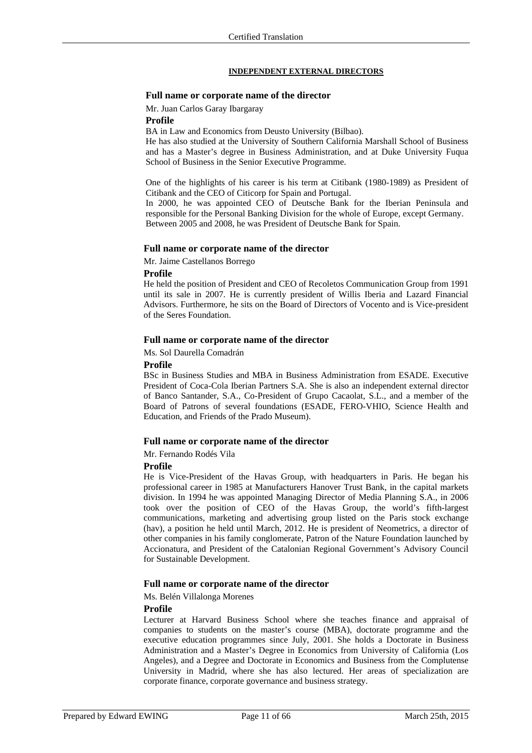#### **INDEPENDENT EXTERNAL DIRECTORS**

### **Full name or corporate name of the director**

Mr. Juan Carlos Garay Ibargaray

**Profile** 

BA in Law and Economics from Deusto University (Bilbao).

He has also studied at the University of Southern California Marshall School of Business and has a Master's degree in Business Administration, and at Duke University Fuqua School of Business in the Senior Executive Programme.

One of the highlights of his career is his term at Citibank (1980-1989) as President of Citibank and the CEO of Citicorp for Spain and Portugal.

In 2000, he was appointed CEO of Deutsche Bank for the Iberian Peninsula and responsible for the Personal Banking Division for the whole of Europe, except Germany. Between 2005 and 2008, he was President of Deutsche Bank for Spain.

### **Full name or corporate name of the director**

Mr. Jaime Castellanos Borrego

#### **Profile**

He held the position of President and CEO of Recoletos Communication Group from 1991 until its sale in 2007. He is currently president of Willis Iberia and Lazard Financial Advisors. Furthermore, he sits on the Board of Directors of Vocento and is Vice-president of the Seres Foundation.

### **Full name or corporate name of the director**

Ms. Sol Daurella Comadrán

#### **Profile**

BSc in Business Studies and MBA in Business Administration from ESADE. Executive President of Coca-Cola Iberian Partners S.A. She is also an independent external director of Banco Santander, S.A., Co-President of Grupo Cacaolat, S.L., and a member of the Board of Patrons of several foundations (ESADE, FERO-VHIO, Science Health and Education, and Friends of the Prado Museum).

#### **Full name or corporate name of the director**

Mr. Fernando Rodés Vila

### **Profile**

He is Vice-President of the Havas Group, with headquarters in Paris. He began his professional career in 1985 at Manufacturers Hanover Trust Bank, in the capital markets division. In 1994 he was appointed Managing Director of Media Planning S.A., in 2006 took over the position of CEO of the Havas Group, the world's fifth-largest communications, marketing and advertising group listed on the Paris stock exchange (hav), a position he held until March, 2012. He is president of Neometrics, a director of other companies in his family conglomerate, Patron of the Nature Foundation launched by Accionatura, and President of the Catalonian Regional Government's Advisory Council for Sustainable Development.

#### **Full name or corporate name of the director**

Ms. Belén Villalonga Morenes

#### **Profile**

Lecturer at Harvard Business School where she teaches finance and appraisal of companies to students on the master's course (MBA), doctorate programme and the executive education programmes since July, 2001. She holds a Doctorate in Business Administration and a Master's Degree in Economics from University of California (Los Angeles), and a Degree and Doctorate in Economics and Business from the Complutense University in Madrid, where she has also lectured. Her areas of specialization are corporate finance, corporate governance and business strategy.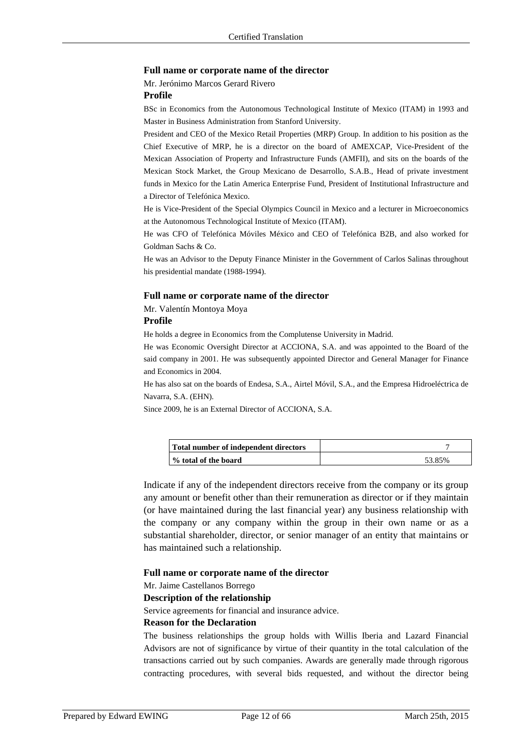#### **Full name or corporate name of the director**

Mr. Jerónimo Marcos Gerard Rivero

### **Profile**

BSc in Economics from the Autonomous Technological Institute of Mexico (ITAM) in 1993 and Master in Business Administration from Stanford University.

President and CEO of the Mexico Retail Properties (MRP) Group. In addition to his position as the Chief Executive of MRP, he is a director on the board of AMEXCAP, Vice-President of the Mexican Association of Property and Infrastructure Funds (AMFII), and sits on the boards of the Mexican Stock Market, the Group Mexicano de Desarrollo, S.A.B., Head of private investment funds in Mexico for the Latin America Enterprise Fund, President of Institutional Infrastructure and a Director of Telefónica Mexico.

He is Vice-President of the Special Olympics Council in Mexico and a lecturer in Microeconomics at the Autonomous Technological Institute of Mexico (ITAM).

He was CFO of Telefónica Móviles México and CEO of Telefónica B2B, and also worked for Goldman Sachs & Co.

He was an Advisor to the Deputy Finance Minister in the Government of Carlos Salinas throughout his presidential mandate (1988-1994).

### **Full name or corporate name of the director**

Mr. Valentín Montoya Moya

### **Profile**

He holds a degree in Economics from the Complutense University in Madrid.

He was Economic Oversight Director at ACCIONA, S.A. and was appointed to the Board of the said company in 2001. He was subsequently appointed Director and General Manager for Finance and Economics in 2004.

He has also sat on the boards of Endesa, S.A., Airtel Móvil, S.A., and the Empresa Hidroeléctrica de Navarra, S.A. (EHN).

Since 2009, he is an External Director of ACCIONA, S.A.

| Total number of independent directors |        |
|---------------------------------------|--------|
| ∣% total of the board                 | 53.85% |

Indicate if any of the independent directors receive from the company or its group any amount or benefit other than their remuneration as director or if they maintain (or have maintained during the last financial year) any business relationship with the company or any company within the group in their own name or as a substantial shareholder, director, or senior manager of an entity that maintains or has maintained such a relationship.

### **Full name or corporate name of the director**

Mr. Jaime Castellanos Borrego

#### **Description of the relationship**

Service agreements for financial and insurance advice.

### **Reason for the Declaration**

The business relationships the group holds with Willis Iberia and Lazard Financial Advisors are not of significance by virtue of their quantity in the total calculation of the transactions carried out by such companies. Awards are generally made through rigorous contracting procedures, with several bids requested, and without the director being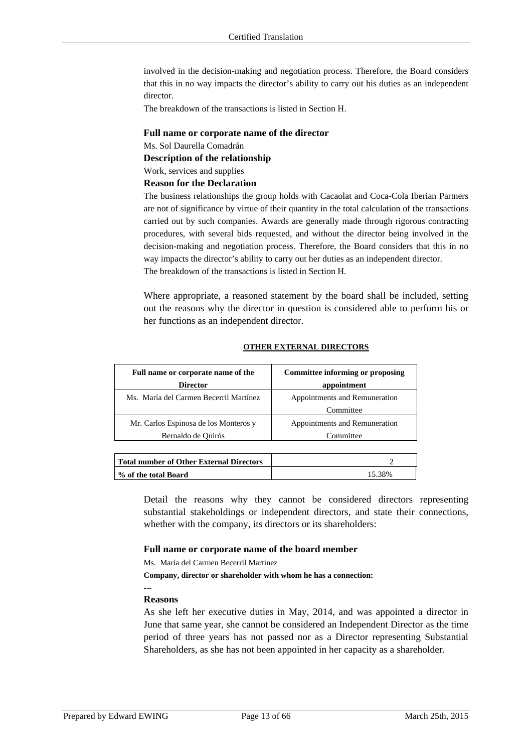involved in the decision-making and negotiation process. Therefore, the Board considers that this in no way impacts the director's ability to carry out his duties as an independent director.

The breakdown of the transactions is listed in Section H.

### **Full name or corporate name of the director**

Ms. Sol Daurella Comadrán

**Description of the relationship** 

Work, services and supplies

# **Reason for the Declaration**

The business relationships the group holds with Cacaolat and Coca-Cola Iberian Partners are not of significance by virtue of their quantity in the total calculation of the transactions carried out by such companies. Awards are generally made through rigorous contracting procedures, with several bids requested, and without the director being involved in the decision-making and negotiation process. Therefore, the Board considers that this in no way impacts the director's ability to carry out her duties as an independent director. The breakdown of the transactions is listed in Section H.

Where appropriate, a reasoned statement by the board shall be included, setting out the reasons why the director in question is considered able to perform his or her functions as an independent director.

### **OTHER EXTERNAL DIRECTORS**

| Full name or corporate name of the     | <b>Committee informing or proposing</b> |  |
|----------------------------------------|-----------------------------------------|--|
| <b>Director</b>                        | appointment                             |  |
| Ms. María del Carmen Becerril Martínez | Appointments and Remuneration           |  |
|                                        | Committee                               |  |
| Mr. Carlos Espinosa de los Monteros y  | Appointments and Remuneration           |  |
| Bernaldo de Quirós                     | Committee                               |  |

| Total number of Other External Directors |        |
|------------------------------------------|--------|
| ∣% of the total Board                    | 15.38% |

Detail the reasons why they cannot be considered directors representing substantial stakeholdings or independent directors, and state their connections, whether with the company, its directors or its shareholders:

### **Full name or corporate name of the board member**

Ms. María del Carmen Becerril Martínez

**Company, director or shareholder with whom he has a connection:** 

### **Reasons**

**---** 

As she left her executive duties in May, 2014, and was appointed a director in June that same year, she cannot be considered an Independent Director as the time period of three years has not passed nor as a Director representing Substantial Shareholders, as she has not been appointed in her capacity as a shareholder.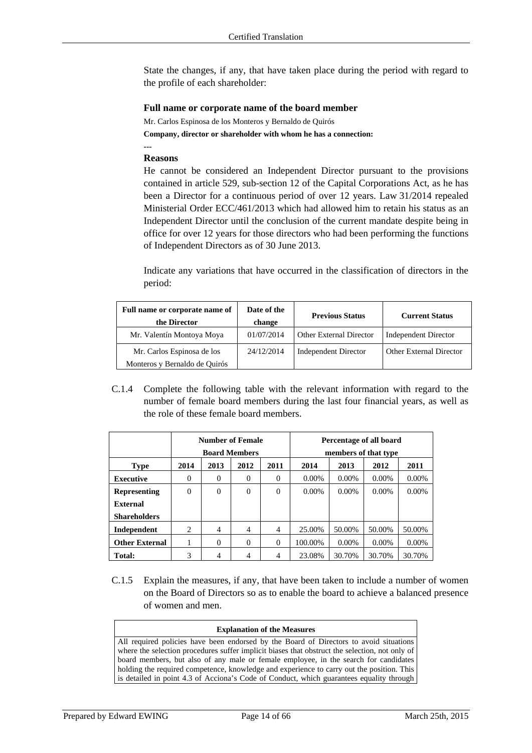State the changes, if any, that have taken place during the period with regard to the profile of each shareholder:

### **Full name or corporate name of the board member**

Mr. Carlos Espinosa de los Monteros y Bernaldo de Quirós **Company, director or shareholder with whom he has a connection:** 

### **Reasons**

**---** 

He cannot be considered an Independent Director pursuant to the provisions contained in article 529, sub-section 12 of the Capital Corporations Act, as he has been a Director for a continuous period of over 12 years. Law 31/2014 repealed Ministerial Order ECC/461/2013 which had allowed him to retain his status as an Independent Director until the conclusion of the current mandate despite being in office for over 12 years for those directors who had been performing the functions of Independent Directors as of 30 June 2013.

Indicate any variations that have occurred in the classification of directors in the period:

| Full name or corporate name of<br>the Director              | Date of the<br>change | <b>Previous Status</b>         | <b>Current Status</b>          |
|-------------------------------------------------------------|-----------------------|--------------------------------|--------------------------------|
| Mr. Valentín Montoya Moya                                   | 01/07/2014            | <b>Other External Director</b> | <b>Independent Director</b>    |
| Mr. Carlos Espinosa de los<br>Monteros y Bernaldo de Quirós | 24/12/2014            | <b>Independent Director</b>    | <b>Other External Director</b> |

C.1.4 Complete the following table with the relevant information with regard to the number of female board members during the last four financial years, as well as the role of these female board members.

|                       | <b>Number of Female</b><br><b>Board Members</b> |                |                | Percentage of all board<br>members of that type |          |          |          |          |
|-----------------------|-------------------------------------------------|----------------|----------------|-------------------------------------------------|----------|----------|----------|----------|
| <b>Type</b>           | 2014                                            | 2013           | 2012           | 2011                                            | 2014     | 2013     | 2012     | 2011     |
| <b>Executive</b>      | $\Omega$                                        | $\Omega$       | $\Omega$       | 0                                               | $0.00\%$ | $0.00\%$ | $0.00\%$ | $0.00\%$ |
| <b>Representing</b>   | $\mathbf{0}$                                    | $\theta$       | $\overline{0}$ | $\Omega$                                        | $0.00\%$ | $0.00\%$ | $0.00\%$ | $0.00\%$ |
| External              |                                                 |                |                |                                                 |          |          |          |          |
| <b>Shareholders</b>   |                                                 |                |                |                                                 |          |          |          |          |
| Independent           | 2                                               | $\overline{4}$ | 4              | 4                                               | 25.00%   | 50.00%   | 50.00%   | 50.00%   |
| <b>Other External</b> | 1                                               | $\Omega$       | $\Omega$       | $\Omega$                                        | 100.00%  | $0.00\%$ | $0.00\%$ | $0.00\%$ |
| <b>Total:</b>         | 3                                               | 4              | 4              | 4                                               | 23.08%   | 30.70%   | 30.70%   | 30.70%   |

C.1.5 Explain the measures, if any, that have been taken to include a number of women on the Board of Directors so as to enable the board to achieve a balanced presence of women and men.

#### **Explanation of the Measures**

All required policies have been endorsed by the Board of Directors to avoid situations where the selection procedures suffer implicit biases that obstruct the selection, not only of board members, but also of any male or female employee, in the search for candidates holding the required competence, knowledge and experience to carry out the position. This is detailed in point 4.3 of Acciona's Code of Conduct, which guarantees equality through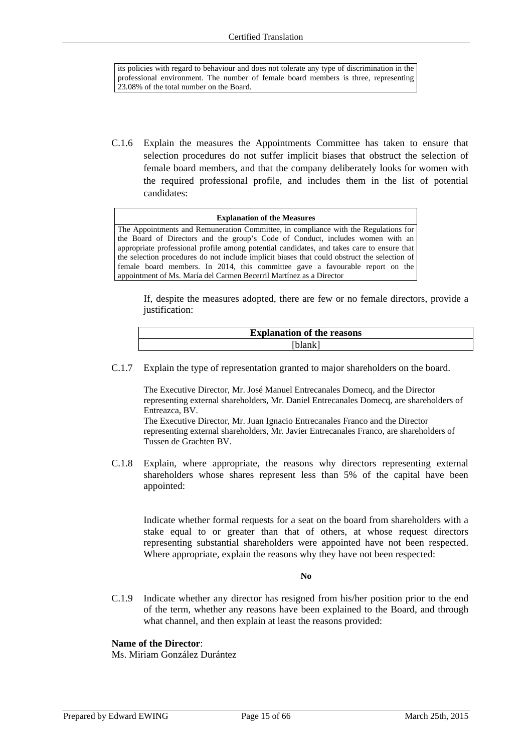its policies with regard to behaviour and does not tolerate any type of discrimination in the professional environment. The number of female board members is three, representing 23.08% of the total number on the Board.

C.1.6 Explain the measures the Appointments Committee has taken to ensure that selection procedures do not suffer implicit biases that obstruct the selection of female board members, and that the company deliberately looks for women with the required professional profile, and includes them in the list of potential candidates:

#### **Explanation of the Measures**

The Appointments and Remuneration Committee, in compliance with the Regulations for the Board of Directors and the group's Code of Conduct, includes women with an appropriate professional profile among potential candidates, and takes care to ensure that the selection procedures do not include implicit biases that could obstruct the selection of female board members. In 2014, this committee gave a favourable report on the appointment of Ms. María del Carmen Becerril Martínez as a Director

If, despite the measures adopted, there are few or no female directors, provide a justification:

| <b>Explanation of the reasons</b> |
|-----------------------------------|
| ilank                             |

C.1.7 Explain the type of representation granted to major shareholders on the board.

The Executive Director, Mr. José Manuel Entrecanales Domecq, and the Director representing external shareholders, Mr. Daniel Entrecanales Domecq, are shareholders of Entreazca, BV.

The Executive Director, Mr. Juan Ignacio Entrecanales Franco and the Director representing external shareholders, Mr. Javier Entrecanales Franco, are shareholders of Tussen de Grachten BV.

C.1.8 Explain, where appropriate, the reasons why directors representing external shareholders whose shares represent less than 5% of the capital have been appointed:

Indicate whether formal requests for a seat on the board from shareholders with a stake equal to or greater than that of others, at whose request directors representing substantial shareholders were appointed have not been respected. Where appropriate, explain the reasons why they have not been respected:

#### **No**

C.1.9 Indicate whether any director has resigned from his/her position prior to the end of the term, whether any reasons have been explained to the Board, and through what channel, and then explain at least the reasons provided:

### **Name of the Director**:

Ms. Miriam González Durántez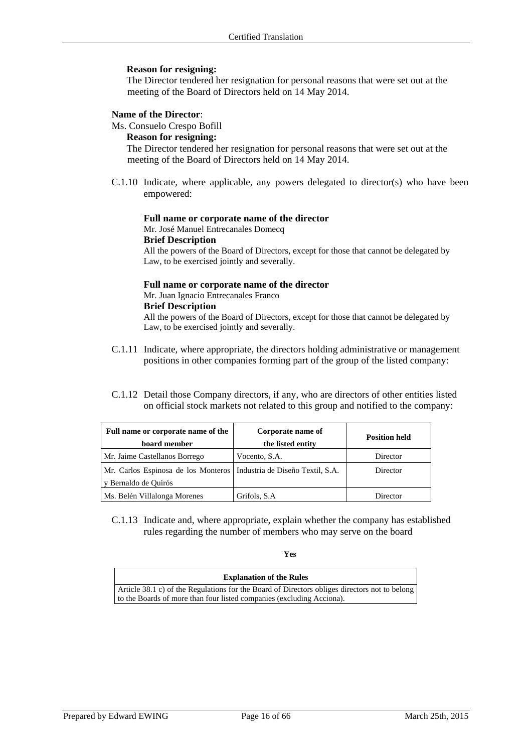### **Reason for resigning:**

The Director tendered her resignation for personal reasons that were set out at the meeting of the Board of Directors held on 14 May 2014.

### **Name of the Director**:

Ms. Consuelo Crespo Bofill

### **Reason for resigning:**

The Director tendered her resignation for personal reasons that were set out at the meeting of the Board of Directors held on 14 May 2014.

 $C.1.10$  Indicate, where applicable, any powers delegated to director(s) who have been empowered:

### **Full name or corporate name of the director**

Mr. José Manuel Entrecanales Domecq

### **Brief Description**

All the powers of the Board of Directors, except for those that cannot be delegated by Law, to be exercised jointly and severally.

### **Full name or corporate name of the director**  Mr. Juan Ignacio Entrecanales Franco **Brief Description**

All the powers of the Board of Directors, except for those that cannot be delegated by Law, to be exercised jointly and severally.

- C.1.11 Indicate, where appropriate, the directors holding administrative or management positions in other companies forming part of the group of the listed company:
- C.1.12 Detail those Company directors, if any, who are directors of other entities listed on official stock markets not related to this group and notified to the company:

| Full name or corporate name of the<br>board member                                             | Corporate name of<br>the listed entity | <b>Position held</b> |  |
|------------------------------------------------------------------------------------------------|----------------------------------------|----------------------|--|
| Mr. Jaime Castellanos Borrego                                                                  | Vocento, S.A.                          | Director             |  |
| Mr. Carlos Espinosa de los Monteros   Industria de Diseño Textil, S.A.<br>y Bernaldo de Quirós |                                        | Director             |  |
| Ms. Belén Villalonga Morenes                                                                   | Grifols, S.A.                          | Director             |  |

C.1.13 Indicate and, where appropriate, explain whether the company has established rules regarding the number of members who may serve on the board

**Yes** 

| <b>Explanation of the Rules</b>                                                               |
|-----------------------------------------------------------------------------------------------|
| Article 38.1 c) of the Regulations for the Board of Directors obliges directors not to belong |
| to the Boards of more than four listed companies (excluding Acciona).                         |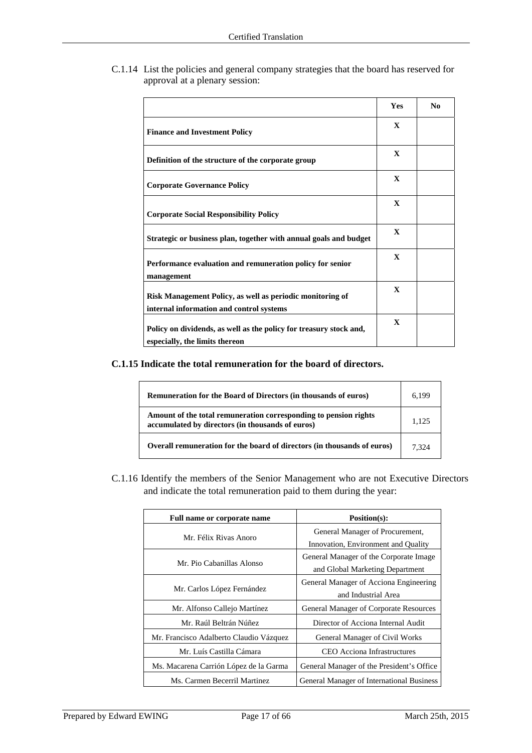C.1.14 List the policies and general company strategies that the board has reserved for approval at a plenary session:

|                                                                                                       | Yes          | N <sub>0</sub> |
|-------------------------------------------------------------------------------------------------------|--------------|----------------|
| <b>Finance and Investment Policy</b>                                                                  | $\mathbf{x}$ |                |
| Definition of the structure of the corporate group                                                    | $\mathbf{x}$ |                |
| <b>Corporate Governance Policy</b>                                                                    | $\mathbf{X}$ |                |
| <b>Corporate Social Responsibility Policy</b>                                                         | $\mathbf{x}$ |                |
| Strategic or business plan, together with annual goals and budget                                     | $\mathbf{x}$ |                |
| Performance evaluation and remuneration policy for senior<br>management                               | $\mathbf{x}$ |                |
| Risk Management Policy, as well as periodic monitoring of<br>internal information and control systems | $\mathbf{x}$ |                |
| Policy on dividends, as well as the policy for treasury stock and,<br>especially, the limits thereon  | $\mathbf{x}$ |                |

**C.1.15 Indicate the total remuneration for the board of directors.** 

| <b>Remuneration for the Board of Directors (in thousands of euros)</b>                                               | 6.199 |
|----------------------------------------------------------------------------------------------------------------------|-------|
| Amount of the total remuneration corresponding to pension rights<br>accumulated by directors (in thousands of euros) | 1.125 |
| Overall remuneration for the board of directors (in thousands of euros)                                              | 7.324 |

C.1.16 Identify the members of the Senior Management who are not Executive Directors and indicate the total remuneration paid to them during the year:

| Full name or corporate name             | Position(s):                              |  |
|-----------------------------------------|-------------------------------------------|--|
|                                         | General Manager of Procurement,           |  |
| Mr. Félix Rivas Anoro                   | Innovation, Environment and Quality       |  |
| Mr. Pio Cabanillas Alonso               | General Manager of the Corporate Image    |  |
|                                         | and Global Marketing Department           |  |
|                                         | General Manager of Acciona Engineering    |  |
| Mr. Carlos López Fernández              | and Industrial Area                       |  |
| Mr. Alfonso Callejo Martínez            | General Manager of Corporate Resources    |  |
| Mr. Raúl Beltrán Núñez                  | Director of Acciona Internal Audit        |  |
| Mr. Francisco Adalberto Claudio Vázquez | <b>General Manager of Civil Works</b>     |  |
| Mr. Luís Castilla Cámara                | CEO Acciona Infrastructures               |  |
| Ms. Macarena Carrión López de la Garma  | General Manager of the President's Office |  |
| Ms. Carmen Becerril Martinez            | General Manager of International Business |  |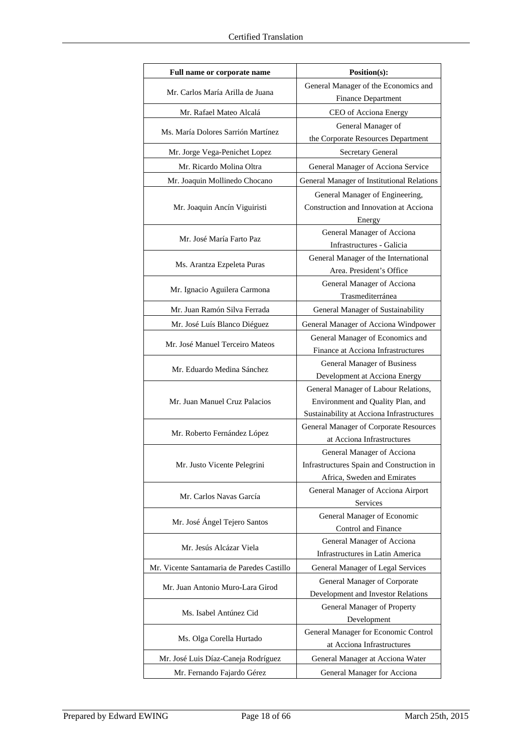| Full name or corporate name                               | Position(s):                                                           |  |
|-----------------------------------------------------------|------------------------------------------------------------------------|--|
| Mr. Carlos María Arilla de Juana                          | General Manager of the Economics and                                   |  |
|                                                           | <b>Finance Department</b>                                              |  |
| Mr. Rafael Mateo Alcalá                                   | CEO of Acciona Energy                                                  |  |
| Ms. María Dolores Sarrión Martínez                        | General Manager of                                                     |  |
|                                                           | the Corporate Resources Department                                     |  |
| Mr. Jorge Vega-Penichet Lopez                             | Secretary General                                                      |  |
| Mr. Ricardo Molina Oltra                                  | General Manager of Acciona Service                                     |  |
| Mr. Joaquin Mollinedo Chocano                             | General Manager of Institutional Relations                             |  |
|                                                           | General Manager of Engineering,                                        |  |
| Mr. Joaquin Ancín Viguiristi                              | Construction and Innovation at Acciona                                 |  |
|                                                           | Energy                                                                 |  |
| Mr. José María Farto Paz                                  | General Manager of Acciona                                             |  |
|                                                           | Infrastructures - Galicia                                              |  |
| Ms. Arantza Ezpeleta Puras                                | General Manager of the International                                   |  |
|                                                           | Area. President's Office                                               |  |
| Mr. Ignacio Aguilera Carmona                              | General Manager of Acciona<br>Trasmediterránea                         |  |
| Mr. Juan Ramón Silva Ferrada                              | General Manager of Sustainability                                      |  |
|                                                           |                                                                        |  |
| Mr. José Luís Blanco Diéguez                              | General Manager of Acciona Windpower                                   |  |
| Mr. José Manuel Terceiro Mateos                           | General Manager of Economics and<br>Finance at Acciona Infrastructures |  |
|                                                           | General Manager of Business                                            |  |
| Mr. Eduardo Medina Sánchez                                | Development at Acciona Energy                                          |  |
|                                                           | General Manager of Labour Relations,                                   |  |
| Mr. Juan Manuel Cruz Palacios                             | Environment and Quality Plan, and                                      |  |
|                                                           | Sustainability at Acciona Infrastructures                              |  |
|                                                           | General Manager of Corporate Resources                                 |  |
| Mr. Roberto Fernández López                               | at Acciona Infrastructures                                             |  |
|                                                           | General Manager of Acciona                                             |  |
| Mr. Justo Vicente Pelegrini                               | Infrastructures Spain and Construction in                              |  |
|                                                           | Africa, Sweden and Emirates                                            |  |
| Mr. Carlos Navas García                                   | General Manager of Acciona Airport                                     |  |
|                                                           | Services                                                               |  |
| Mr. José Ángel Tejero Santos                              | General Manager of Economic<br>Control and Finance                     |  |
|                                                           | General Manager of Acciona                                             |  |
| Mr. Jesús Alcázar Viela                                   | Infrastructures in Latin America                                       |  |
| Mr. Vicente Santamaria de Paredes Castillo                | General Manager of Legal Services                                      |  |
|                                                           | General Manager of Corporate                                           |  |
| Mr. Juan Antonio Muro-Lara Girod                          | Development and Investor Relations                                     |  |
|                                                           | General Manager of Property                                            |  |
| Ms. Isabel Antúnez Cid                                    | Development                                                            |  |
|                                                           | General Manager for Economic Control                                   |  |
| Ms. Olga Corella Hurtado                                  | at Acciona Infrastructures                                             |  |
| Mr. José Luis Díaz-Caneja Rodríguez                       | General Manager at Acciona Water                                       |  |
| Mr. Fernando Fajardo Gérez<br>General Manager for Acciona |                                                                        |  |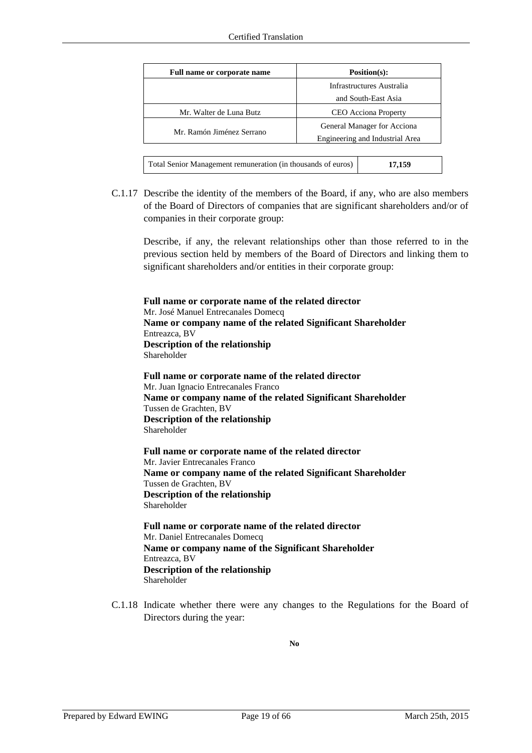| Position(s):<br>Full name or corporate name                  |                                 |  |  |
|--------------------------------------------------------------|---------------------------------|--|--|
|                                                              | Infrastructures Australia       |  |  |
|                                                              | and South-East Asia             |  |  |
| Mr. Walter de Luna Butz                                      | <b>CEO</b> Acciona Property     |  |  |
| Mr. Ramón Jiménez Serrano                                    | General Manager for Acciona     |  |  |
|                                                              | Engineering and Industrial Area |  |  |
|                                                              |                                 |  |  |
| Total Senior Management remuneration (in thousands of euros) | 17,159                          |  |  |

C.1.17 Describe the identity of the members of the Board, if any, who are also members of the Board of Directors of companies that are significant shareholders and/or of companies in their corporate group:

Describe, if any, the relevant relationships other than those referred to in the previous section held by members of the Board of Directors and linking them to significant shareholders and/or entities in their corporate group:

**Full name or corporate name of the related director**  Mr. José Manuel Entrecanales Domecq **Name or company name of the related Significant Shareholder** Entreazca, BV **Description of the relationship** Shareholder

**Full name or corporate name of the related director**  Mr. Juan Ignacio Entrecanales Franco **Name or company name of the related Significant Shareholder** Tussen de Grachten, BV **Description of the relationship** Shareholder

**Full name or corporate name of the related director**  Mr. Javier Entrecanales Franco **Name or company name of the related Significant Shareholder** Tussen de Grachten, BV **Description of the relationship** Shareholder

**Full name or corporate name of the related director**  Mr. Daniel Entrecanales Domecq **Name or company name of the Significant Shareholder** Entreazca, BV **Description of the relationship** Shareholder

C.1.18 Indicate whether there were any changes to the Regulations for the Board of Directors during the year:

**No**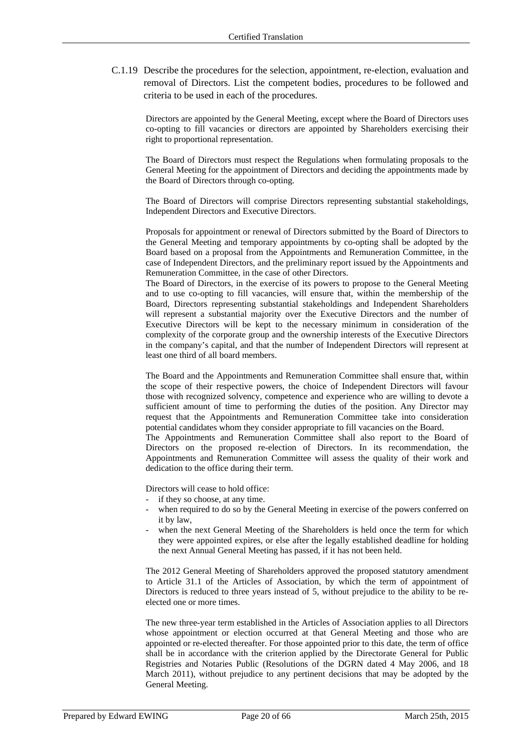C.1.19 Describe the procedures for the selection, appointment, re-election, evaluation and removal of Directors. List the competent bodies, procedures to be followed and criteria to be used in each of the procedures.

Directors are appointed by the General Meeting, except where the Board of Directors uses co-opting to fill vacancies or directors are appointed by Shareholders exercising their right to proportional representation.

The Board of Directors must respect the Regulations when formulating proposals to the General Meeting for the appointment of Directors and deciding the appointments made by the Board of Directors through co-opting.

The Board of Directors will comprise Directors representing substantial stakeholdings, Independent Directors and Executive Directors.

Proposals for appointment or renewal of Directors submitted by the Board of Directors to the General Meeting and temporary appointments by co-opting shall be adopted by the Board based on a proposal from the Appointments and Remuneration Committee, in the case of Independent Directors, and the preliminary report issued by the Appointments and Remuneration Committee, in the case of other Directors.

The Board of Directors, in the exercise of its powers to propose to the General Meeting and to use co-opting to fill vacancies, will ensure that, within the membership of the Board, Directors representing substantial stakeholdings and Independent Shareholders will represent a substantial majority over the Executive Directors and the number of Executive Directors will be kept to the necessary minimum in consideration of the complexity of the corporate group and the ownership interests of the Executive Directors in the company's capital, and that the number of Independent Directors will represent at least one third of all board members.

The Board and the Appointments and Remuneration Committee shall ensure that, within the scope of their respective powers, the choice of Independent Directors will favour those with recognized solvency, competence and experience who are willing to devote a sufficient amount of time to performing the duties of the position. Any Director may request that the Appointments and Remuneration Committee take into consideration potential candidates whom they consider appropriate to fill vacancies on the Board.

The Appointments and Remuneration Committee shall also report to the Board of Directors on the proposed re-election of Directors. In its recommendation, the Appointments and Remuneration Committee will assess the quality of their work and dedication to the office during their term.

Directors will cease to hold office:

- if they so choose, at any time.
- when required to do so by the General Meeting in exercise of the powers conferred on it by law,
- when the next General Meeting of the Shareholders is held once the term for which they were appointed expires, or else after the legally established deadline for holding the next Annual General Meeting has passed, if it has not been held.

The 2012 General Meeting of Shareholders approved the proposed statutory amendment to Article 31.1 of the Articles of Association, by which the term of appointment of Directors is reduced to three years instead of 5, without prejudice to the ability to be reelected one or more times.

The new three-year term established in the Articles of Association applies to all Directors whose appointment or election occurred at that General Meeting and those who are appointed or re-elected thereafter. For those appointed prior to this date, the term of office shall be in accordance with the criterion applied by the Directorate General for Public Registries and Notaries Public (Resolutions of the DGRN dated 4 May 2006, and 18 March 2011), without prejudice to any pertinent decisions that may be adopted by the General Meeting.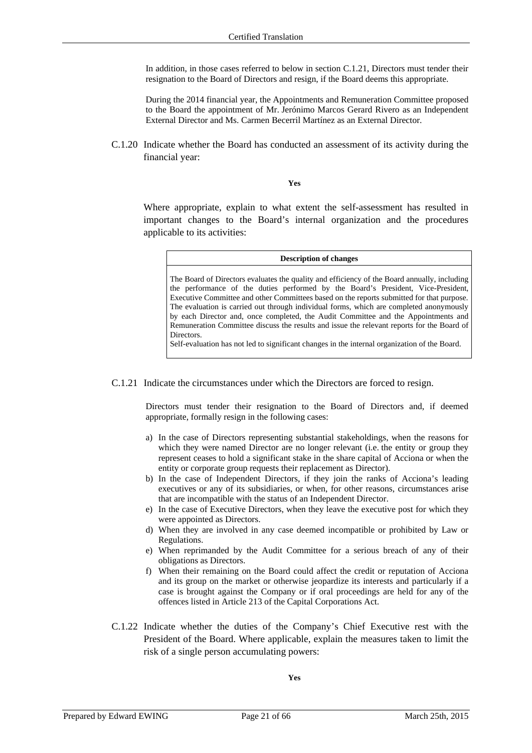In addition, in those cases referred to below in section C.1.21, Directors must tender their resignation to the Board of Directors and resign, if the Board deems this appropriate.

During the 2014 financial year, the Appointments and Remuneration Committee proposed to the Board the appointment of Mr. Jerónimo Marcos Gerard Rivero as an Independent External Director and Ms. Carmen Becerril Martínez as an External Director.

C.1.20 Indicate whether the Board has conducted an assessment of its activity during the financial year:

**Yes**

Where appropriate, explain to what extent the self-assessment has resulted in important changes to the Board's internal organization and the procedures applicable to its activities:

| <b>Description of changes</b>                                                                                                                                                                                                                                                                                                                                                                                                                                                                                                                                                                                                                                                |
|------------------------------------------------------------------------------------------------------------------------------------------------------------------------------------------------------------------------------------------------------------------------------------------------------------------------------------------------------------------------------------------------------------------------------------------------------------------------------------------------------------------------------------------------------------------------------------------------------------------------------------------------------------------------------|
| The Board of Directors evaluates the quality and efficiency of the Board annually, including<br>the performance of the duties performed by the Board's President, Vice-President,<br>Executive Committee and other Committees based on the reports submitted for that purpose.<br>The evaluation is carried out through individual forms, which are completed anonymously<br>by each Director and, once completed, the Audit Committee and the Appointments and<br>Remuneration Committee discuss the results and issue the relevant reports for the Board of<br>Directors.<br>Self-evaluation has not led to significant changes in the internal organization of the Board. |

C.1.21 Indicate the circumstances under which the Directors are forced to resign.

Directors must tender their resignation to the Board of Directors and, if deemed appropriate, formally resign in the following cases:

- a) In the case of Directors representing substantial stakeholdings, when the reasons for which they were named Director are no longer relevant (i.e. the entity or group they represent ceases to hold a significant stake in the share capital of Acciona or when the entity or corporate group requests their replacement as Director).
- b) In the case of Independent Directors, if they join the ranks of Acciona's leading executives or any of its subsidiaries, or when, for other reasons, circumstances arise that are incompatible with the status of an Independent Director.
- e) In the case of Executive Directors, when they leave the executive post for which they were appointed as Directors.
- d) When they are involved in any case deemed incompatible or prohibited by Law or Regulations.
- e) When reprimanded by the Audit Committee for a serious breach of any of their obligations as Directors.
- f) When their remaining on the Board could affect the credit or reputation of Acciona and its group on the market or otherwise jeopardize its interests and particularly if a case is brought against the Company or if oral proceedings are held for any of the offences listed in Article 213 of the Capital Corporations Act.
- C.1.22 Indicate whether the duties of the Company's Chief Executive rest with the President of the Board. Where applicable, explain the measures taken to limit the risk of a single person accumulating powers: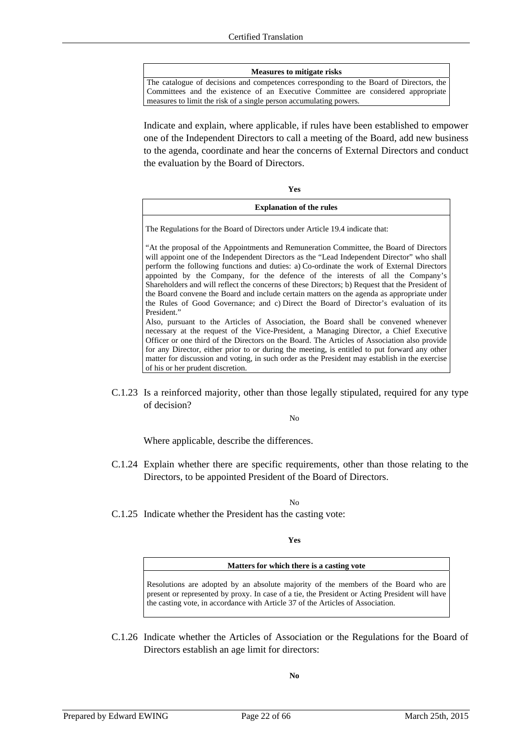#### **Measures to mitigate risks**

The catalogue of decisions and competences corresponding to the Board of Directors, the Committees and the existence of an Executive Committee are considered appropriate measures to limit the risk of a single person accumulating powers.

Indicate and explain, where applicable, if rules have been established to empower one of the Independent Directors to call a meeting of the Board, add new business to the agenda, coordinate and hear the concerns of External Directors and conduct the evaluation by the Board of Directors.

**Yes**

### **Explanation of the rules**

The Regulations for the Board of Directors under Article 19.4 indicate that:

"At the proposal of the Appointments and Remuneration Committee, the Board of Directors will appoint one of the Independent Directors as the "Lead Independent Director" who shall perform the following functions and duties: a) Co-ordinate the work of External Directors appointed by the Company, for the defence of the interests of all the Company's Shareholders and will reflect the concerns of these Directors; b) Request that the President of the Board convene the Board and include certain matters on the agenda as appropriate under the Rules of Good Governance; and c) Direct the Board of Director's evaluation of its President."

Also, pursuant to the Articles of Association, the Board shall be convened whenever necessary at the request of the Vice-President, a Managing Director, a Chief Executive Officer or one third of the Directors on the Board. The Articles of Association also provide for any Director, either prior to or during the meeting, is entitled to put forward any other matter for discussion and voting, in such order as the President may establish in the exercise of his or her prudent discretion.

C.1.23 Is a reinforced majority, other than those legally stipulated, required for any type of decision?

No

Where applicable, describe the differences.

C.1.24 Explain whether there are specific requirements, other than those relating to the Directors, to be appointed President of the Board of Directors.

No

C.1.25 Indicate whether the President has the casting vote:

**Yes**

#### **Matters for which there is a casting vote**

Resolutions are adopted by an absolute majority of the members of the Board who are present or represented by proxy. In case of a tie, the President or Acting President will have the casting vote, in accordance with Article 37 of the Articles of Association.

C.1.26 Indicate whether the Articles of Association or the Regulations for the Board of Directors establish an age limit for directors:

**No**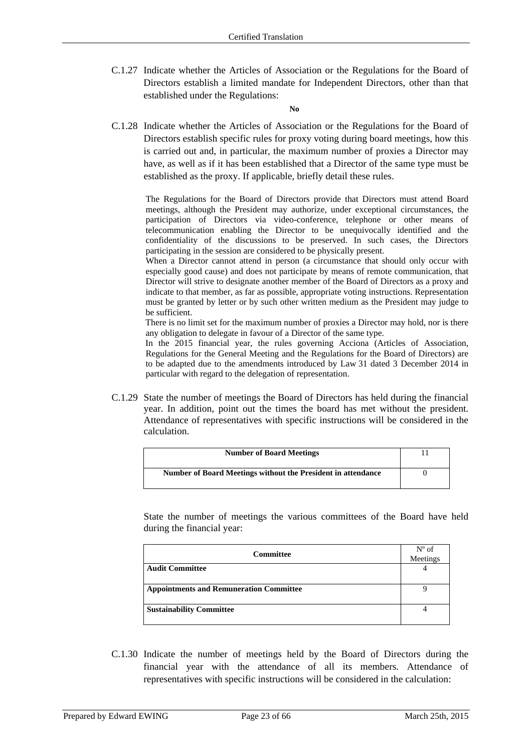C.1.27 Indicate whether the Articles of Association or the Regulations for the Board of Directors establish a limited mandate for Independent Directors, other than that established under the Regulations:

**No**

C.1.28 Indicate whether the Articles of Association or the Regulations for the Board of Directors establish specific rules for proxy voting during board meetings, how this is carried out and, in particular, the maximum number of proxies a Director may have, as well as if it has been established that a Director of the same type must be established as the proxy. If applicable, briefly detail these rules.

The Regulations for the Board of Directors provide that Directors must attend Board meetings, although the President may authorize, under exceptional circumstances, the participation of Directors via video-conference, telephone or other means of telecommunication enabling the Director to be unequivocally identified and the confidentiality of the discussions to be preserved. In such cases, the Directors participating in the session are considered to be physically present.

When a Director cannot attend in person (a circumstance that should only occur with especially good cause) and does not participate by means of remote communication, that Director will strive to designate another member of the Board of Directors as a proxy and indicate to that member, as far as possible, appropriate voting instructions. Representation must be granted by letter or by such other written medium as the President may judge to be sufficient.

There is no limit set for the maximum number of proxies a Director may hold, nor is there any obligation to delegate in favour of a Director of the same type.

In the 2015 financial year, the rules governing Acciona (Articles of Association, Regulations for the General Meeting and the Regulations for the Board of Directors) are to be adapted due to the amendments introduced by Law 31 dated 3 December 2014 in particular with regard to the delegation of representation.

C.1.29 State the number of meetings the Board of Directors has held during the financial year. In addition, point out the times the board has met without the president. Attendance of representatives with specific instructions will be considered in the calculation.

| <b>Number of Board Meetings</b>                              |  |
|--------------------------------------------------------------|--|
| Number of Board Meetings without the President in attendance |  |

State the number of meetings the various committees of the Board have held during the financial year:

| <b>Committee</b>                               | $N^{\circ}$ of<br>Meetings |
|------------------------------------------------|----------------------------|
| <b>Audit Committee</b>                         |                            |
| <b>Appointments and Remuneration Committee</b> |                            |
| <b>Sustainability Committee</b>                |                            |

C.1.30 Indicate the number of meetings held by the Board of Directors during the financial year with the attendance of all its members. Attendance of representatives with specific instructions will be considered in the calculation: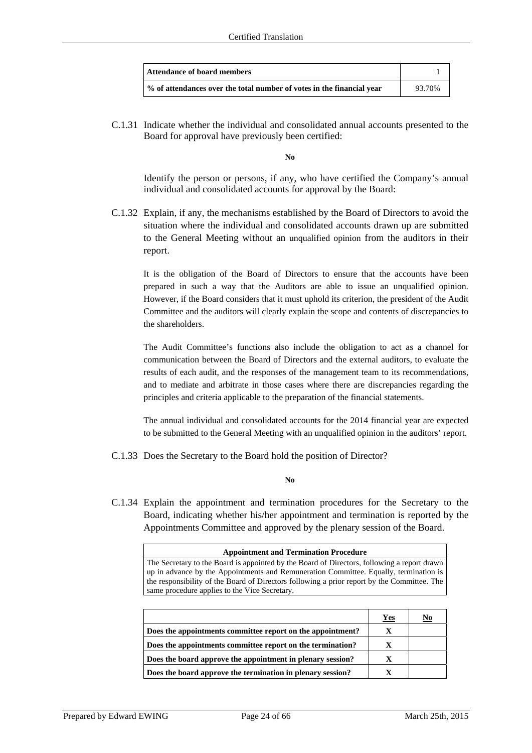| <b>Attendance of board members</b>                                    |        |
|-----------------------------------------------------------------------|--------|
| % of attendances over the total number of votes in the financial year | 93.70% |

C.1.31 Indicate whether the individual and consolidated annual accounts presented to the Board for approval have previously been certified:

**No** 

 Identify the person or persons, if any, who have certified the Company's annual individual and consolidated accounts for approval by the Board:

C.1.32 Explain, if any, the mechanisms established by the Board of Directors to avoid the situation where the individual and consolidated accounts drawn up are submitted to the General Meeting without an unqualified opinion from the auditors in their report.

It is the obligation of the Board of Directors to ensure that the accounts have been prepared in such a way that the Auditors are able to issue an unqualified opinion. However, if the Board considers that it must uphold its criterion, the president of the Audit Committee and the auditors will clearly explain the scope and contents of discrepancies to the shareholders.

The Audit Committee's functions also include the obligation to act as a channel for communication between the Board of Directors and the external auditors, to evaluate the results of each audit, and the responses of the management team to its recommendations, and to mediate and arbitrate in those cases where there are discrepancies regarding the principles and criteria applicable to the preparation of the financial statements.

The annual individual and consolidated accounts for the 2014 financial year are expected to be submitted to the General Meeting with an unqualified opinion in the auditors' report.

C.1.33 Does the Secretary to the Board hold the position of Director?

**No** 

C.1.34 Explain the appointment and termination procedures for the Secretary to the Board, indicating whether his/her appointment and termination is reported by the Appointments Committee and approved by the plenary session of the Board.

| <b>Appointment and Termination Procedure</b>                                                |  |  |
|---------------------------------------------------------------------------------------------|--|--|
| The Secretary to the Board is appointed by the Board of Directors, following a report drawn |  |  |
| up in advance by the Appointments and Remuneration Committee. Equally, termination is       |  |  |
| the responsibility of the Board of Directors following a prior report by the Committee. The |  |  |
| same procedure applies to the Vice Secretary.                                               |  |  |
|                                                                                             |  |  |

|                                                            | Yes | <u>No</u> |
|------------------------------------------------------------|-----|-----------|
| Does the appointments committee report on the appointment? | X   |           |
| Does the appointments committee report on the termination? | X   |           |
| Does the board approve the appointment in plenary session? | X   |           |
| Does the board approve the termination in plenary session? |     |           |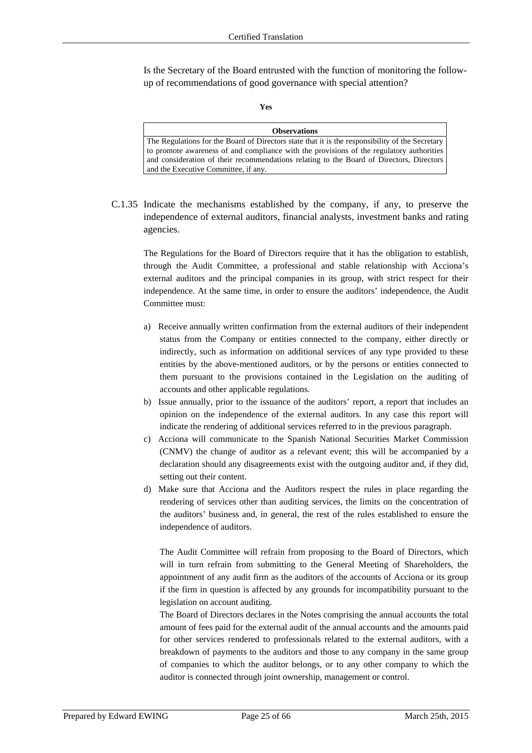Is the Secretary of the Board entrusted with the function of monitoring the followup of recommendations of good governance with special attention?

#### **Yes**

| <b>Observations</b>                                                                             |
|-------------------------------------------------------------------------------------------------|
| The Regulations for the Board of Directors state that it is the responsibility of the Secretary |
| to promote awareness of and compliance with the provisions of the regulatory authorities        |
| and consideration of their recommendations relating to the Board of Directors, Directors        |
| and the Executive Committee, if any.                                                            |

C.1.35 Indicate the mechanisms established by the company, if any, to preserve the independence of external auditors, financial analysts, investment banks and rating agencies.

The Regulations for the Board of Directors require that it has the obligation to establish, through the Audit Committee, a professional and stable relationship with Acciona's external auditors and the principal companies in its group, with strict respect for their independence. At the same time, in order to ensure the auditors' independence, the Audit Committee must:

- a) Receive annually written confirmation from the external auditors of their independent status from the Company or entities connected to the company, either directly or indirectly, such as information on additional services of any type provided to these entities by the above-mentioned auditors, or by the persons or entities connected to them pursuant to the provisions contained in the Legislation on the auditing of accounts and other applicable regulations.
- b) Issue annually, prior to the issuance of the auditors' report, a report that includes an opinion on the independence of the external auditors. In any case this report will indicate the rendering of additional services referred to in the previous paragraph.
- c) Acciona will communicate to the Spanish National Securities Market Commission (CNMV) the change of auditor as a relevant event; this will be accompanied by a declaration should any disagreements exist with the outgoing auditor and, if they did, setting out their content.
- d) Make sure that Acciona and the Auditors respect the rules in place regarding the rendering of services other than auditing services, the limits on the concentration of the auditors' business and, in general, the rest of the rules established to ensure the independence of auditors.

The Audit Committee will refrain from proposing to the Board of Directors, which will in turn refrain from submitting to the General Meeting of Shareholders, the appointment of any audit firm as the auditors of the accounts of Acciona or its group if the firm in question is affected by any grounds for incompatibility pursuant to the legislation on account auditing.

The Board of Directors declares in the Notes comprising the annual accounts the total amount of fees paid for the external audit of the annual accounts and the amounts paid for other services rendered to professionals related to the external auditors, with a breakdown of payments to the auditors and those to any company in the same group of companies to which the auditor belongs, or to any other company to which the auditor is connected through joint ownership, management or control.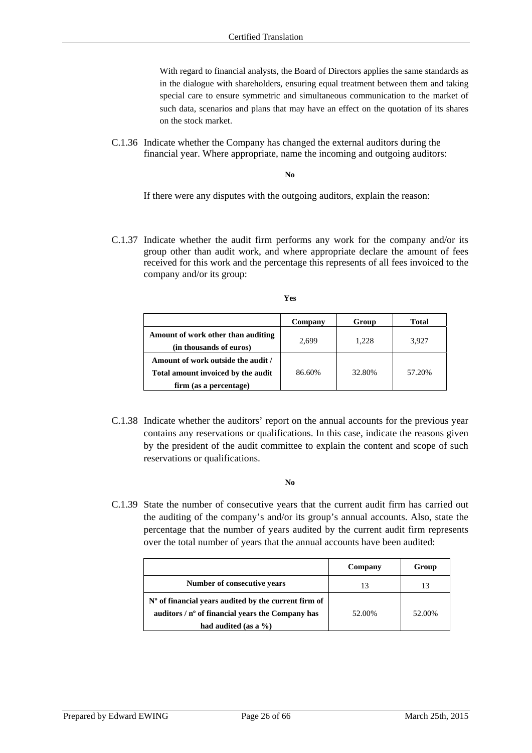With regard to financial analysts, the Board of Directors applies the same standards as in the dialogue with shareholders, ensuring equal treatment between them and taking special care to ensure symmetric and simultaneous communication to the market of such data, scenarios and plans that may have an effect on the quotation of its shares on the stock market.

C.1.36 Indicate whether the Company has changed the external auditors during the financial year. Where appropriate, name the incoming and outgoing auditors:

**No** 

If there were any disputes with the outgoing auditors, explain the reason:

C.1.37 Indicate whether the audit firm performs any work for the company and/or its group other than audit work, and where appropriate declare the amount of fees received for this work and the percentage this represents of all fees invoiced to the company and/or its group:

|                                                                          | Company | Group  | <b>Total</b> |
|--------------------------------------------------------------------------|---------|--------|--------------|
| Amount of work other than auditing<br>(in thousands of euros)            | 2.699   | 1.228  | 3.927        |
| Amount of work outside the audit /<br>Total amount invoiced by the audit | 86.60%  | 32.80% | 57.20%       |
| firm (as a percentage)                                                   |         |        |              |

C.1.38 Indicate whether the auditors' report on the annual accounts for the previous year contains any reservations or qualifications. In this case, indicate the reasons given by the president of the audit committee to explain the content and scope of such reservations or qualifications.

**No** 

C.1.39 State the number of consecutive years that the current audit firm has carried out the auditing of the company's and/or its group's annual accounts. Also, state the percentage that the number of years audited by the current audit firm represents over the total number of years that the annual accounts have been audited:

|                                                        | Company | Group  |
|--------------------------------------------------------|---------|--------|
| Number of consecutive years                            | 13      | 13     |
| $No$ of financial years audited by the current firm of |         |        |
| auditors $/$ n° of financial years the Company has     | 52.00%  | 52.00% |
| had audited (as a $\%$ )                               |         |        |

**Yes**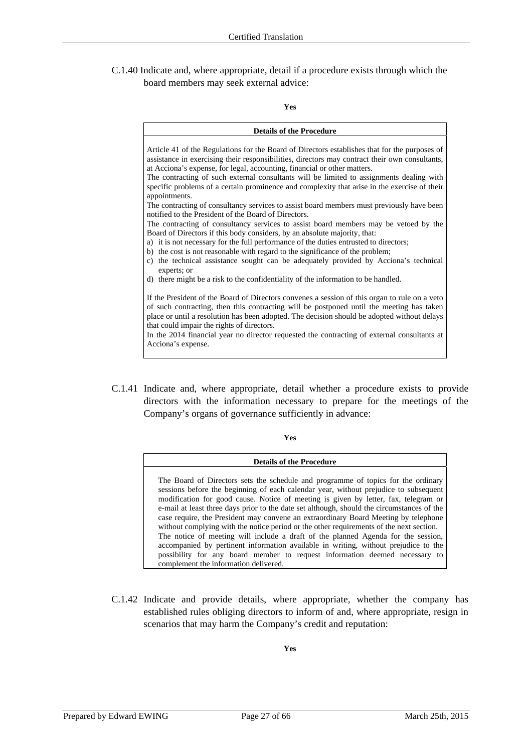C.1.40 Indicate and, where appropriate, detail if a procedure exists through which the board members may seek external advice:

#### **Yes**

| <b>Details of the Procedure</b>                                                                                                                                                                                                                                                                                                                                         |
|-------------------------------------------------------------------------------------------------------------------------------------------------------------------------------------------------------------------------------------------------------------------------------------------------------------------------------------------------------------------------|
| Article 41 of the Regulations for the Board of Directors establishes that for the purposes of<br>assistance in exercising their responsibilities, directors may contract their own consultants,<br>at Acciona's expense, for legal, accounting, financial or other matters.<br>The contracting of such external consultants will be limited to assignments dealing with |
| specific problems of a certain prominence and complexity that arise in the exercise of their<br>appointments.                                                                                                                                                                                                                                                           |
| The contracting of consultancy services to assist board members must previously have been<br>notified to the President of the Board of Directors.                                                                                                                                                                                                                       |
| The contracting of consultancy services to assist board members may be vetoed by the<br>Board of Directors if this body considers, by an absolute majority, that:                                                                                                                                                                                                       |
| a) it is not necessary for the full performance of the duties entrusted to directors;<br>b) the cost is not reasonable with regard to the significance of the problem;                                                                                                                                                                                                  |
| c) the technical assistance sought can be adequately provided by Acciona's technical<br>experts; or                                                                                                                                                                                                                                                                     |
| d) there might be a risk to the confidentiality of the information to be handled.                                                                                                                                                                                                                                                                                       |
| If the President of the Board of Directors convenes a session of this organ to rule on a veto                                                                                                                                                                                                                                                                           |
| of such contracting, then this contracting will be postponed until the meeting has taken<br>place or until a resolution has been adopted. The decision should be adopted without delays<br>that could impair the rights of directors.                                                                                                                                   |
| In the 2014 financial year no director requested the contracting of external consultants at<br>Acciona's expense.                                                                                                                                                                                                                                                       |

C.1.41 Indicate and, where appropriate, detail whether a procedure exists to provide directors with the information necessary to prepare for the meetings of the Company's organs of governance sufficiently in advance:

**Yes** 

#### **Details of the Procedure**

The Board of Directors sets the schedule and programme of topics for the ordinary sessions before the beginning of each calendar year, without prejudice to subsequent modification for good cause. Notice of meeting is given by letter, fax, telegram or e-mail at least three days prior to the date set although, should the circumstances of the case require, the President may convene an extraordinary Board Meeting by telephone without complying with the notice period or the other requirements of the next section. The notice of meeting will include a draft of the planned Agenda for the session, accompanied by pertinent information available in writing, without prejudice to the possibility for any board member to request information deemed necessary to complement the information delivered.

C.1.42 Indicate and provide details, where appropriate, whether the company has established rules obliging directors to inform of and, where appropriate, resign in scenarios that may harm the Company's credit and reputation:

**Yes**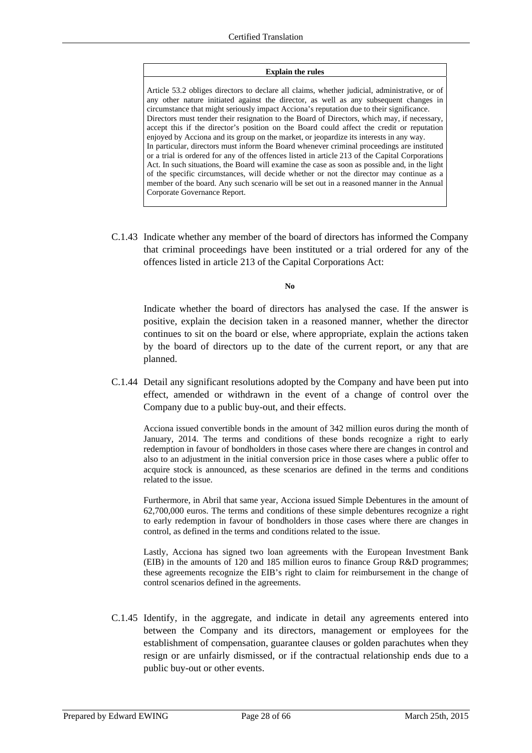#### **Explain the rules**

Article 53.2 obliges directors to declare all claims, whether judicial, administrative, or of any other nature initiated against the director, as well as any subsequent changes in circumstance that might seriously impact Acciona's reputation due to their significance. Directors must tender their resignation to the Board of Directors, which may, if necessary, accept this if the director's position on the Board could affect the credit or reputation enjoyed by Acciona and its group on the market, or jeopardize its interests in any way. In particular, directors must inform the Board whenever criminal proceedings are instituted or a trial is ordered for any of the offences listed in article 213 of the Capital Corporations Act. In such situations, the Board will examine the case as soon as possible and, in the light of the specific circumstances, will decide whether or not the director may continue as a member of the board. Any such scenario will be set out in a reasoned manner in the Annual Corporate Governance Report.

C.1.43 Indicate whether any member of the board of directors has informed the Company that criminal proceedings have been instituted or a trial ordered for any of the offences listed in article 213 of the Capital Corporations Act:

**No** 

Indicate whether the board of directors has analysed the case. If the answer is positive, explain the decision taken in a reasoned manner, whether the director continues to sit on the board or else, where appropriate, explain the actions taken by the board of directors up to the date of the current report, or any that are planned.

C.1.44 Detail any significant resolutions adopted by the Company and have been put into effect, amended or withdrawn in the event of a change of control over the Company due to a public buy-out, and their effects.

Acciona issued convertible bonds in the amount of 342 million euros during the month of January, 2014. The terms and conditions of these bonds recognize a right to early redemption in favour of bondholders in those cases where there are changes in control and also to an adjustment in the initial conversion price in those cases where a public offer to acquire stock is announced, as these scenarios are defined in the terms and conditions related to the issue.

Furthermore, in Abril that same year, Acciona issued Simple Debentures in the amount of 62,700,000 euros. The terms and conditions of these simple debentures recognize a right to early redemption in favour of bondholders in those cases where there are changes in control, as defined in the terms and conditions related to the issue.

Lastly, Acciona has signed two loan agreements with the European Investment Bank (EIB) in the amounts of 120 and 185 million euros to finance Group R&D programmes; these agreements recognize the EIB's right to claim for reimbursement in the change of control scenarios defined in the agreements.

C.1.45 Identify, in the aggregate, and indicate in detail any agreements entered into between the Company and its directors, management or employees for the establishment of compensation, guarantee clauses or golden parachutes when they resign or are unfairly dismissed, or if the contractual relationship ends due to a public buy-out or other events.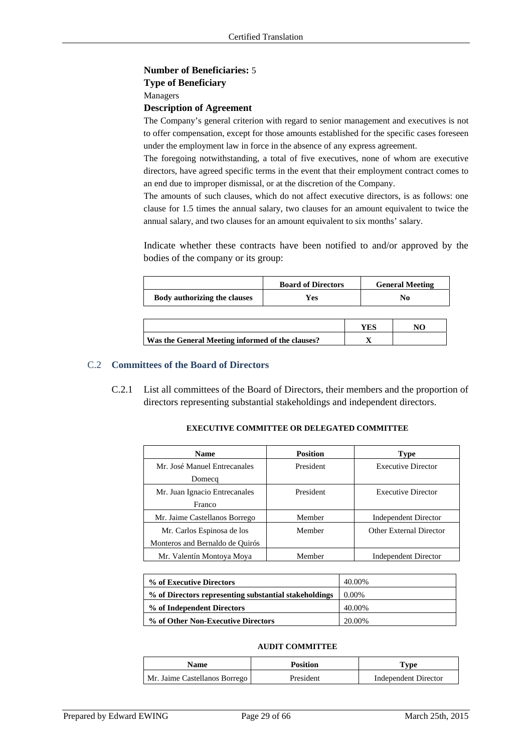### **Number of Beneficiaries:** 5

### **Type of Beneficiary**

Managers

### **Description of Agreement**

The Company's general criterion with regard to senior management and executives is not to offer compensation, except for those amounts established for the specific cases foreseen under the employment law in force in the absence of any express agreement.

The foregoing notwithstanding, a total of five executives, none of whom are executive directors, have agreed specific terms in the event that their employment contract comes to an end due to improper dismissal, or at the discretion of the Company.

The amounts of such clauses, which do not affect executive directors, is as follows: one clause for 1.5 times the annual salary, two clauses for an amount equivalent to twice the annual salary, and two clauses for an amount equivalent to six months' salary.

Indicate whether these contracts have been notified to and/or approved by the bodies of the company or its group:

|                                                  | <b>Board of Directors</b> |     | <b>General Meeting</b> |
|--------------------------------------------------|---------------------------|-----|------------------------|
| Body authorizing the clauses                     | Yes                       |     | No.                    |
|                                                  |                           |     |                        |
|                                                  |                           | YES | NO                     |
| Was the General Meeting informed of the clauses? |                           |     |                        |

### C.2 **Committees of the Board of Directors**

C.2.1 List all committees of the Board of Directors, their members and the proportion of directors representing substantial stakeholdings and independent directors.

| <b>Name</b>                     | <b>Position</b> | <b>Type</b>                 |
|---------------------------------|-----------------|-----------------------------|
| Mr. José Manuel Entrecanales    | President       | <b>Executive Director</b>   |
| Domecq                          |                 |                             |
| Mr. Juan Ignacio Entrecanales   | President       | <b>Executive Director</b>   |
| Franco                          |                 |                             |
| Mr. Jaime Castellanos Borrego   | Member          | <b>Independent Director</b> |
| Mr. Carlos Espinosa de los      | Member          | Other External Director     |
| Monteros and Bernaldo de Quirós |                 |                             |
| Mr. Valentín Montoya Moya       | Member          | <b>Independent Director</b> |

### **EXECUTIVE COMMITTEE OR DELEGATED COMMITTEE**

| % of Executive Directors                              | 40.00%   |
|-------------------------------------------------------|----------|
| % of Directors representing substantial stakeholdings | $0.00\%$ |
| % of Independent Directors                            | 40.00%   |
| % of Other Non-Executive Directors                    | 20.00%   |

### **AUDIT COMMITTEE**

| <b>Name</b>                   | <b>Position</b> | Type                 |  |
|-------------------------------|-----------------|----------------------|--|
| Mr. Jaime Castellanos Borrego | President       | Independent Director |  |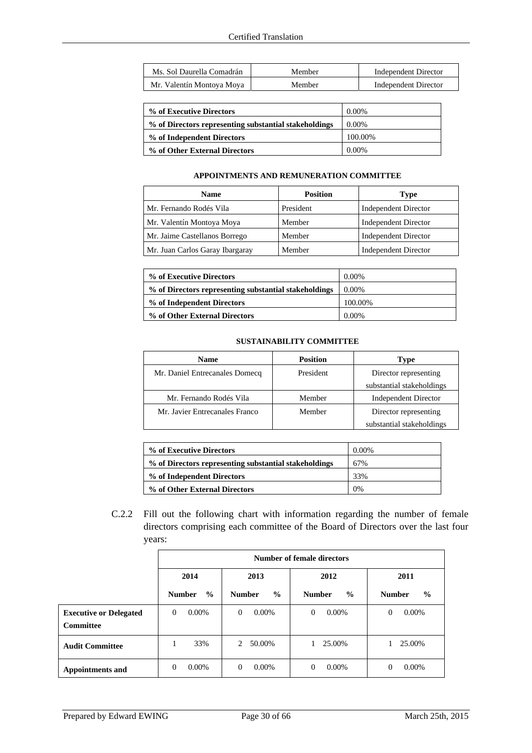| Ms. Sol Daurella Comadrán | Member | Independent Director |
|---------------------------|--------|----------------------|
| Mr. Valentín Montoya Moya | Member | Independent Director |

| % of Executive Directors                              | $0.00\%$ |
|-------------------------------------------------------|----------|
| % of Directors representing substantial stakeholdings | $0.00\%$ |
| % of Independent Directors                            | 100.00%  |
| % of Other External Directors                         | $0.00\%$ |

### **APPOINTMENTS AND REMUNERATION COMMITTEE**

| <b>Name</b>                     | <b>Position</b> | <b>Type</b>                 |  |
|---------------------------------|-----------------|-----------------------------|--|
| Mr. Fernando Rodés Vila         | President       | <b>Independent Director</b> |  |
| Mr. Valentín Montoya Moya       | Member          | <b>Independent Director</b> |  |
| Mr. Jaime Castellanos Borrego   | Member          | <b>Independent Director</b> |  |
| Mr. Juan Carlos Garay Ibargaray | Member          | <b>Independent Director</b> |  |

| % of Executive Directors                              | 0.00%    |
|-------------------------------------------------------|----------|
| % of Directors representing substantial stakeholdings | 0.00%    |
| % of Independent Directors                            | 100.00%  |
| % of Other External Directors                         | $0.00\%$ |

### **SUSTAINABILITY COMMITTEE**

| <b>Name</b>                    | <b>Position</b> | Type                        |  |
|--------------------------------|-----------------|-----------------------------|--|
| Mr. Daniel Entrecanales Domecq | President       | Director representing       |  |
|                                |                 | substantial stakeholdings   |  |
| Mr. Fernando Rodés Vila        | Member          | <b>Independent Director</b> |  |
| Mr. Javier Entrecanales Franco | Member          | Director representing       |  |
|                                |                 | substantial stakeholdings   |  |

| % of Executive Directors                              | $0.00\%$ |
|-------------------------------------------------------|----------|
| % of Directors representing substantial stakeholdings | 67%      |
| % of Independent Directors                            | 33%      |
| % of Other External Directors                         | 0%       |

C.2.2 Fill out the following chart with information regarding the number of female directors comprising each committee of the Board of Directors over the last four years:

|                               | Number of female directors |                   |               |               |
|-------------------------------|----------------------------|-------------------|---------------|---------------|
|                               | 2014                       | 2013              | 2012          | 2011          |
|                               | $\frac{6}{9}$              | $\frac{0}{0}$     | $\frac{6}{9}$ | $\frac{0}{0}$ |
|                               | <b>Number</b>              | <b>Number</b>     | <b>Number</b> | <b>Number</b> |
| <b>Executive or Delegated</b> | $0.00\%$                   | $0.00\%$          | $0.00\%$      | $0.00\%$      |
| <b>Committee</b>              | $\Omega$                   | $\Omega$          | $\Omega$      | $\Omega$      |
| <b>Audit Committee</b>        | 33%                        | 50.00%<br>$2^{1}$ | 25.00%        | 25.00%        |
| <b>Appointments and</b>       | $0.00\%$                   | $0.00\%$          | $0.00\%$      | $0.00\%$      |
|                               | $\Omega$                   | $\Omega$          | $\Omega$      | $\Omega$      |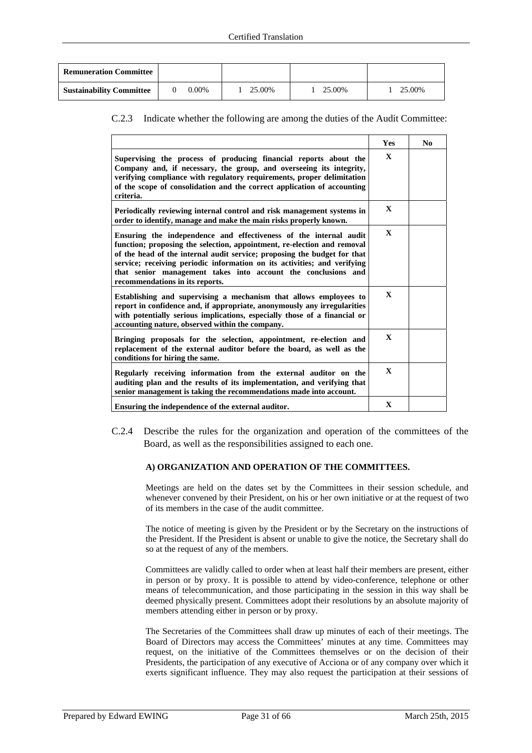| <b>Remuneration Committee</b>   |       |        |        |        |
|---------------------------------|-------|--------|--------|--------|
| <b>Sustainability Committee</b> | 0.00% | 25.00% | 25.00% | 25.00% |

### C.2.3 Indicate whether the following are among the duties of the Audit Committee:

|                                                                                                                                                                                                                                                                                                                                                                                                          | Yes          | No |
|----------------------------------------------------------------------------------------------------------------------------------------------------------------------------------------------------------------------------------------------------------------------------------------------------------------------------------------------------------------------------------------------------------|--------------|----|
| Supervising the process of producing financial reports about the<br>Company and, if necessary, the group, and overseeing its integrity,<br>verifying compliance with regulatory requirements, proper delimitation<br>of the scope of consolidation and the correct application of accounting<br>criteria.                                                                                                | $\mathbf x$  |    |
| Periodically reviewing internal control and risk management systems in<br>order to identify, manage and make the main risks properly known.                                                                                                                                                                                                                                                              | $\mathbf{X}$ |    |
| Ensuring the independence and effectiveness of the internal audit<br>function; proposing the selection, appointment, re-election and removal<br>of the head of the internal audit service; proposing the budget for that<br>service; receiving periodic information on its activities; and verifying<br>that senior management takes into account the conclusions and<br>recommendations in its reports. | $\mathbf{X}$ |    |
| Establishing and supervising a mechanism that allows employees to<br>report in confidence and, if appropriate, anonymously any irregularities<br>with potentially serious implications, especially those of a financial or<br>accounting nature, observed within the company.                                                                                                                            |              |    |
| Bringing proposals for the selection, appointment, re-election and<br>replacement of the external auditor before the board, as well as the<br>conditions for hiring the same.                                                                                                                                                                                                                            |              |    |
| Regularly receiving information from the external auditor on the<br>auditing plan and the results of its implementation, and verifying that<br>senior management is taking the recommendations made into account.                                                                                                                                                                                        |              |    |
| Ensuring the independence of the external auditor.                                                                                                                                                                                                                                                                                                                                                       |              |    |

C.2.4 Describe the rules for the organization and operation of the committees of the Board, as well as the responsibilities assigned to each one.

### **A) ORGANIZATION AND OPERATION OF THE COMMITTEES.**

Meetings are held on the dates set by the Committees in their session schedule, and whenever convened by their President, on his or her own initiative or at the request of two of its members in the case of the audit committee.

The notice of meeting is given by the President or by the Secretary on the instructions of the President. If the President is absent or unable to give the notice, the Secretary shall do so at the request of any of the members.

Committees are validly called to order when at least half their members are present, either in person or by proxy. It is possible to attend by video-conference, telephone or other means of telecommunication, and those participating in the session in this way shall be deemed physically present. Committees adopt their resolutions by an absolute majority of members attending either in person or by proxy.

The Secretaries of the Committees shall draw up minutes of each of their meetings. The Board of Directors may access the Committees' minutes at any time. Committees may request, on the initiative of the Committees themselves or on the decision of their Presidents, the participation of any executive of Acciona or of any company over which it exerts significant influence. They may also request the participation at their sessions of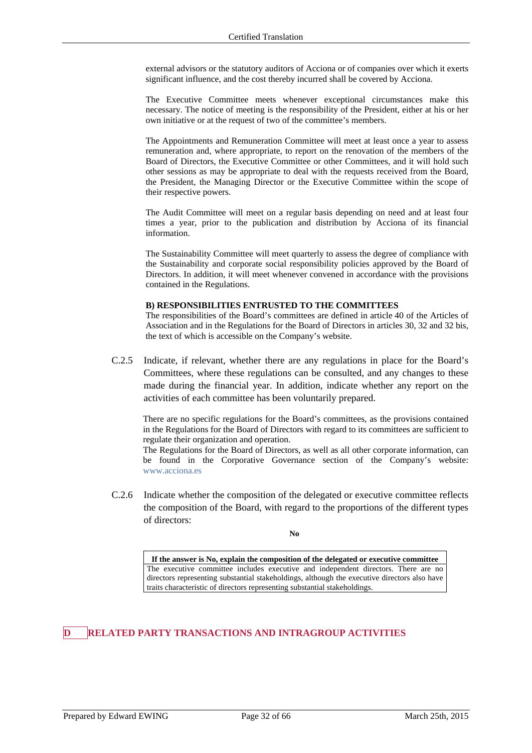external advisors or the statutory auditors of Acciona or of companies over which it exerts significant influence, and the cost thereby incurred shall be covered by Acciona.

The Executive Committee meets whenever exceptional circumstances make this necessary. The notice of meeting is the responsibility of the President, either at his or her own initiative or at the request of two of the committee's members.

The Appointments and Remuneration Committee will meet at least once a year to assess remuneration and, where appropriate, to report on the renovation of the members of the Board of Directors, the Executive Committee or other Committees, and it will hold such other sessions as may be appropriate to deal with the requests received from the Board, the President, the Managing Director or the Executive Committee within the scope of their respective powers.

The Audit Committee will meet on a regular basis depending on need and at least four times a year, prior to the publication and distribution by Acciona of its financial information.

The Sustainability Committee will meet quarterly to assess the degree of compliance with the Sustainability and corporate social responsibility policies approved by the Board of Directors. In addition, it will meet whenever convened in accordance with the provisions contained in the Regulations.

### **B) RESPONSIBILITIES ENTRUSTED TO THE COMMITTEES**

The responsibilities of the Board's committees are defined in article 40 of the Articles of Association and in the Regulations for the Board of Directors in articles 30, 32 and 32 bis, the text of which is accessible on the Company's website.

C.2.5 Indicate, if relevant, whether there are any regulations in place for the Board's Committees, where these regulations can be consulted, and any changes to these made during the financial year. In addition, indicate whether any report on the activities of each committee has been voluntarily prepared.

There are no specific regulations for the Board's committees, as the provisions contained in the Regulations for the Board of Directors with regard to its committees are sufficient to regulate their organization and operation.

The Regulations for the Board of Directors, as well as all other corporate information, can be found in the Corporative Governance section of the Company's website: www.acciona.es

C.2.6 Indicate whether the composition of the delegated or executive committee reflects the composition of the Board, with regard to the proportions of the different types of directors:

**No** 

**If the answer is No, explain the composition of the delegated or executive committee**  The executive committee includes executive and independent directors. There are no directors representing substantial stakeholdings, although the executive directors also have traits characteristic of directors representing substantial stakeholdings.

# **RELATED PARTY TRANSACTIONS AND INTRAGROUP ACTIVITIES**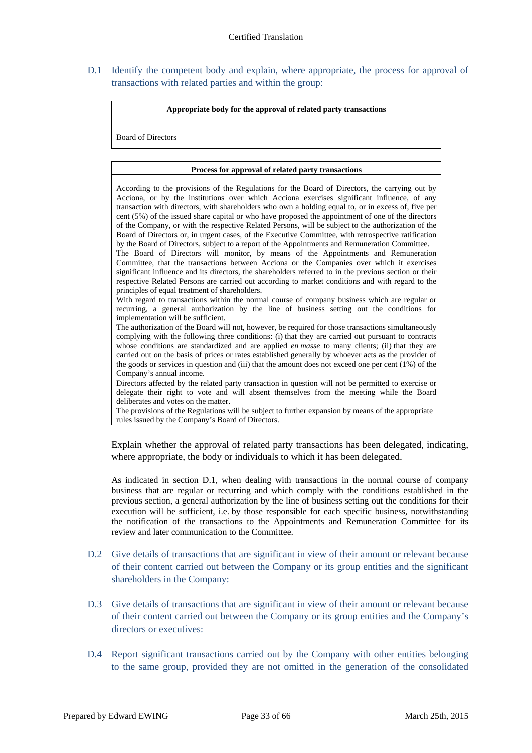## D.1 Identify the competent body and explain, where appropriate, the process for approval of transactions with related parties and within the group:

#### **Appropriate body for the approval of related party transactions**

Board of Directors

#### **Process for approval of related party transactions**

According to the provisions of the Regulations for the Board of Directors, the carrying out by Acciona, or by the institutions over which Acciona exercises significant influence, of any transaction with directors, with shareholders who own a holding equal to, or in excess of, five per cent (5%) of the issued share capital or who have proposed the appointment of one of the directors of the Company, or with the respective Related Persons, will be subject to the authorization of the Board of Directors or, in urgent cases, of the Executive Committee, with retrospective ratification by the Board of Directors, subject to a report of the Appointments and Remuneration Committee.

The Board of Directors will monitor, by means of the Appointments and Remuneration Committee, that the transactions between Acciona or the Companies over which it exercises significant influence and its directors, the shareholders referred to in the previous section or their respective Related Persons are carried out according to market conditions and with regard to the principles of equal treatment of shareholders.

With regard to transactions within the normal course of company business which are regular or recurring, a general authorization by the line of business setting out the conditions for implementation will be sufficient.

The authorization of the Board will not, however, be required for those transactions simultaneously complying with the following three conditions: (i) that they are carried out pursuant to contracts whose conditions are standardized and are applied *en masse* to many clients; (ii) that they are carried out on the basis of prices or rates established generally by whoever acts as the provider of the goods or services in question and (iii) that the amount does not exceed one per cent (1%) of the Company's annual income.

Directors affected by the related party transaction in question will not be permitted to exercise or delegate their right to vote and will absent themselves from the meeting while the Board deliberates and votes on the matter.

The provisions of the Regulations will be subject to further expansion by means of the appropriate rules issued by the Company's Board of Directors.

Explain whether the approval of related party transactions has been delegated, indicating, where appropriate, the body or individuals to which it has been delegated.

As indicated in section D.1, when dealing with transactions in the normal course of company business that are regular or recurring and which comply with the conditions established in the previous section, a general authorization by the line of business setting out the conditions for their execution will be sufficient, i.e. by those responsible for each specific business, notwithstanding the notification of the transactions to the Appointments and Remuneration Committee for its review and later communication to the Committee.

- D.2 Give details of transactions that are significant in view of their amount or relevant because of their content carried out between the Company or its group entities and the significant shareholders in the Company:
- D.3 Give details of transactions that are significant in view of their amount or relevant because of their content carried out between the Company or its group entities and the Company's directors or executives:
- D.4 Report significant transactions carried out by the Company with other entities belonging to the same group, provided they are not omitted in the generation of the consolidated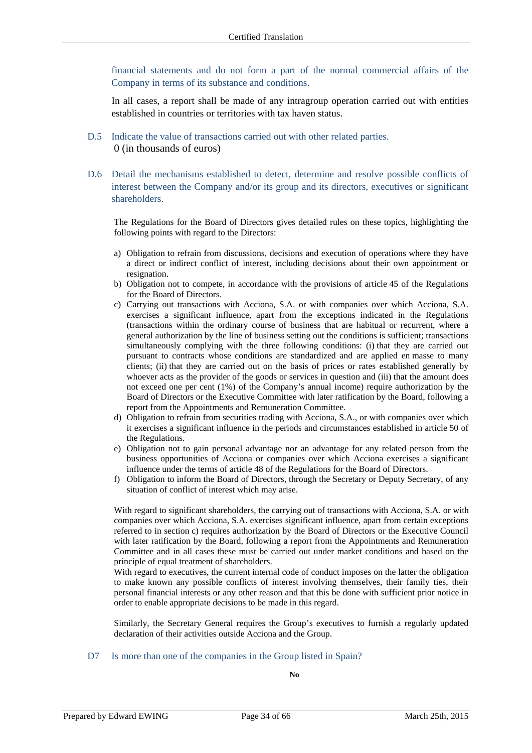financial statements and do not form a part of the normal commercial affairs of the Company in terms of its substance and conditions.

In all cases, a report shall be made of any intragroup operation carried out with entities established in countries or territories with tax haven status.

- D.5 Indicate the value of transactions carried out with other related parties. 0 (in thousands of euros)
- D.6 Detail the mechanisms established to detect, determine and resolve possible conflicts of interest between the Company and/or its group and its directors, executives or significant shareholders.

The Regulations for the Board of Directors gives detailed rules on these topics, highlighting the following points with regard to the Directors:

- a) Obligation to refrain from discussions, decisions and execution of operations where they have a direct or indirect conflict of interest, including decisions about their own appointment or resignation.
- b) Obligation not to compete, in accordance with the provisions of article 45 of the Regulations for the Board of Directors.
- c) Carrying out transactions with Acciona, S.A. or with companies over which Acciona, S.A. exercises a significant influence, apart from the exceptions indicated in the Regulations (transactions within the ordinary course of business that are habitual or recurrent, where a general authorization by the line of business setting out the conditions is sufficient; transactions simultaneously complying with the three following conditions: (i) that they are carried out pursuant to contracts whose conditions are standardized and are applied en masse to many clients; (ii) that they are carried out on the basis of prices or rates established generally by whoever acts as the provider of the goods or services in question and (iii) that the amount does not exceed one per cent (1%) of the Company's annual income) require authorization by the Board of Directors or the Executive Committee with later ratification by the Board, following a report from the Appointments and Remuneration Committee.
- d) Obligation to refrain from securities trading with Acciona, S.A., or with companies over which it exercises a significant influence in the periods and circumstances established in article 50 of the Regulations.
- e) Obligation not to gain personal advantage nor an advantage for any related person from the business opportunities of Acciona or companies over which Acciona exercises a significant influence under the terms of article 48 of the Regulations for the Board of Directors.
- f) Obligation to inform the Board of Directors, through the Secretary or Deputy Secretary, of any situation of conflict of interest which may arise.

With regard to significant shareholders, the carrying out of transactions with Acciona, S.A. or with companies over which Acciona, S.A. exercises significant influence, apart from certain exceptions referred to in section c) requires authorization by the Board of Directors or the Executive Council with later ratification by the Board, following a report from the Appointments and Remuneration Committee and in all cases these must be carried out under market conditions and based on the principle of equal treatment of shareholders.

With regard to executives, the current internal code of conduct imposes on the latter the obligation to make known any possible conflicts of interest involving themselves, their family ties, their personal financial interests or any other reason and that this be done with sufficient prior notice in order to enable appropriate decisions to be made in this regard.

Similarly, the Secretary General requires the Group's executives to furnish a regularly updated declaration of their activities outside Acciona and the Group.

### D7 Is more than one of the companies in the Group listed in Spain?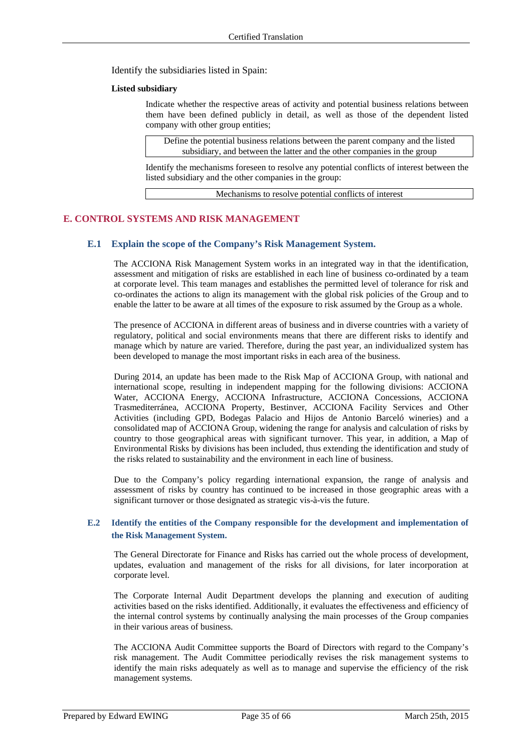Identify the subsidiaries listed in Spain:

### **Listed subsidiary**

Indicate whether the respective areas of activity and potential business relations between them have been defined publicly in detail, as well as those of the dependent listed company with other group entities;

Define the potential business relations between the parent company and the listed subsidiary, and between the latter and the other companies in the group

Identify the mechanisms foreseen to resolve any potential conflicts of interest between the listed subsidiary and the other companies in the group:

Mechanisms to resolve potential conflicts of interest

### **E. CONTROL SYSTEMS AND RISK MANAGEMENT**

### **E.1 Explain the scope of the Company's Risk Management System.**

The ACCIONA Risk Management System works in an integrated way in that the identification, assessment and mitigation of risks are established in each line of business co-ordinated by a team at corporate level. This team manages and establishes the permitted level of tolerance for risk and co-ordinates the actions to align its management with the global risk policies of the Group and to enable the latter to be aware at all times of the exposure to risk assumed by the Group as a whole.

The presence of ACCIONA in different areas of business and in diverse countries with a variety of regulatory, political and social environments means that there are different risks to identify and manage which by nature are varied. Therefore, during the past year, an individualized system has been developed to manage the most important risks in each area of the business.

During 2014, an update has been made to the Risk Map of ACCIONA Group, with national and international scope, resulting in independent mapping for the following divisions: ACCIONA Water, ACCIONA Energy, ACCIONA Infrastructure, ACCIONA Concessions, ACCIONA Trasmediterránea, ACCIONA Property, Bestinver, ACCIONA Facility Services and Other Activities (including GPD, Bodegas Palacio and Hijos de Antonio Barceló wineries) and a consolidated map of ACCIONA Group, widening the range for analysis and calculation of risks by country to those geographical areas with significant turnover. This year, in addition, a Map of Environmental Risks by divisions has been included, thus extending the identification and study of the risks related to sustainability and the environment in each line of business.

Due to the Company's policy regarding international expansion, the range of analysis and assessment of risks by country has continued to be increased in those geographic areas with a significant turnover or those designated as strategic vis-à-vis the future.

### **E.2 Identify the entities of the Company responsible for the development and implementation of the Risk Management System.**

The General Directorate for Finance and Risks has carried out the whole process of development, updates, evaluation and management of the risks for all divisions, for later incorporation at corporate level.

The Corporate Internal Audit Department develops the planning and execution of auditing activities based on the risks identified. Additionally, it evaluates the effectiveness and efficiency of the internal control systems by continually analysing the main processes of the Group companies in their various areas of business.

The ACCIONA Audit Committee supports the Board of Directors with regard to the Company's risk management. The Audit Committee periodically revises the risk management systems to identify the main risks adequately as well as to manage and supervise the efficiency of the risk management systems.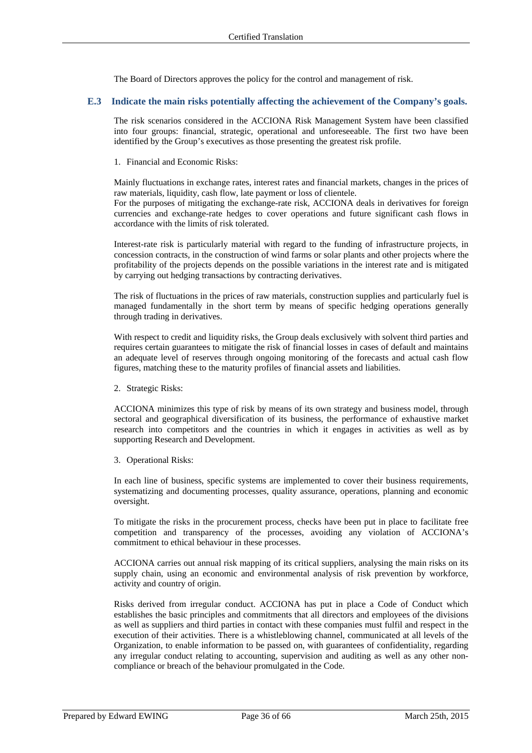The Board of Directors approves the policy for the control and management of risk.

### **E.3 Indicate the main risks potentially affecting the achievement of the Company's goals.**

The risk scenarios considered in the ACCIONA Risk Management System have been classified into four groups: financial, strategic, operational and unforeseeable. The first two have been identified by the Group's executives as those presenting the greatest risk profile.

1. Financial and Economic Risks:

Mainly fluctuations in exchange rates, interest rates and financial markets, changes in the prices of raw materials, liquidity, cash flow, late payment or loss of clientele.

For the purposes of mitigating the exchange-rate risk, ACCIONA deals in derivatives for foreign currencies and exchange-rate hedges to cover operations and future significant cash flows in accordance with the limits of risk tolerated.

Interest-rate risk is particularly material with regard to the funding of infrastructure projects, in concession contracts, in the construction of wind farms or solar plants and other projects where the profitability of the projects depends on the possible variations in the interest rate and is mitigated by carrying out hedging transactions by contracting derivatives.

The risk of fluctuations in the prices of raw materials, construction supplies and particularly fuel is managed fundamentally in the short term by means of specific hedging operations generally through trading in derivatives.

With respect to credit and liquidity risks, the Group deals exclusively with solvent third parties and requires certain guarantees to mitigate the risk of financial losses in cases of default and maintains an adequate level of reserves through ongoing monitoring of the forecasts and actual cash flow figures, matching these to the maturity profiles of financial assets and liabilities.

2. Strategic Risks:

ACCIONA minimizes this type of risk by means of its own strategy and business model, through sectoral and geographical diversification of its business, the performance of exhaustive market research into competitors and the countries in which it engages in activities as well as by supporting Research and Development.

3. Operational Risks:

In each line of business, specific systems are implemented to cover their business requirements, systematizing and documenting processes, quality assurance, operations, planning and economic oversight.

To mitigate the risks in the procurement process, checks have been put in place to facilitate free competition and transparency of the processes, avoiding any violation of ACCIONA's commitment to ethical behaviour in these processes.

ACCIONA carries out annual risk mapping of its critical suppliers, analysing the main risks on its supply chain, using an economic and environmental analysis of risk prevention by workforce, activity and country of origin.

Risks derived from irregular conduct. ACCIONA has put in place a Code of Conduct which establishes the basic principles and commitments that all directors and employees of the divisions as well as suppliers and third parties in contact with these companies must fulfil and respect in the execution of their activities. There is a whistleblowing channel, communicated at all levels of the Organization, to enable information to be passed on, with guarantees of confidentiality, regarding any irregular conduct relating to accounting, supervision and auditing as well as any other noncompliance or breach of the behaviour promulgated in the Code.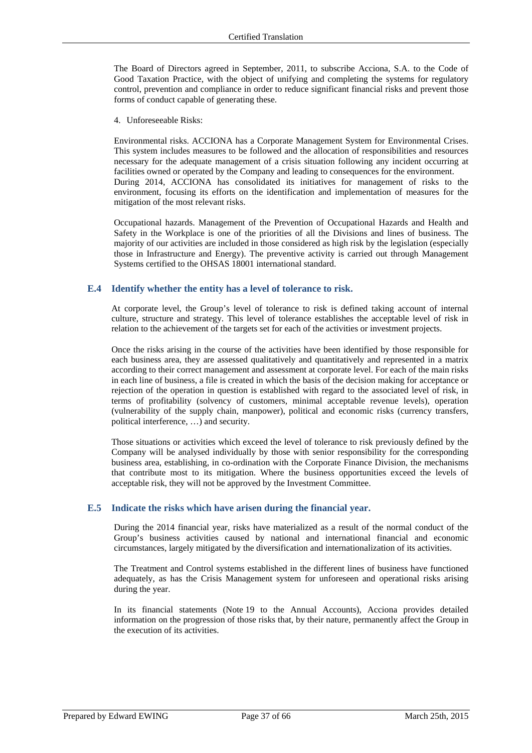The Board of Directors agreed in September, 2011, to subscribe Acciona, S.A. to the Code of Good Taxation Practice, with the object of unifying and completing the systems for regulatory control, prevention and compliance in order to reduce significant financial risks and prevent those forms of conduct capable of generating these.

4. Unforeseeable Risks:

Environmental risks. ACCIONA has a Corporate Management System for Environmental Crises. This system includes measures to be followed and the allocation of responsibilities and resources necessary for the adequate management of a crisis situation following any incident occurring at facilities owned or operated by the Company and leading to consequences for the environment. During 2014, ACCIONA has consolidated its initiatives for management of risks to the environment, focusing its efforts on the identification and implementation of measures for the mitigation of the most relevant risks.

Occupational hazards. Management of the Prevention of Occupational Hazards and Health and Safety in the Workplace is one of the priorities of all the Divisions and lines of business. The majority of our activities are included in those considered as high risk by the legislation (especially those in Infrastructure and Energy). The preventive activity is carried out through Management Systems certified to the OHSAS 18001 international standard.

### **E.4 Identify whether the entity has a level of tolerance to risk.**

At corporate level, the Group's level of tolerance to risk is defined taking account of internal culture, structure and strategy. This level of tolerance establishes the acceptable level of risk in relation to the achievement of the targets set for each of the activities or investment projects.

Once the risks arising in the course of the activities have been identified by those responsible for each business area, they are assessed qualitatively and quantitatively and represented in a matrix according to their correct management and assessment at corporate level. For each of the main risks in each line of business, a file is created in which the basis of the decision making for acceptance or rejection of the operation in question is established with regard to the associated level of risk, in terms of profitability (solvency of customers, minimal acceptable revenue levels), operation (vulnerability of the supply chain, manpower), political and economic risks (currency transfers, political interference, …) and security.

Those situations or activities which exceed the level of tolerance to risk previously defined by the Company will be analysed individually by those with senior responsibility for the corresponding business area, establishing, in co-ordination with the Corporate Finance Division, the mechanisms that contribute most to its mitigation. Where the business opportunities exceed the levels of acceptable risk, they will not be approved by the Investment Committee.

### **E.5 Indicate the risks which have arisen during the financial year.**

During the 2014 financial year, risks have materialized as a result of the normal conduct of the Group's business activities caused by national and international financial and economic circumstances, largely mitigated by the diversification and internationalization of its activities.

The Treatment and Control systems established in the different lines of business have functioned adequately, as has the Crisis Management system for unforeseen and operational risks arising during the year.

In its financial statements (Note 19 to the Annual Accounts), Acciona provides detailed information on the progression of those risks that, by their nature, permanently affect the Group in the execution of its activities.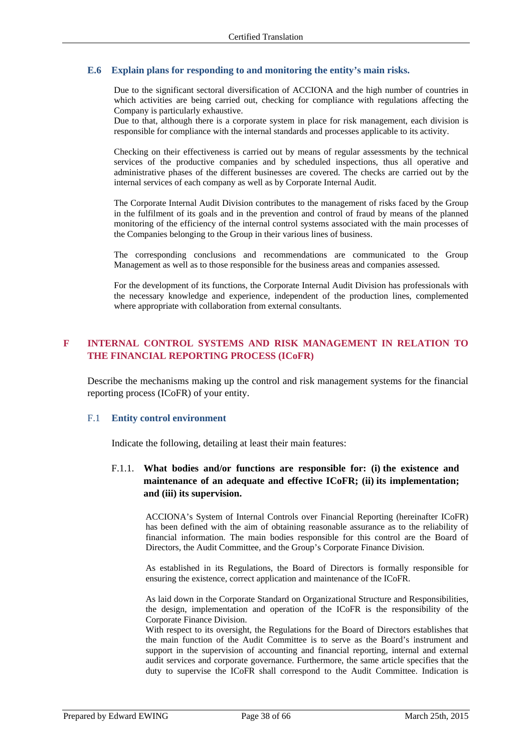### **E.6 Explain plans for responding to and monitoring the entity's main risks.**

Due to the significant sectoral diversification of ACCIONA and the high number of countries in which activities are being carried out, checking for compliance with regulations affecting the Company is particularly exhaustive.

Due to that, although there is a corporate system in place for risk management, each division is responsible for compliance with the internal standards and processes applicable to its activity.

Checking on their effectiveness is carried out by means of regular assessments by the technical services of the productive companies and by scheduled inspections, thus all operative and administrative phases of the different businesses are covered. The checks are carried out by the internal services of each company as well as by Corporate Internal Audit.

The Corporate Internal Audit Division contributes to the management of risks faced by the Group in the fulfilment of its goals and in the prevention and control of fraud by means of the planned monitoring of the efficiency of the internal control systems associated with the main processes of the Companies belonging to the Group in their various lines of business.

The corresponding conclusions and recommendations are communicated to the Group Management as well as to those responsible for the business areas and companies assessed.

For the development of its functions, the Corporate Internal Audit Division has professionals with the necessary knowledge and experience, independent of the production lines, complemented where appropriate with collaboration from external consultants.

# **F INTERNAL CONTROL SYSTEMS AND RISK MANAGEMENT IN RELATION TO THE FINANCIAL REPORTING PROCESS (ICoFR)**

Describe the mechanisms making up the control and risk management systems for the financial reporting process (ICoFR) of your entity.

### F.1 **Entity control environment**

Indicate the following, detailing at least their main features:

# F.1.1. **What bodies and/or functions are responsible for: (i) the existence and maintenance of an adequate and effective ICoFR; (ii) its implementation; and (iii) its supervision.**

ACCIONA's System of Internal Controls over Financial Reporting (hereinafter ICoFR) has been defined with the aim of obtaining reasonable assurance as to the reliability of financial information. The main bodies responsible for this control are the Board of Directors, the Audit Committee, and the Group's Corporate Finance Division.

As established in its Regulations, the Board of Directors is formally responsible for ensuring the existence, correct application and maintenance of the ICoFR.

As laid down in the Corporate Standard on Organizational Structure and Responsibilities, the design, implementation and operation of the ICoFR is the responsibility of the Corporate Finance Division.

With respect to its oversight, the Regulations for the Board of Directors establishes that the main function of the Audit Committee is to serve as the Board's instrument and support in the supervision of accounting and financial reporting, internal and external audit services and corporate governance. Furthermore, the same article specifies that the duty to supervise the ICoFR shall correspond to the Audit Committee. Indication is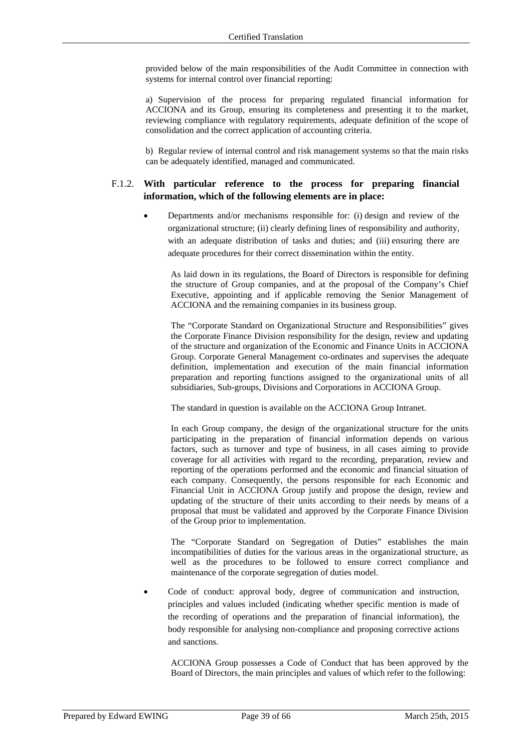provided below of the main responsibilities of the Audit Committee in connection with systems for internal control over financial reporting:

a) Supervision of the process for preparing regulated financial information for ACCIONA and its Group, ensuring its completeness and presenting it to the market, reviewing compliance with regulatory requirements, adequate definition of the scope of consolidation and the correct application of accounting criteria.

b) Regular review of internal control and risk management systems so that the main risks can be adequately identified, managed and communicated.

### F.1.2. **With particular reference to the process for preparing financial information, which of the following elements are in place:**

 Departments and/or mechanisms responsible for: (i) design and review of the organizational structure; (ii) clearly defining lines of responsibility and authority, with an adequate distribution of tasks and duties; and (iii) ensuring there are adequate procedures for their correct dissemination within the entity.

As laid down in its regulations, the Board of Directors is responsible for defining the structure of Group companies, and at the proposal of the Company's Chief Executive, appointing and if applicable removing the Senior Management of ACCIONA and the remaining companies in its business group.

The "Corporate Standard on Organizational Structure and Responsibilities" gives the Corporate Finance Division responsibility for the design, review and updating of the structure and organization of the Economic and Finance Units in ACCIONA Group. Corporate General Management co-ordinates and supervises the adequate definition, implementation and execution of the main financial information preparation and reporting functions assigned to the organizational units of all subsidiaries, Sub-groups, Divisions and Corporations in ACCIONA Group.

The standard in question is available on the ACCIONA Group Intranet.

In each Group company, the design of the organizational structure for the units participating in the preparation of financial information depends on various factors, such as turnover and type of business, in all cases aiming to provide coverage for all activities with regard to the recording, preparation, review and reporting of the operations performed and the economic and financial situation of each company. Consequently, the persons responsible for each Economic and Financial Unit in ACCIONA Group justify and propose the design, review and updating of the structure of their units according to their needs by means of a proposal that must be validated and approved by the Corporate Finance Division of the Group prior to implementation.

The "Corporate Standard on Segregation of Duties" establishes the main incompatibilities of duties for the various areas in the organizational structure, as well as the procedures to be followed to ensure correct compliance and maintenance of the corporate segregation of duties model.

 Code of conduct: approval body, degree of communication and instruction, principles and values included (indicating whether specific mention is made of the recording of operations and the preparation of financial information), the body responsible for analysing non-compliance and proposing corrective actions and sanctions.

ACCIONA Group possesses a Code of Conduct that has been approved by the Board of Directors, the main principles and values of which refer to the following: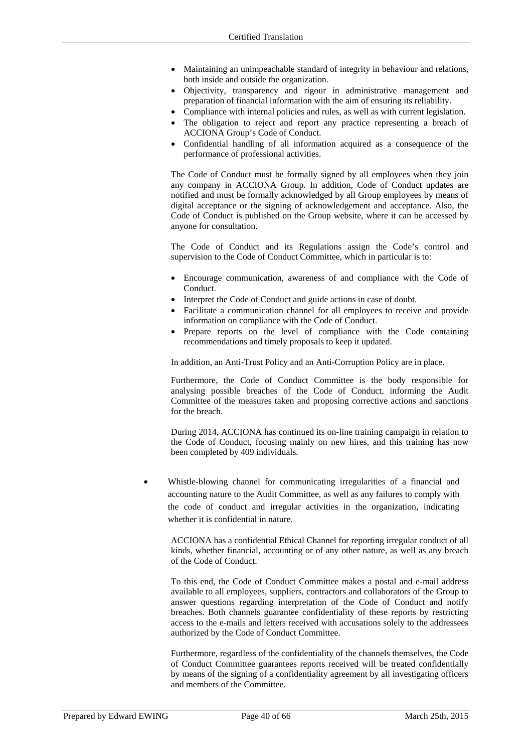- Maintaining an unimpeachable standard of integrity in behaviour and relations, both inside and outside the organization.
- Objectivity, transparency and rigour in administrative management and preparation of financial information with the aim of ensuring its reliability.
- Compliance with internal policies and rules, as well as with current legislation.
- The obligation to reject and report any practice representing a breach of ACCIONA Group's Code of Conduct.
- Confidential handling of all information acquired as a consequence of the performance of professional activities.

The Code of Conduct must be formally signed by all employees when they join any company in ACCIONA Group. In addition, Code of Conduct updates are notified and must be formally acknowledged by all Group employees by means of digital acceptance or the signing of acknowledgement and acceptance. Also, the Code of Conduct is published on the Group website, where it can be accessed by anyone for consultation.

The Code of Conduct and its Regulations assign the Code's control and supervision to the Code of Conduct Committee, which in particular is to:

- Encourage communication, awareness of and compliance with the Code of Conduct.
- Interpret the Code of Conduct and guide actions in case of doubt.
- Facilitate a communication channel for all employees to receive and provide information on compliance with the Code of Conduct.
- Prepare reports on the level of compliance with the Code containing recommendations and timely proposals to keep it updated.

In addition, an Anti-Trust Policy and an Anti-Corruption Policy are in place.

Furthermore, the Code of Conduct Committee is the body responsible for analysing possible breaches of the Code of Conduct, informing the Audit Committee of the measures taken and proposing corrective actions and sanctions for the breach.

During 2014, ACCIONA has continued its on-line training campaign in relation to the Code of Conduct, focusing mainly on new hires, and this training has now been completed by 409 individuals.

 Whistle-blowing channel for communicating irregularities of a financial and accounting nature to the Audit Committee, as well as any failures to comply with the code of conduct and irregular activities in the organization, indicating whether it is confidential in nature.

ACCIONA has a confidential Ethical Channel for reporting irregular conduct of all kinds, whether financial, accounting or of any other nature, as well as any breach of the Code of Conduct.

To this end, the Code of Conduct Committee makes a postal and e-mail address available to all employees, suppliers, contractors and collaborators of the Group to answer questions regarding interpretation of the Code of Conduct and notify breaches. Both channels guarantee confidentiality of these reports by restricting access to the e-mails and letters received with accusations solely to the addressees authorized by the Code of Conduct Committee.

Furthermore, regardless of the confidentiality of the channels themselves, the Code of Conduct Committee guarantees reports received will be treated confidentially by means of the signing of a confidentiality agreement by all investigating officers and members of the Committee.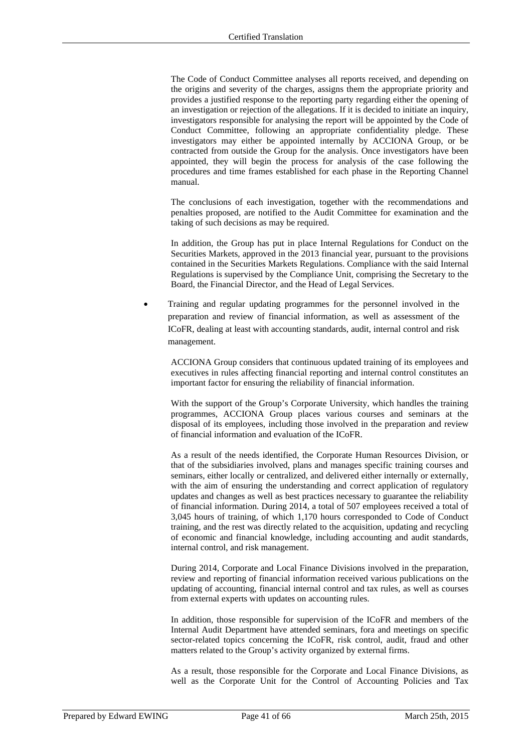The Code of Conduct Committee analyses all reports received, and depending on the origins and severity of the charges, assigns them the appropriate priority and provides a justified response to the reporting party regarding either the opening of an investigation or rejection of the allegations. If it is decided to initiate an inquiry, investigators responsible for analysing the report will be appointed by the Code of Conduct Committee, following an appropriate confidentiality pledge. These investigators may either be appointed internally by ACCIONA Group, or be contracted from outside the Group for the analysis. Once investigators have been appointed, they will begin the process for analysis of the case following the procedures and time frames established for each phase in the Reporting Channel manual.

The conclusions of each investigation, together with the recommendations and penalties proposed, are notified to the Audit Committee for examination and the taking of such decisions as may be required.

In addition, the Group has put in place Internal Regulations for Conduct on the Securities Markets, approved in the 2013 financial year, pursuant to the provisions contained in the Securities Markets Regulations. Compliance with the said Internal Regulations is supervised by the Compliance Unit, comprising the Secretary to the Board, the Financial Director, and the Head of Legal Services.

 Training and regular updating programmes for the personnel involved in the preparation and review of financial information, as well as assessment of the ICoFR, dealing at least with accounting standards, audit, internal control and risk management.

ACCIONA Group considers that continuous updated training of its employees and executives in rules affecting financial reporting and internal control constitutes an important factor for ensuring the reliability of financial information.

With the support of the Group's Corporate University, which handles the training programmes, ACCIONA Group places various courses and seminars at the disposal of its employees, including those involved in the preparation and review of financial information and evaluation of the ICoFR.

As a result of the needs identified, the Corporate Human Resources Division, or that of the subsidiaries involved, plans and manages specific training courses and seminars, either locally or centralized, and delivered either internally or externally, with the aim of ensuring the understanding and correct application of regulatory updates and changes as well as best practices necessary to guarantee the reliability of financial information. During 2014, a total of 507 employees received a total of 3,045 hours of training, of which 1,170 hours corresponded to Code of Conduct training, and the rest was directly related to the acquisition, updating and recycling of economic and financial knowledge, including accounting and audit standards, internal control, and risk management.

During 2014, Corporate and Local Finance Divisions involved in the preparation, review and reporting of financial information received various publications on the updating of accounting, financial internal control and tax rules, as well as courses from external experts with updates on accounting rules.

In addition, those responsible for supervision of the ICoFR and members of the Internal Audit Department have attended seminars, fora and meetings on specific sector-related topics concerning the ICoFR, risk control, audit, fraud and other matters related to the Group's activity organized by external firms.

As a result, those responsible for the Corporate and Local Finance Divisions, as well as the Corporate Unit for the Control of Accounting Policies and Tax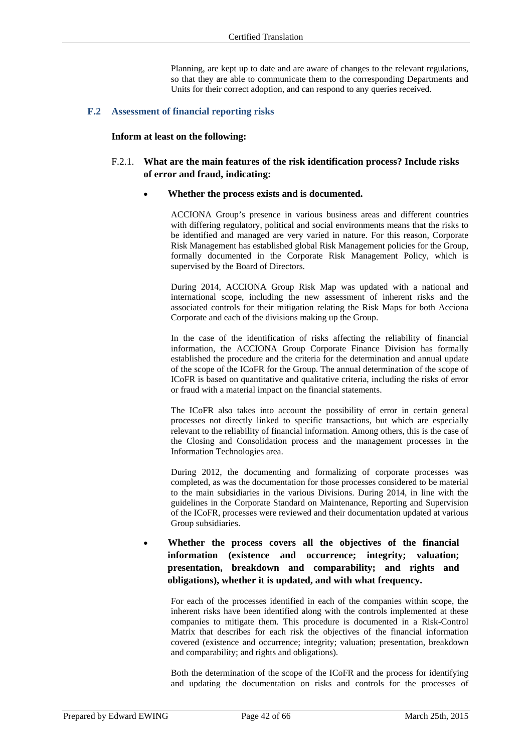Planning, are kept up to date and are aware of changes to the relevant regulations, so that they are able to communicate them to the corresponding Departments and Units for their correct adoption, and can respond to any queries received.

### **F.2 Assessment of financial reporting risks**

### **Inform at least on the following:**

## F.2.1. **What are the main features of the risk identification process? Include risks of error and fraud, indicating:**

### **Whether the process exists and is documented.**

ACCIONA Group's presence in various business areas and different countries with differing regulatory, political and social environments means that the risks to be identified and managed are very varied in nature. For this reason, Corporate Risk Management has established global Risk Management policies for the Group, formally documented in the Corporate Risk Management Policy, which is supervised by the Board of Directors.

During 2014, ACCIONA Group Risk Map was updated with a national and international scope, including the new assessment of inherent risks and the associated controls for their mitigation relating the Risk Maps for both Acciona Corporate and each of the divisions making up the Group.

In the case of the identification of risks affecting the reliability of financial information, the ACCIONA Group Corporate Finance Division has formally established the procedure and the criteria for the determination and annual update of the scope of the ICoFR for the Group. The annual determination of the scope of ICoFR is based on quantitative and qualitative criteria, including the risks of error or fraud with a material impact on the financial statements.

The ICoFR also takes into account the possibility of error in certain general processes not directly linked to specific transactions, but which are especially relevant to the reliability of financial information. Among others, this is the case of the Closing and Consolidation process and the management processes in the Information Technologies area.

During 2012, the documenting and formalizing of corporate processes was completed, as was the documentation for those processes considered to be material to the main subsidiaries in the various Divisions. During 2014, in line with the guidelines in the Corporate Standard on Maintenance, Reporting and Supervision of the ICoFR, processes were reviewed and their documentation updated at various Group subsidiaries.

# **Whether the process covers all the objectives of the financial information (existence and occurrence; integrity; valuation; presentation, breakdown and comparability; and rights and obligations), whether it is updated, and with what frequency.**

For each of the processes identified in each of the companies within scope, the inherent risks have been identified along with the controls implemented at these companies to mitigate them. This procedure is documented in a Risk-Control Matrix that describes for each risk the objectives of the financial information covered (existence and occurrence; integrity; valuation; presentation, breakdown and comparability; and rights and obligations).

Both the determination of the scope of the ICoFR and the process for identifying and updating the documentation on risks and controls for the processes of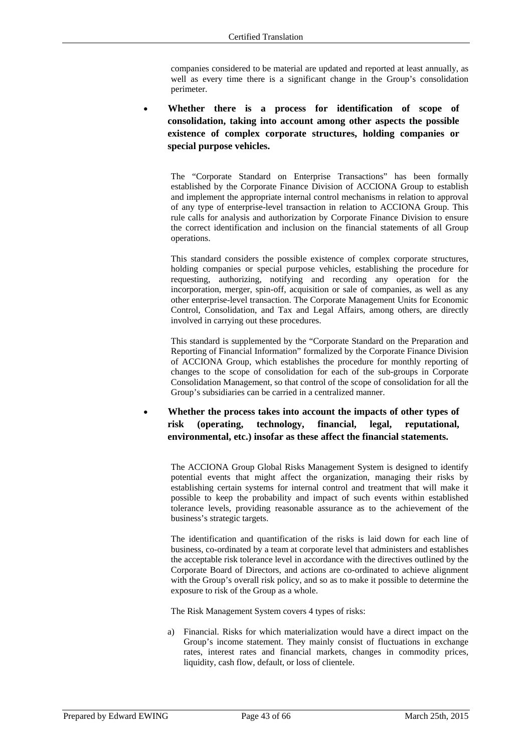companies considered to be material are updated and reported at least annually, as well as every time there is a significant change in the Group's consolidation perimeter.

 **Whether there is a process for identification of scope of consolidation, taking into account among other aspects the possible existence of complex corporate structures, holding companies or special purpose vehicles.** 

The "Corporate Standard on Enterprise Transactions" has been formally established by the Corporate Finance Division of ACCIONA Group to establish and implement the appropriate internal control mechanisms in relation to approval of any type of enterprise-level transaction in relation to ACCIONA Group. This rule calls for analysis and authorization by Corporate Finance Division to ensure the correct identification and inclusion on the financial statements of all Group operations.

This standard considers the possible existence of complex corporate structures, holding companies or special purpose vehicles, establishing the procedure for requesting, authorizing, notifying and recording any operation for the incorporation, merger, spin-off, acquisition or sale of companies, as well as any other enterprise-level transaction. The Corporate Management Units for Economic Control, Consolidation, and Tax and Legal Affairs, among others, are directly involved in carrying out these procedures.

This standard is supplemented by the "Corporate Standard on the Preparation and Reporting of Financial Information" formalized by the Corporate Finance Division of ACCIONA Group, which establishes the procedure for monthly reporting of changes to the scope of consolidation for each of the sub-groups in Corporate Consolidation Management, so that control of the scope of consolidation for all the Group's subsidiaries can be carried in a centralized manner.

 **Whether the process takes into account the impacts of other types of risk (operating, technology, financial, legal, reputational, environmental, etc.) insofar as these affect the financial statements.** 

The ACCIONA Group Global Risks Management System is designed to identify potential events that might affect the organization, managing their risks by establishing certain systems for internal control and treatment that will make it possible to keep the probability and impact of such events within established tolerance levels, providing reasonable assurance as to the achievement of the business's strategic targets.

The identification and quantification of the risks is laid down for each line of business, co-ordinated by a team at corporate level that administers and establishes the acceptable risk tolerance level in accordance with the directives outlined by the Corporate Board of Directors, and actions are co-ordinated to achieve alignment with the Group's overall risk policy, and so as to make it possible to determine the exposure to risk of the Group as a whole.

The Risk Management System covers 4 types of risks:

a) Financial. Risks for which materialization would have a direct impact on the Group's income statement. They mainly consist of fluctuations in exchange rates, interest rates and financial markets, changes in commodity prices, liquidity, cash flow, default, or loss of clientele.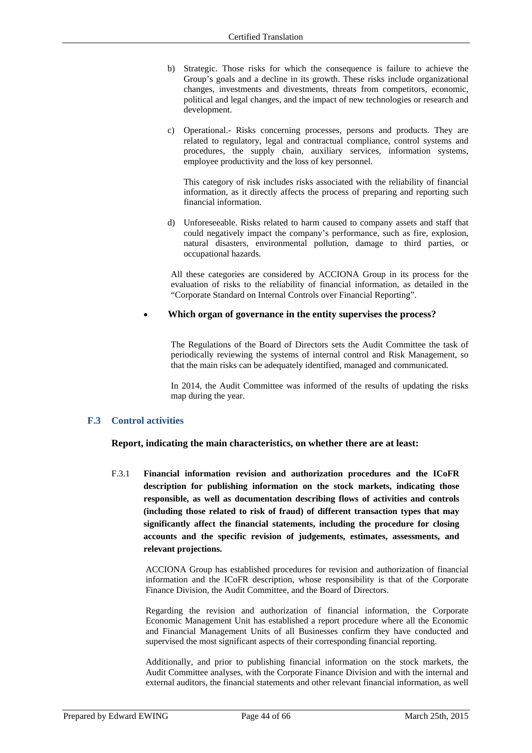- b) Strategic. Those risks for which the consequence is failure to achieve the Group's goals and a decline in its growth. These risks include organizational changes, investments and divestments, threats from competitors, economic, political and legal changes, and the impact of new technologies or research and development.
- c) Operational.- Risks concerning processes, persons and products. They are related to regulatory, legal and contractual compliance, control systems and procedures, the supply chain, auxiliary services, information systems, employee productivity and the loss of key personnel.

This category of risk includes risks associated with the reliability of financial information, as it directly affects the process of preparing and reporting such financial information.

d) Unforeseeable. Risks related to harm caused to company assets and staff that could negatively impact the company's performance, such as fire, explosion, natural disasters, environmental pollution, damage to third parties, or occupational hazards.

All these categories are considered by ACCIONA Group in its process for the evaluation of risks to the reliability of financial information, as detailed in the "Corporate Standard on Internal Controls over Financial Reporting".

### **Which organ of governance in the entity supervises the process?**

The Regulations of the Board of Directors sets the Audit Committee the task of periodically reviewing the systems of internal control and Risk Management, so that the main risks can be adequately identified, managed and communicated.

In 2014, the Audit Committee was informed of the results of updating the risks map during the year.

### **F.3 Control activities**

**Report, indicating the main characteristics, on whether there are at least:** 

F.3.1 **Financial information revision and authorization procedures and the ICoFR description for publishing information on the stock markets, indicating those responsible, as well as documentation describing flows of activities and controls (including those related to risk of fraud) of different transaction types that may significantly affect the financial statements, including the procedure for closing accounts and the specific revision of judgements, estimates, assessments, and relevant projections.**

ACCIONA Group has established procedures for revision and authorization of financial information and the ICoFR description, whose responsibility is that of the Corporate Finance Division, the Audit Committee, and the Board of Directors.

Regarding the revision and authorization of financial information, the Corporate Economic Management Unit has established a report procedure where all the Economic and Financial Management Units of all Businesses confirm they have conducted and supervised the most significant aspects of their corresponding financial reporting.

Additionally, and prior to publishing financial information on the stock markets, the Audit Committee analyses, with the Corporate Finance Division and with the internal and external auditors, the financial statements and other relevant financial information, as well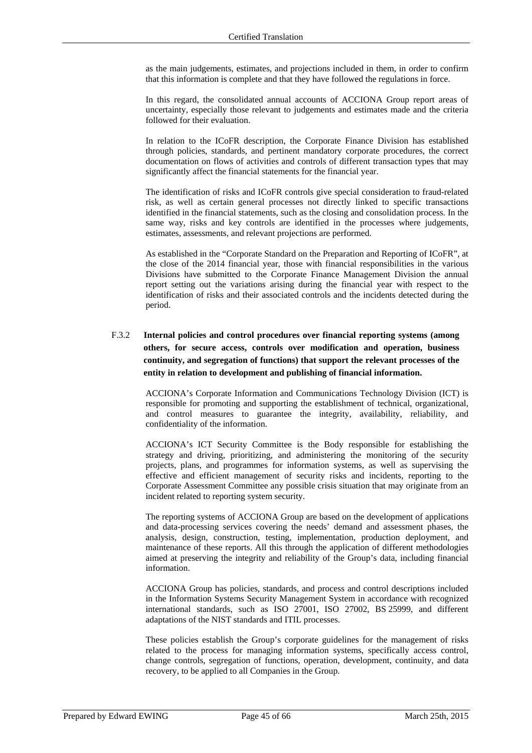as the main judgements, estimates, and projections included in them, in order to confirm that this information is complete and that they have followed the regulations in force.

In this regard, the consolidated annual accounts of ACCIONA Group report areas of uncertainty, especially those relevant to judgements and estimates made and the criteria followed for their evaluation.

In relation to the ICoFR description, the Corporate Finance Division has established through policies, standards, and pertinent mandatory corporate procedures, the correct documentation on flows of activities and controls of different transaction types that may significantly affect the financial statements for the financial year.

The identification of risks and ICoFR controls give special consideration to fraud-related risk, as well as certain general processes not directly linked to specific transactions identified in the financial statements, such as the closing and consolidation process. In the same way, risks and key controls are identified in the processes where judgements, estimates, assessments, and relevant projections are performed.

As established in the "Corporate Standard on the Preparation and Reporting of ICoFR", at the close of the 2014 financial year, those with financial responsibilities in the various Divisions have submitted to the Corporate Finance Management Division the annual report setting out the variations arising during the financial year with respect to the identification of risks and their associated controls and the incidents detected during the period.

# F.3.2 **Internal policies and control procedures over financial reporting systems (among others, for secure access, controls over modification and operation, business continuity, and segregation of functions) that support the relevant processes of the entity in relation to development and publishing of financial information.**

ACCIONA's Corporate Information and Communications Technology Division (ICT) is responsible for promoting and supporting the establishment of technical, organizational, and control measures to guarantee the integrity, availability, reliability, and confidentiality of the information.

ACCIONA's ICT Security Committee is the Body responsible for establishing the strategy and driving, prioritizing, and administering the monitoring of the security projects, plans, and programmes for information systems, as well as supervising the effective and efficient management of security risks and incidents, reporting to the Corporate Assessment Committee any possible crisis situation that may originate from an incident related to reporting system security.

The reporting systems of ACCIONA Group are based on the development of applications and data-processing services covering the needs' demand and assessment phases, the analysis, design, construction, testing, implementation, production deployment, and maintenance of these reports. All this through the application of different methodologies aimed at preserving the integrity and reliability of the Group's data, including financial information.

ACCIONA Group has policies, standards, and process and control descriptions included in the Information Systems Security Management System in accordance with recognized international standards, such as ISO 27001, ISO 27002, BS 25999, and different adaptations of the NIST standards and ITIL processes.

These policies establish the Group's corporate guidelines for the management of risks related to the process for managing information systems, specifically access control, change controls, segregation of functions, operation, development, continuity, and data recovery, to be applied to all Companies in the Group.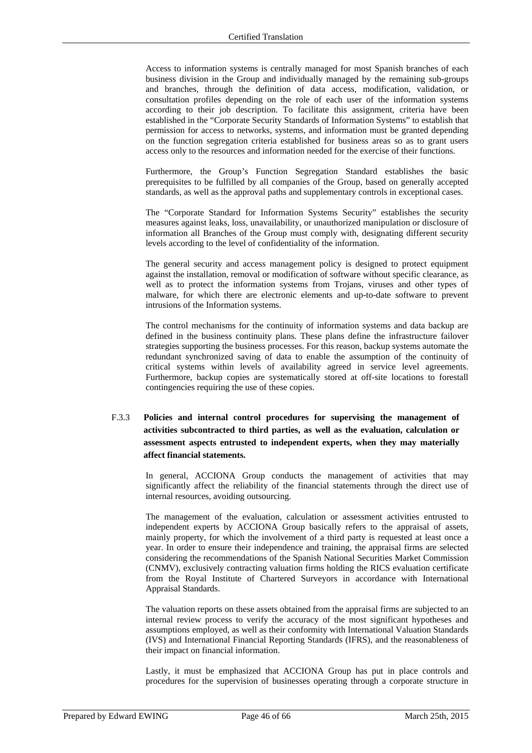Access to information systems is centrally managed for most Spanish branches of each business division in the Group and individually managed by the remaining sub-groups and branches, through the definition of data access, modification, validation, or consultation profiles depending on the role of each user of the information systems according to their job description. To facilitate this assignment, criteria have been established in the "Corporate Security Standards of Information Systems" to establish that permission for access to networks, systems, and information must be granted depending on the function segregation criteria established for business areas so as to grant users access only to the resources and information needed for the exercise of their functions.

Furthermore, the Group's Function Segregation Standard establishes the basic prerequisites to be fulfilled by all companies of the Group, based on generally accepted standards, as well as the approval paths and supplementary controls in exceptional cases.

The "Corporate Standard for Information Systems Security" establishes the security measures against leaks, loss, unavailability, or unauthorized manipulation or disclosure of information all Branches of the Group must comply with, designating different security levels according to the level of confidentiality of the information.

The general security and access management policy is designed to protect equipment against the installation, removal or modification of software without specific clearance, as well as to protect the information systems from Trojans, viruses and other types of malware, for which there are electronic elements and up-to-date software to prevent intrusions of the Information systems.

The control mechanisms for the continuity of information systems and data backup are defined in the business continuity plans. These plans define the infrastructure failover strategies supporting the business processes. For this reason, backup systems automate the redundant synchronized saving of data to enable the assumption of the continuity of critical systems within levels of availability agreed in service level agreements. Furthermore, backup copies are systematically stored at off-site locations to forestall contingencies requiring the use of these copies.

# F.3.3 **Policies and internal control procedures for supervising the management of activities subcontracted to third parties, as well as the evaluation, calculation or assessment aspects entrusted to independent experts, when they may materially affect financial statements.**

In general, ACCIONA Group conducts the management of activities that may significantly affect the reliability of the financial statements through the direct use of internal resources, avoiding outsourcing.

The management of the evaluation, calculation or assessment activities entrusted to independent experts by ACCIONA Group basically refers to the appraisal of assets, mainly property, for which the involvement of a third party is requested at least once a year. In order to ensure their independence and training, the appraisal firms are selected considering the recommendations of the Spanish National Securities Market Commission (CNMV), exclusively contracting valuation firms holding the RICS evaluation certificate from the Royal Institute of Chartered Surveyors in accordance with International Appraisal Standards.

The valuation reports on these assets obtained from the appraisal firms are subjected to an internal review process to verify the accuracy of the most significant hypotheses and assumptions employed, as well as their conformity with International Valuation Standards (IVS) and International Financial Reporting Standards (IFRS), and the reasonableness of their impact on financial information.

Lastly, it must be emphasized that ACCIONA Group has put in place controls and procedures for the supervision of businesses operating through a corporate structure in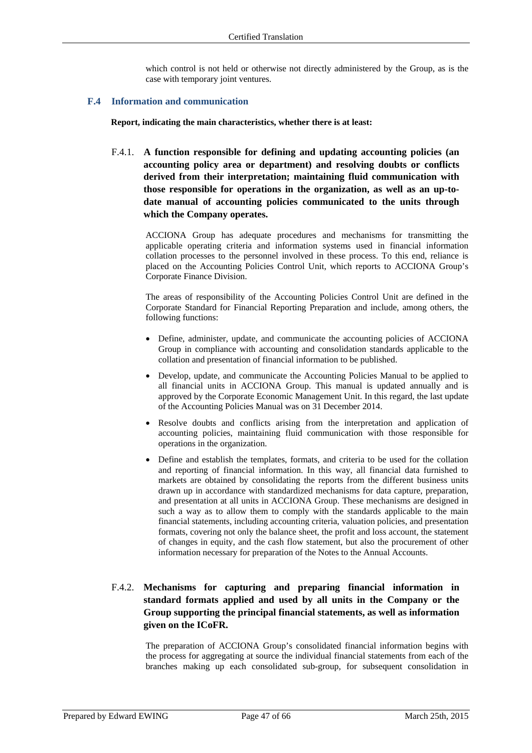which control is not held or otherwise not directly administered by the Group, as is the case with temporary joint ventures.

### **F.4 Information and communication**

**Report, indicating the main characteristics, whether there is at least:** 

F.4.1. **A function responsible for defining and updating accounting policies (an accounting policy area or department) and resolving doubts or conflicts derived from their interpretation; maintaining fluid communication with those responsible for operations in the organization, as well as an up-todate manual of accounting policies communicated to the units through which the Company operates.** 

ACCIONA Group has adequate procedures and mechanisms for transmitting the applicable operating criteria and information systems used in financial information collation processes to the personnel involved in these process. To this end, reliance is placed on the Accounting Policies Control Unit, which reports to ACCIONA Group's Corporate Finance Division.

The areas of responsibility of the Accounting Policies Control Unit are defined in the Corporate Standard for Financial Reporting Preparation and include, among others, the following functions:

- Define, administer, update, and communicate the accounting policies of ACCIONA Group in compliance with accounting and consolidation standards applicable to the collation and presentation of financial information to be published.
- Develop, update, and communicate the Accounting Policies Manual to be applied to all financial units in ACCIONA Group. This manual is updated annually and is approved by the Corporate Economic Management Unit. In this regard, the last update of the Accounting Policies Manual was on 31 December 2014.
- Resolve doubts and conflicts arising from the interpretation and application of accounting policies, maintaining fluid communication with those responsible for operations in the organization.
- Define and establish the templates, formats, and criteria to be used for the collation and reporting of financial information. In this way, all financial data furnished to markets are obtained by consolidating the reports from the different business units drawn up in accordance with standardized mechanisms for data capture, preparation, and presentation at all units in ACCIONA Group. These mechanisms are designed in such a way as to allow them to comply with the standards applicable to the main financial statements, including accounting criteria, valuation policies, and presentation formats, covering not only the balance sheet, the profit and loss account, the statement of changes in equity, and the cash flow statement, but also the procurement of other information necessary for preparation of the Notes to the Annual Accounts.

# F.4.2. **Mechanisms for capturing and preparing financial information in standard formats applied and used by all units in the Company or the Group supporting the principal financial statements, as well as information given on the ICoFR.**

The preparation of ACCIONA Group's consolidated financial information begins with the process for aggregating at source the individual financial statements from each of the branches making up each consolidated sub-group, for subsequent consolidation in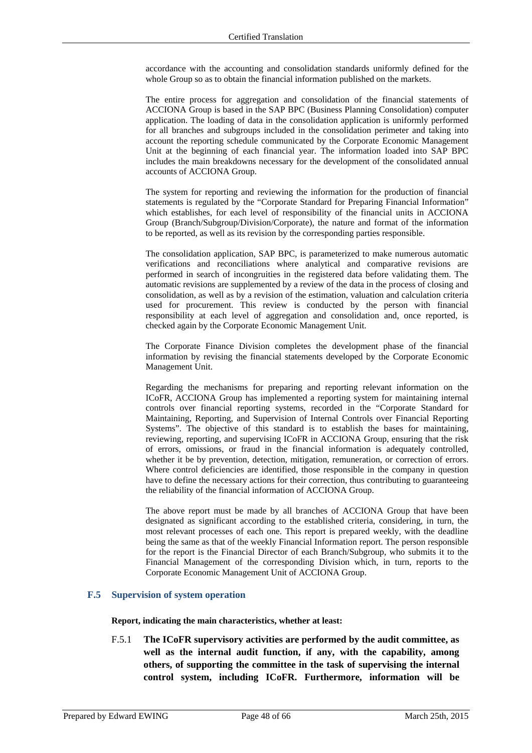accordance with the accounting and consolidation standards uniformly defined for the whole Group so as to obtain the financial information published on the markets.

The entire process for aggregation and consolidation of the financial statements of ACCIONA Group is based in the SAP BPC (Business Planning Consolidation) computer application. The loading of data in the consolidation application is uniformly performed for all branches and subgroups included in the consolidation perimeter and taking into account the reporting schedule communicated by the Corporate Economic Management Unit at the beginning of each financial year. The information loaded into SAP BPC includes the main breakdowns necessary for the development of the consolidated annual accounts of ACCIONA Group.

The system for reporting and reviewing the information for the production of financial statements is regulated by the "Corporate Standard for Preparing Financial Information" which establishes, for each level of responsibility of the financial units in ACCIONA Group (Branch/Subgroup/Division/Corporate), the nature and format of the information to be reported, as well as its revision by the corresponding parties responsible.

The consolidation application, SAP BPC, is parameterized to make numerous automatic verifications and reconciliations where analytical and comparative revisions are performed in search of incongruities in the registered data before validating them. The automatic revisions are supplemented by a review of the data in the process of closing and consolidation, as well as by a revision of the estimation, valuation and calculation criteria used for procurement. This review is conducted by the person with financial responsibility at each level of aggregation and consolidation and, once reported, is checked again by the Corporate Economic Management Unit.

The Corporate Finance Division completes the development phase of the financial information by revising the financial statements developed by the Corporate Economic Management Unit.

Regarding the mechanisms for preparing and reporting relevant information on the ICoFR, ACCIONA Group has implemented a reporting system for maintaining internal controls over financial reporting systems, recorded in the "Corporate Standard for Maintaining, Reporting, and Supervision of Internal Controls over Financial Reporting Systems". The objective of this standard is to establish the bases for maintaining, reviewing, reporting, and supervising ICoFR in ACCIONA Group, ensuring that the risk of errors, omissions, or fraud in the financial information is adequately controlled, whether it be by prevention, detection, mitigation, remuneration, or correction of errors. Where control deficiencies are identified, those responsible in the company in question have to define the necessary actions for their correction, thus contributing to guaranteeing the reliability of the financial information of ACCIONA Group.

The above report must be made by all branches of ACCIONA Group that have been designated as significant according to the established criteria, considering, in turn, the most relevant processes of each one. This report is prepared weekly, with the deadline being the same as that of the weekly Financial Information report. The person responsible for the report is the Financial Director of each Branch/Subgroup, who submits it to the Financial Management of the corresponding Division which, in turn, reports to the Corporate Economic Management Unit of ACCIONA Group.

### **F.5 Supervision of system operation**

**Report, indicating the main characteristics, whether at least:** 

F.5.1 **The ICoFR supervisory activities are performed by the audit committee, as well as the internal audit function, if any, with the capability, among others, of supporting the committee in the task of supervising the internal control system, including ICoFR. Furthermore, information will be**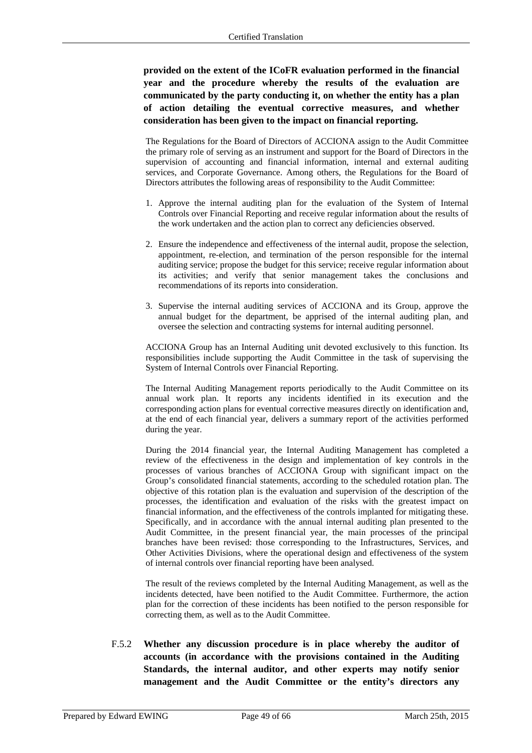**provided on the extent of the ICoFR evaluation performed in the financial year and the procedure whereby the results of the evaluation are communicated by the party conducting it, on whether the entity has a plan of action detailing the eventual corrective measures, and whether consideration has been given to the impact on financial reporting.** 

The Regulations for the Board of Directors of ACCIONA assign to the Audit Committee the primary role of serving as an instrument and support for the Board of Directors in the supervision of accounting and financial information, internal and external auditing services, and Corporate Governance. Among others, the Regulations for the Board of Directors attributes the following areas of responsibility to the Audit Committee:

- 1. Approve the internal auditing plan for the evaluation of the System of Internal Controls over Financial Reporting and receive regular information about the results of the work undertaken and the action plan to correct any deficiencies observed.
- 2. Ensure the independence and effectiveness of the internal audit, propose the selection, appointment, re-election, and termination of the person responsible for the internal auditing service; propose the budget for this service; receive regular information about its activities; and verify that senior management takes the conclusions and recommendations of its reports into consideration.
- 3. Supervise the internal auditing services of ACCIONA and its Group, approve the annual budget for the department, be apprised of the internal auditing plan, and oversee the selection and contracting systems for internal auditing personnel.

ACCIONA Group has an Internal Auditing unit devoted exclusively to this function. Its responsibilities include supporting the Audit Committee in the task of supervising the System of Internal Controls over Financial Reporting.

The Internal Auditing Management reports periodically to the Audit Committee on its annual work plan. It reports any incidents identified in its execution and the corresponding action plans for eventual corrective measures directly on identification and, at the end of each financial year, delivers a summary report of the activities performed during the year.

During the 2014 financial year, the Internal Auditing Management has completed a review of the effectiveness in the design and implementation of key controls in the processes of various branches of ACCIONA Group with significant impact on the Group's consolidated financial statements, according to the scheduled rotation plan. The objective of this rotation plan is the evaluation and supervision of the description of the processes, the identification and evaluation of the risks with the greatest impact on financial information, and the effectiveness of the controls implanted for mitigating these. Specifically, and in accordance with the annual internal auditing plan presented to the Audit Committee, in the present financial year, the main processes of the principal branches have been revised: those corresponding to the Infrastructures, Services, and Other Activities Divisions, where the operational design and effectiveness of the system of internal controls over financial reporting have been analysed.

The result of the reviews completed by the Internal Auditing Management, as well as the incidents detected, have been notified to the Audit Committee. Furthermore, the action plan for the correction of these incidents has been notified to the person responsible for correcting them, as well as to the Audit Committee.

F.5.2 **Whether any discussion procedure is in place whereby the auditor of accounts (in accordance with the provisions contained in the Auditing Standards, the internal auditor, and other experts may notify senior management and the Audit Committee or the entity's directors any**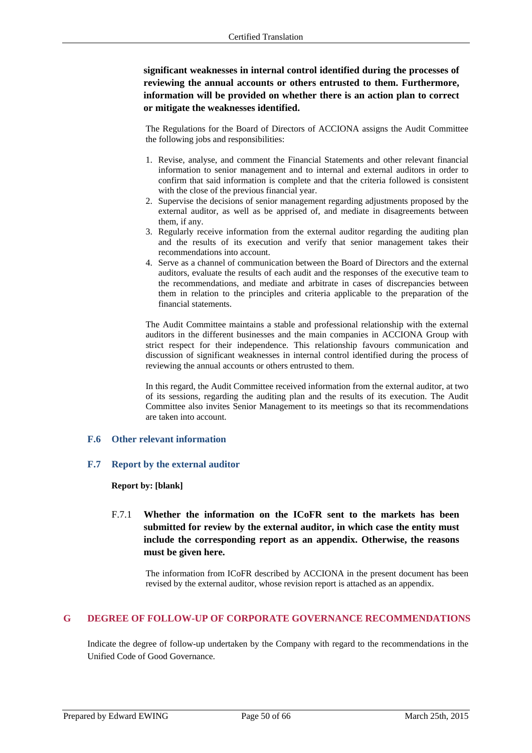**significant weaknesses in internal control identified during the processes of reviewing the annual accounts or others entrusted to them. Furthermore, information will be provided on whether there is an action plan to correct or mitigate the weaknesses identified.** 

The Regulations for the Board of Directors of ACCIONA assigns the Audit Committee the following jobs and responsibilities:

- 1. Revise, analyse, and comment the Financial Statements and other relevant financial information to senior management and to internal and external auditors in order to confirm that said information is complete and that the criteria followed is consistent with the close of the previous financial year.
- 2. Supervise the decisions of senior management regarding adjustments proposed by the external auditor, as well as be apprised of, and mediate in disagreements between them, if any.
- 3. Regularly receive information from the external auditor regarding the auditing plan and the results of its execution and verify that senior management takes their recommendations into account.
- 4. Serve as a channel of communication between the Board of Directors and the external auditors, evaluate the results of each audit and the responses of the executive team to the recommendations, and mediate and arbitrate in cases of discrepancies between them in relation to the principles and criteria applicable to the preparation of the financial statements.

The Audit Committee maintains a stable and professional relationship with the external auditors in the different businesses and the main companies in ACCIONA Group with strict respect for their independence. This relationship favours communication and discussion of significant weaknesses in internal control identified during the process of reviewing the annual accounts or others entrusted to them.

In this regard, the Audit Committee received information from the external auditor, at two of its sessions, regarding the auditing plan and the results of its execution. The Audit Committee also invites Senior Management to its meetings so that its recommendations are taken into account.

### **F.6 Other relevant information**

### **F.7 Report by the external auditor**

### **Report by: [blank]**

F.7.1 **Whether the information on the ICoFR sent to the markets has been submitted for review by the external auditor, in which case the entity must include the corresponding report as an appendix. Otherwise, the reasons must be given here.** 

The information from ICoFR described by ACCIONA in the present document has been revised by the external auditor, whose revision report is attached as an appendix.

### **G DEGREE OF FOLLOW-UP OF CORPORATE GOVERNANCE RECOMMENDATIONS**

Indicate the degree of follow-up undertaken by the Company with regard to the recommendations in the Unified Code of Good Governance.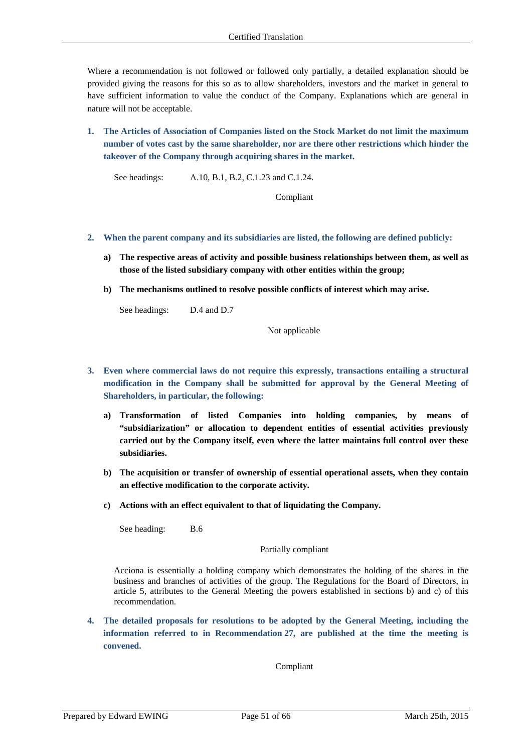Where a recommendation is not followed or followed only partially, a detailed explanation should be provided giving the reasons for this so as to allow shareholders, investors and the market in general to have sufficient information to value the conduct of the Company. Explanations which are general in nature will not be acceptable.

**1. The Articles of Association of Companies listed on the Stock Market do not limit the maximum number of votes cast by the same shareholder, nor are there other restrictions which hinder the takeover of the Company through acquiring shares in the market.** 

See headings: A.10, B.1, B.2, C.1.23 and C.1.24.

Compliant

- **2. When the parent company and its subsidiaries are listed, the following are defined publicly:** 
	- **a) The respective areas of activity and possible business relationships between them, as well as those of the listed subsidiary company with other entities within the group;**
	- **b) The mechanisms outlined to resolve possible conflicts of interest which may arise.**

See headings: D.4 and D.7

Not applicable

- **3. Even where commercial laws do not require this expressly, transactions entailing a structural modification in the Company shall be submitted for approval by the General Meeting of Shareholders, in particular, the following:** 
	- **a) Transformation of listed Companies into holding companies, by means of "subsidiarization" or allocation to dependent entities of essential activities previously carried out by the Company itself, even where the latter maintains full control over these subsidiaries.**
	- **b) The acquisition or transfer of ownership of essential operational assets, when they contain an effective modification to the corporate activity.**
	- **c) Actions with an effect equivalent to that of liquidating the Company.**

See heading: B.6

Partially compliant

Acciona is essentially a holding company which demonstrates the holding of the shares in the business and branches of activities of the group. The Regulations for the Board of Directors, in article 5, attributes to the General Meeting the powers established in sections b) and c) of this recommendation.

**4. The detailed proposals for resolutions to be adopted by the General Meeting, including the information referred to in Recommendation 27, are published at the time the meeting is convened.** 

Compliant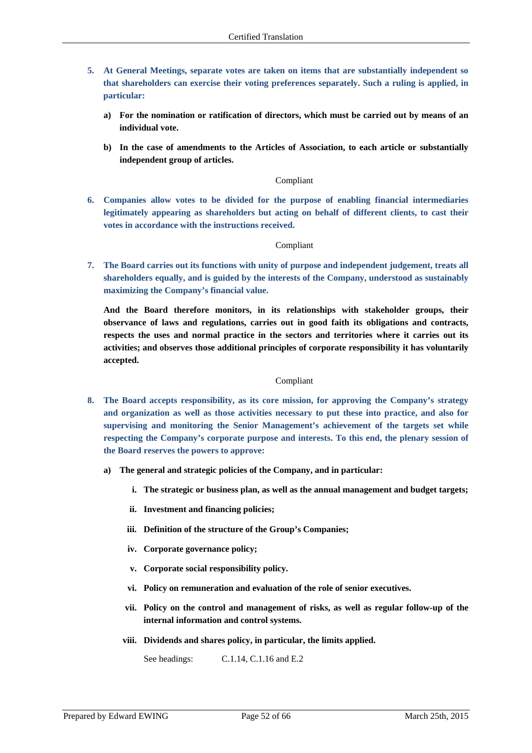- **5. At General Meetings, separate votes are taken on items that are substantially independent so that shareholders can exercise their voting preferences separately. Such a ruling is applied, in particular:** 
	- **a) For the nomination or ratification of directors, which must be carried out by means of an individual vote.**
	- **b) In the case of amendments to the Articles of Association, to each article or substantially independent group of articles.**

### Compliant

**6. Companies allow votes to be divided for the purpose of enabling financial intermediaries legitimately appearing as shareholders but acting on behalf of different clients, to cast their votes in accordance with the instructions received.** 

### Compliant

**7. The Board carries out its functions with unity of purpose and independent judgement, treats all shareholders equally, and is guided by the interests of the Company, understood as sustainably maximizing the Company's financial value.** 

**And the Board therefore monitors, in its relationships with stakeholder groups, their observance of laws and regulations, carries out in good faith its obligations and contracts, respects the uses and normal practice in the sectors and territories where it carries out its activities; and observes those additional principles of corporate responsibility it has voluntarily accepted.** 

### Compliant

- **8. The Board accepts responsibility, as its core mission, for approving the Company's strategy and organization as well as those activities necessary to put these into practice, and also for supervising and monitoring the Senior Management's achievement of the targets set while respecting the Company's corporate purpose and interests. To this end, the plenary session of the Board reserves the powers to approve:** 
	- **a) The general and strategic policies of the Company, and in particular:** 
		- **i. The strategic or business plan, as well as the annual management and budget targets;**
		- **ii. Investment and financing policies;**
		- **iii. Definition of the structure of the Group's Companies;**
		- **iv. Corporate governance policy;**
		- **v. Corporate social responsibility policy.**
		- **vi. Policy on remuneration and evaluation of the role of senior executives.**
		- **vii. Policy on the control and management of risks, as well as regular follow-up of the internal information and control systems.**
		- **viii. Dividends and shares policy, in particular, the limits applied.**

See headings: C.1.14, C.1.16 and E.2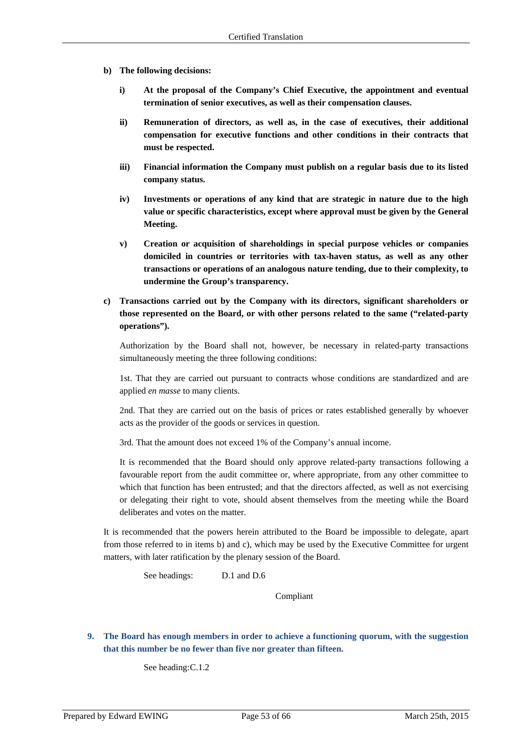- **b) The following decisions:** 
	- **i) At the proposal of the Company's Chief Executive, the appointment and eventual termination of senior executives, as well as their compensation clauses.**
	- **ii) Remuneration of directors, as well as, in the case of executives, their additional compensation for executive functions and other conditions in their contracts that must be respected.**
	- **iii) Financial information the Company must publish on a regular basis due to its listed company status.**
	- **iv) Investments or operations of any kind that are strategic in nature due to the high value or specific characteristics, except where approval must be given by the General Meeting.**
	- **v) Creation or acquisition of shareholdings in special purpose vehicles or companies domiciled in countries or territories with tax-haven status, as well as any other transactions or operations of an analogous nature tending, due to their complexity, to undermine the Group's transparency.**
- **c) Transactions carried out by the Company with its directors, significant shareholders or those represented on the Board, or with other persons related to the same ("related-party operations").**

Authorization by the Board shall not, however, be necessary in related-party transactions simultaneously meeting the three following conditions:

1st. That they are carried out pursuant to contracts whose conditions are standardized and are applied *en masse* to many clients.

2nd. That they are carried out on the basis of prices or rates established generally by whoever acts as the provider of the goods or services in question.

3rd. That the amount does not exceed 1% of the Company's annual income.

It is recommended that the Board should only approve related-party transactions following a favourable report from the audit committee or, where appropriate, from any other committee to which that function has been entrusted; and that the directors affected, as well as not exercising or delegating their right to vote, should absent themselves from the meeting while the Board deliberates and votes on the matter.

It is recommended that the powers herein attributed to the Board be impossible to delegate, apart from those referred to in items b) and c), which may be used by the Executive Committee for urgent matters, with later ratification by the plenary session of the Board.

See headings: D.1 and D.6

Compliant

**9. The Board has enough members in order to achieve a functioning quorum, with the suggestion that this number be no fewer than five nor greater than fifteen.** 

See heading: C.1.2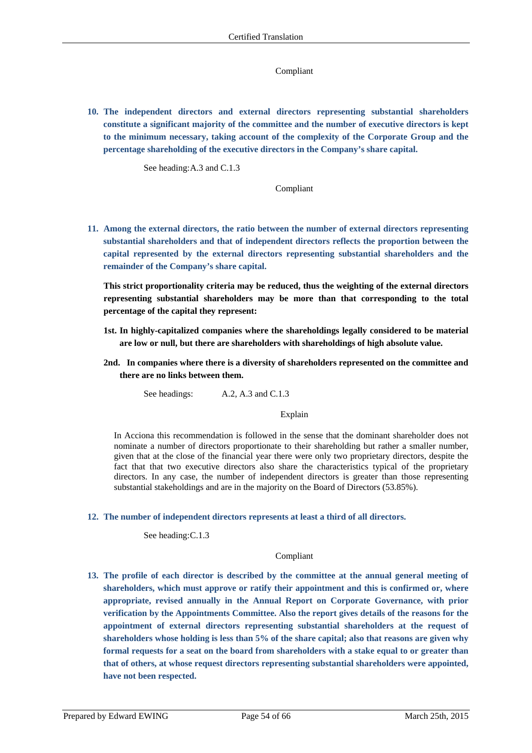### Compliant

**10. The independent directors and external directors representing substantial shareholders constitute a significant majority of the committee and the number of executive directors is kept to the minimum necessary, taking account of the complexity of the Corporate Group and the percentage shareholding of the executive directors in the Company's share capital.** 

See heading: A.3 and C.1.3

Compliant

**11. Among the external directors, the ratio between the number of external directors representing substantial shareholders and that of independent directors reflects the proportion between the capital represented by the external directors representing substantial shareholders and the remainder of the Company's share capital.** 

**This strict proportionality criteria may be reduced, thus the weighting of the external directors representing substantial shareholders may be more than that corresponding to the total percentage of the capital they represent:** 

- **1st. In highly-capitalized companies where the shareholdings legally considered to be material are low or null, but there are shareholders with shareholdings of high absolute value.**
- **2nd. In companies where there is a diversity of shareholders represented on the committee and there are no links between them.**

See headings: A.2, A.3 and C.1.3

### Explain

In Acciona this recommendation is followed in the sense that the dominant shareholder does not nominate a number of directors proportionate to their shareholding but rather a smaller number, given that at the close of the financial year there were only two proprietary directors, despite the fact that that two executive directors also share the characteristics typical of the proprietary directors. In any case, the number of independent directors is greater than those representing substantial stakeholdings and are in the majority on the Board of Directors (53.85%).

**12. The number of independent directors represents at least a third of all directors.** 

See heading: C.1.3

### Compliant

**13. The profile of each director is described by the committee at the annual general meeting of shareholders, which must approve or ratify their appointment and this is confirmed or, where appropriate, revised annually in the Annual Report on Corporate Governance, with prior verification by the Appointments Committee. Also the report gives details of the reasons for the appointment of external directors representing substantial shareholders at the request of shareholders whose holding is less than 5% of the share capital; also that reasons are given why formal requests for a seat on the board from shareholders with a stake equal to or greater than that of others, at whose request directors representing substantial shareholders were appointed, have not been respected.**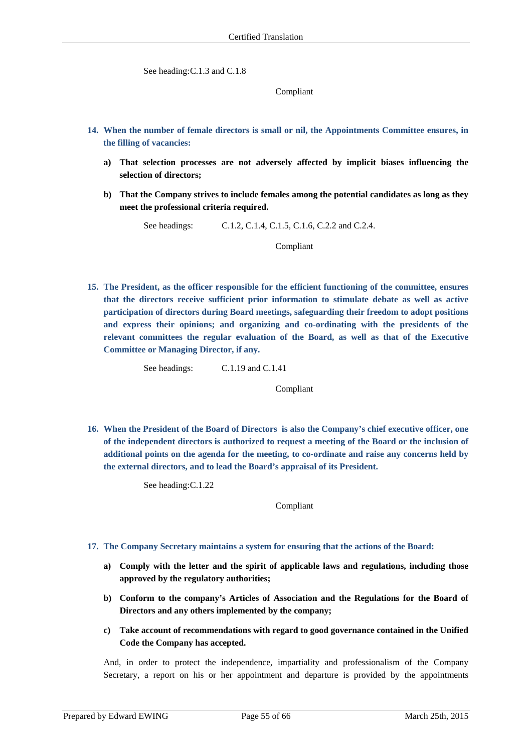See heading: C.1.3 and C.1.8

Compliant

- **14. When the number of female directors is small or nil, the Appointments Committee ensures, in the filling of vacancies:** 
	- **a) That selection processes are not adversely affected by implicit biases influencing the selection of directors;**
	- **b) That the Company strives to include females among the potential candidates as long as they meet the professional criteria required.**

See headings: C.1.2, C.1.4, C.1.5, C.1.6, C.2.2 and C.2.4.

Compliant

**15. The President, as the officer responsible for the efficient functioning of the committee, ensures that the directors receive sufficient prior information to stimulate debate as well as active participation of directors during Board meetings, safeguarding their freedom to adopt positions and express their opinions; and organizing and co-ordinating with the presidents of the relevant committees the regular evaluation of the Board, as well as that of the Executive Committee or Managing Director, if any.** 

See headings: C.1.19 and C.1.41

Compliant

**16. When the President of the Board of Directors is also the Company's chief executive officer, one of the independent directors is authorized to request a meeting of the Board or the inclusion of additional points on the agenda for the meeting, to co-ordinate and raise any concerns held by the external directors, and to lead the Board's appraisal of its President.** 

See heading: C.1.22

Compliant

- **17. The Company Secretary maintains a system for ensuring that the actions of the Board:** 
	- **a) Comply with the letter and the spirit of applicable laws and regulations, including those approved by the regulatory authorities;**
	- **b) Conform to the company's Articles of Association and the Regulations for the Board of Directors and any others implemented by the company;**
	- **c) Take account of recommendations with regard to good governance contained in the Unified Code the Company has accepted.**

And, in order to protect the independence, impartiality and professionalism of the Company Secretary, a report on his or her appointment and departure is provided by the appointments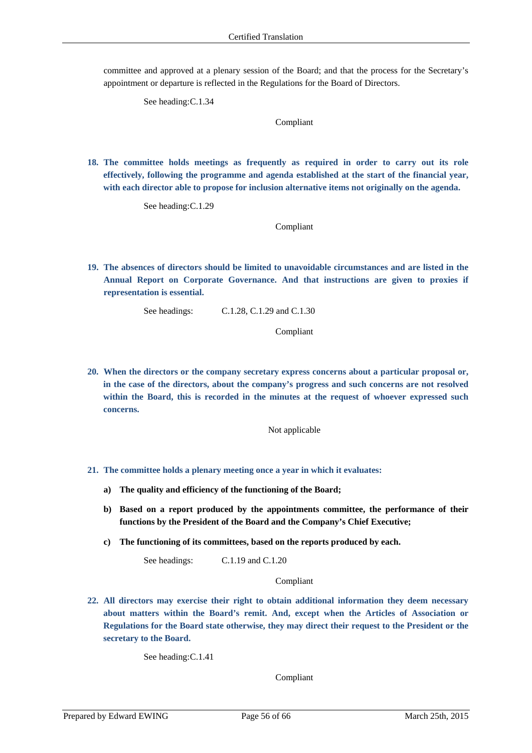committee and approved at a plenary session of the Board; and that the process for the Secretary's appointment or departure is reflected in the Regulations for the Board of Directors.

See heading: C.1.34

Compliant

**18. The committee holds meetings as frequently as required in order to carry out its role effectively, following the programme and agenda established at the start of the financial year, with each director able to propose for inclusion alternative items not originally on the agenda.** 

See heading: C.1.29

Compliant

**19. The absences of directors should be limited to unavoidable circumstances and are listed in the Annual Report on Corporate Governance. And that instructions are given to proxies if representation is essential.** 

See headings: C.1.28, C.1.29 and C.1.30

Compliant

**20. When the directors or the company secretary express concerns about a particular proposal or, in the case of the directors, about the company's progress and such concerns are not resolved within the Board, this is recorded in the minutes at the request of whoever expressed such concerns.** 

Not applicable

- **21. The committee holds a plenary meeting once a year in which it evaluates:** 
	- **a) The quality and efficiency of the functioning of the Board;**
	- **b) Based on a report produced by the appointments committee, the performance of their functions by the President of the Board and the Company's Chief Executive;**
	- **c) The functioning of its committees, based on the reports produced by each.**

See headings: C.1.19 and C.1.20

Compliant

**22. All directors may exercise their right to obtain additional information they deem necessary about matters within the Board's remit. And, except when the Articles of Association or Regulations for the Board state otherwise, they may direct their request to the President or the secretary to the Board.** 

See heading: C.1.41

Compliant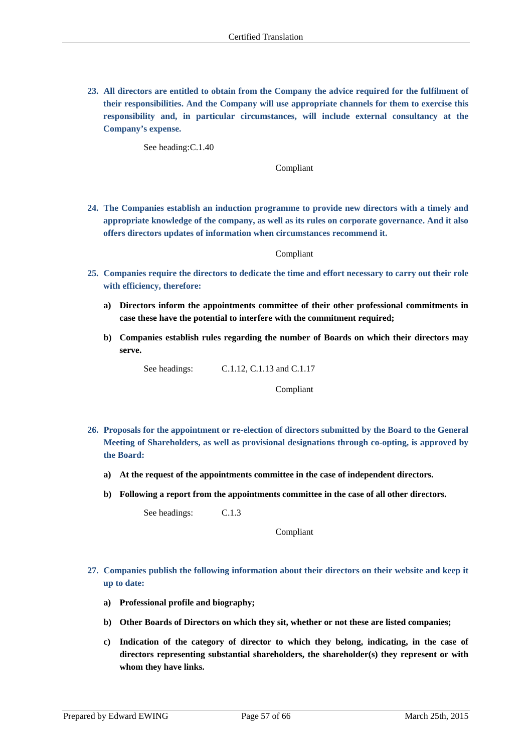**23. All directors are entitled to obtain from the Company the advice required for the fulfilment of their responsibilities. And the Company will use appropriate channels for them to exercise this responsibility and, in particular circumstances, will include external consultancy at the Company's expense.** 

See heading: C.1.40

Compliant

**24. The Companies establish an induction programme to provide new directors with a timely and appropriate knowledge of the company, as well as its rules on corporate governance. And it also offers directors updates of information when circumstances recommend it.** 

#### Compliant

- **25. Companies require the directors to dedicate the time and effort necessary to carry out their role with efficiency, therefore:** 
	- **a) Directors inform the appointments committee of their other professional commitments in case these have the potential to interfere with the commitment required;**
	- **b) Companies establish rules regarding the number of Boards on which their directors may serve.**

See headings: C.1.12, C.1.13 and C.1.17

Compliant

- **26. Proposals for the appointment or re-election of directors submitted by the Board to the General Meeting of Shareholders, as well as provisional designations through co-opting, is approved by the Board:** 
	- **a) At the request of the appointments committee in the case of independent directors.**
	- **b) Following a report from the appointments committee in the case of all other directors.**

See headings: C.1.3

Compliant

- **27. Companies publish the following information about their directors on their website and keep it up to date:** 
	- **a) Professional profile and biography;**
	- **b) Other Boards of Directors on which they sit, whether or not these are listed companies;**
	- **c) Indication of the category of director to which they belong, indicating, in the case of directors representing substantial shareholders, the shareholder(s) they represent or with whom they have links.**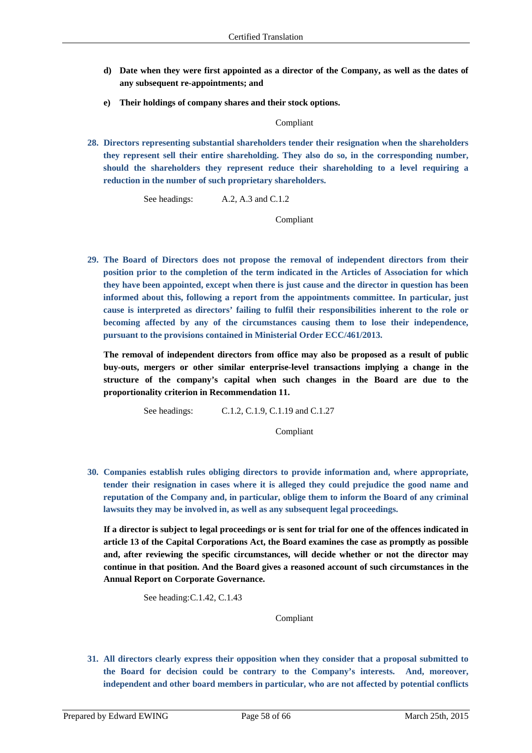- **d) Date when they were first appointed as a director of the Company, as well as the dates of any subsequent re-appointments; and**
- **e) Their holdings of company shares and their stock options.**

### Compliant

**28. Directors representing substantial shareholders tender their resignation when the shareholders they represent sell their entire shareholding. They also do so, in the corresponding number, should the shareholders they represent reduce their shareholding to a level requiring a reduction in the number of such proprietary shareholders.** 

See headings: A.2, A.3 and C.1.2

Compliant

**29. The Board of Directors does not propose the removal of independent directors from their position prior to the completion of the term indicated in the Articles of Association for which they have been appointed, except when there is just cause and the director in question has been informed about this, following a report from the appointments committee. In particular, just cause is interpreted as directors' failing to fulfil their responsibilities inherent to the role or becoming affected by any of the circumstances causing them to lose their independence, pursuant to the provisions contained in Ministerial Order ECC/461/2013.** 

**The removal of independent directors from office may also be proposed as a result of public buy-outs, mergers or other similar enterprise-level transactions implying a change in the structure of the company's capital when such changes in the Board are due to the proportionality criterion in Recommendation 11.** 

See headings: C.1.2, C.1.9, C.1.19 and C.1.27

Compliant

**30. Companies establish rules obliging directors to provide information and, where appropriate, tender their resignation in cases where it is alleged they could prejudice the good name and reputation of the Company and, in particular, oblige them to inform the Board of any criminal lawsuits they may be involved in, as well as any subsequent legal proceedings.** 

**If a director is subject to legal proceedings or is sent for trial for one of the offences indicated in article 13 of the Capital Corporations Act, the Board examines the case as promptly as possible and, after reviewing the specific circumstances, will decide whether or not the director may continue in that position. And the Board gives a reasoned account of such circumstances in the Annual Report on Corporate Governance.** 

See heading: C.1.42, C.1.43

Compliant

**31. All directors clearly express their opposition when they consider that a proposal submitted to the Board for decision could be contrary to the Company's interests. And, moreover, independent and other board members in particular, who are not affected by potential conflicts**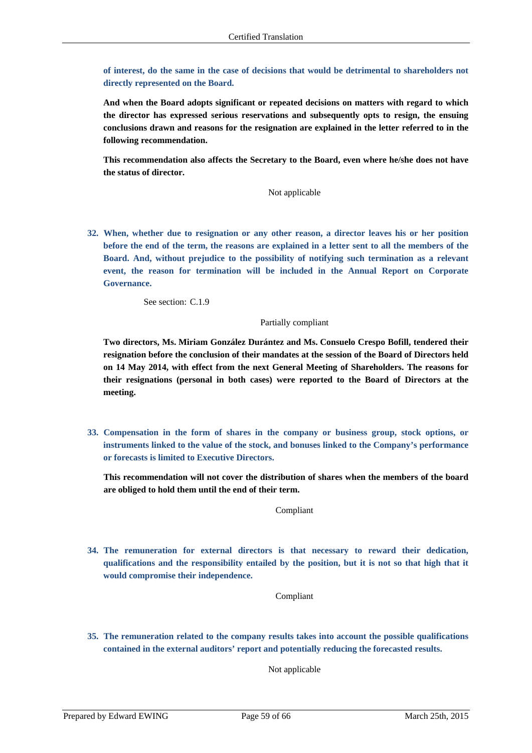**of interest, do the same in the case of decisions that would be detrimental to shareholders not directly represented on the Board.** 

**And when the Board adopts significant or repeated decisions on matters with regard to which the director has expressed serious reservations and subsequently opts to resign, the ensuing conclusions drawn and reasons for the resignation are explained in the letter referred to in the following recommendation.** 

**This recommendation also affects the Secretary to the Board, even where he/she does not have the status of director.** 

Not applicable

**32. When, whether due to resignation or any other reason, a director leaves his or her position before the end of the term, the reasons are explained in a letter sent to all the members of the Board. And, without prejudice to the possibility of notifying such termination as a relevant event, the reason for termination will be included in the Annual Report on Corporate Governance.** 

See section: C.1.9

### Partially compliant

**Two directors, Ms. Miriam González Durántez and Ms. Consuelo Crespo Bofill, tendered their resignation before the conclusion of their mandates at the session of the Board of Directors held on 14 May 2014, with effect from the next General Meeting of Shareholders. The reasons for their resignations (personal in both cases) were reported to the Board of Directors at the meeting.** 

**33. Compensation in the form of shares in the company or business group, stock options, or instruments linked to the value of the stock, and bonuses linked to the Company's performance or forecasts is limited to Executive Directors.** 

**This recommendation will not cover the distribution of shares when the members of the board are obliged to hold them until the end of their term.** 

Compliant

**34. The remuneration for external directors is that necessary to reward their dedication, qualifications and the responsibility entailed by the position, but it is not so that high that it would compromise their independence.** 

Compliant

**35. The remuneration related to the company results takes into account the possible qualifications contained in the external auditors' report and potentially reducing the forecasted results.** 

Not applicable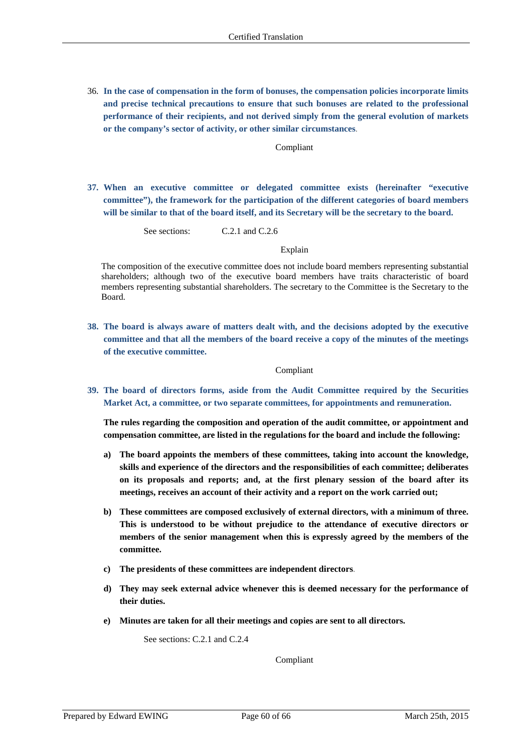36. **In the case of compensation in the form of bonuses, the compensation policies incorporate limits and precise technical precautions to ensure that such bonuses are related to the professional performance of their recipients, and not derived simply from the general evolution of markets or the company's sector of activity, or other similar circumstances**.

#### Compliant

**37. When an executive committee or delegated committee exists (hereinafter "executive committee"), the framework for the participation of the different categories of board members will be similar to that of the board itself, and its Secretary will be the secretary to the board.** 

See sections: C.2.1 and C.2.6

Explain

The composition of the executive committee does not include board members representing substantial shareholders; although two of the executive board members have traits characteristic of board members representing substantial shareholders. The secretary to the Committee is the Secretary to the Board.

**38. The board is always aware of matters dealt with, and the decisions adopted by the executive committee and that all the members of the board receive a copy of the minutes of the meetings of the executive committee.** 

#### Compliant

**39. The board of directors forms, aside from the Audit Committee required by the Securities Market Act, a committee, or two separate committees, for appointments and remuneration.** 

**The rules regarding the composition and operation of the audit committee, or appointment and compensation committee, are listed in the regulations for the board and include the following:** 

- **a) The board appoints the members of these committees, taking into account the knowledge, skills and experience of the directors and the responsibilities of each committee; deliberates on its proposals and reports; and, at the first plenary session of the board after its meetings, receives an account of their activity and a report on the work carried out;**
- **b) These committees are composed exclusively of external directors, with a minimum of three. This is understood to be without prejudice to the attendance of executive directors or members of the senior management when this is expressly agreed by the members of the committee.**
- **c) The presidents of these committees are independent directors**.
- **d) They may seek external advice whenever this is deemed necessary for the performance of their duties.**
- **e) Minutes are taken for all their meetings and copies are sent to all directors.**

See sections: C.2.1 and C.2.4

Compliant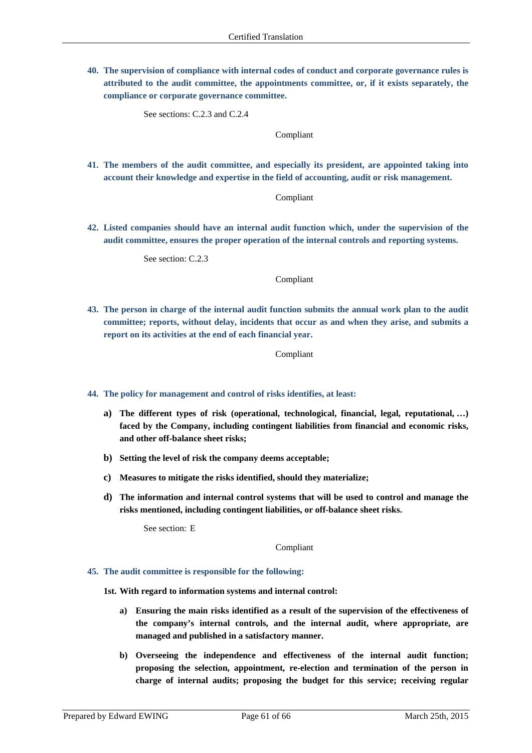**40. The supervision of compliance with internal codes of conduct and corporate governance rules is attributed to the audit committee, the appointments committee, or, if it exists separately, the compliance or corporate governance committee.** 

See sections: C.2.3 and C.2.4

Compliant

**41. The members of the audit committee, and especially its president, are appointed taking into account their knowledge and expertise in the field of accounting, audit or risk management.** 

Compliant

**42. Listed companies should have an internal audit function which, under the supervision of the audit committee, ensures the proper operation of the internal controls and reporting systems.** 

See section: C.2.3

Compliant

**43. The person in charge of the internal audit function submits the annual work plan to the audit committee; reports, without delay, incidents that occur as and when they arise, and submits a report on its activities at the end of each financial year.** 

Compliant

- **44. The policy for management and control of risks identifies, at least:** 
	- **a) The different types of risk (operational, technological, financial, legal, reputational, …) faced by the Company, including contingent liabilities from financial and economic risks, and other off-balance sheet risks;**
	- **b) Setting the level of risk the company deems acceptable;**
	- **c) Measures to mitigate the risks identified, should they materialize;**
	- **d) The information and internal control systems that will be used to control and manage the risks mentioned, including contingent liabilities, or off-balance sheet risks.**

See section: E

Compliant

#### **45. The audit committee is responsible for the following:**

**1st. With regard to information systems and internal control:** 

- **a) Ensuring the main risks identified as a result of the supervision of the effectiveness of the company's internal controls, and the internal audit, where appropriate, are managed and published in a satisfactory manner.**
- **b) Overseeing the independence and effectiveness of the internal audit function; proposing the selection, appointment, re-election and termination of the person in charge of internal audits; proposing the budget for this service; receiving regular**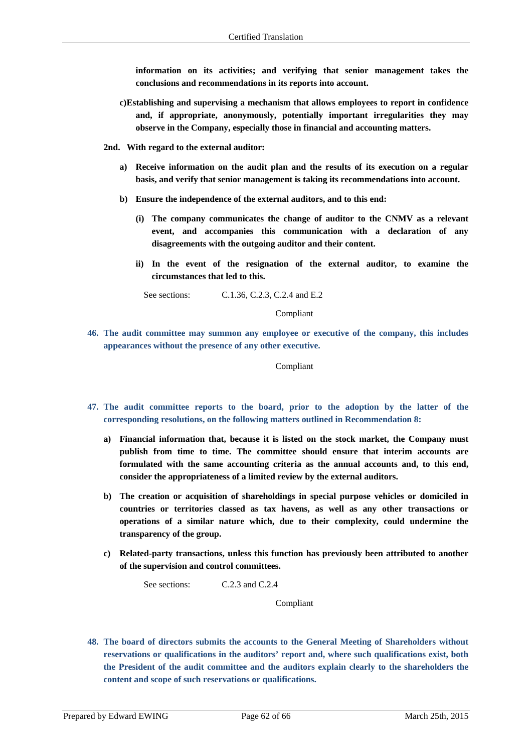**information on its activities; and verifying that senior management takes the conclusions and recommendations in its reports into account.** 

- **c)Establishing and supervising a mechanism that allows employees to report in confidence and, if appropriate, anonymously, potentially important irregularities they may observe in the Company, especially those in financial and accounting matters.**
- **2nd. With regard to the external auditor:** 
	- **a) Receive information on the audit plan and the results of its execution on a regular basis, and verify that senior management is taking its recommendations into account.**
	- **b) Ensure the independence of the external auditors, and to this end:** 
		- **(i) The company communicates the change of auditor to the CNMV as a relevant event, and accompanies this communication with a declaration of any disagreements with the outgoing auditor and their content.**
		- **ii) In the event of the resignation of the external auditor, to examine the circumstances that led to this.**

See sections: C.1.36, C.2.3, C.2.4 and E.2

Compliant

**46. The audit committee may summon any employee or executive of the company, this includes appearances without the presence of any other executive.** 

Compliant

- **47. The audit committee reports to the board, prior to the adoption by the latter of the corresponding resolutions, on the following matters outlined in Recommendation 8:** 
	- **a) Financial information that, because it is listed on the stock market, the Company must publish from time to time. The committee should ensure that interim accounts are formulated with the same accounting criteria as the annual accounts and, to this end, consider the appropriateness of a limited review by the external auditors.**
	- **b) The creation or acquisition of shareholdings in special purpose vehicles or domiciled in countries or territories classed as tax havens, as well as any other transactions or operations of a similar nature which, due to their complexity, could undermine the transparency of the group.**
	- **c) Related-party transactions, unless this function has previously been attributed to another of the supervision and control committees.**

See sections: C.2.3 and C.2.4

Compliant

**48. The board of directors submits the accounts to the General Meeting of Shareholders without reservations or qualifications in the auditors' report and, where such qualifications exist, both the President of the audit committee and the auditors explain clearly to the shareholders the content and scope of such reservations or qualifications.**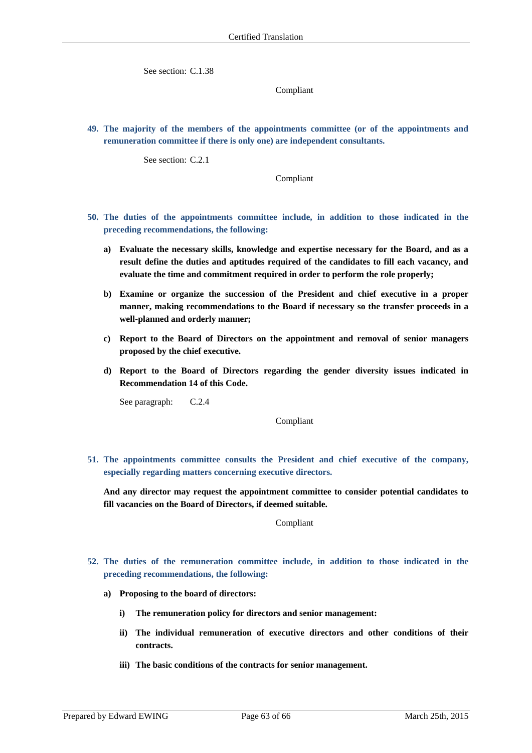See section: C.1.38

Compliant

**49. The majority of the members of the appointments committee (or of the appointments and remuneration committee if there is only one) are independent consultants.** 

See section: C.2.1

Compliant

- **50. The duties of the appointments committee include, in addition to those indicated in the preceding recommendations, the following:** 
	- **a) Evaluate the necessary skills, knowledge and expertise necessary for the Board, and as a result define the duties and aptitudes required of the candidates to fill each vacancy, and evaluate the time and commitment required in order to perform the role properly;**
	- **b) Examine or organize the succession of the President and chief executive in a proper manner, making recommendations to the Board if necessary so the transfer proceeds in a well-planned and orderly manner;**
	- **c) Report to the Board of Directors on the appointment and removal of senior managers proposed by the chief executive.**
	- **d) Report to the Board of Directors regarding the gender diversity issues indicated in Recommendation 14 of this Code.**

See paragraph: C.2.4

Compliant

**51. The appointments committee consults the President and chief executive of the company, especially regarding matters concerning executive directors.** 

**And any director may request the appointment committee to consider potential candidates to fill vacancies on the Board of Directors, if deemed suitable.** 

Compliant

- **52. The duties of the remuneration committee include, in addition to those indicated in the preceding recommendations, the following:** 
	- **a) Proposing to the board of directors:** 
		- **i) The remuneration policy for directors and senior management:**
		- **ii) The individual remuneration of executive directors and other conditions of their contracts.**
		- **iii) The basic conditions of the contracts for senior management.**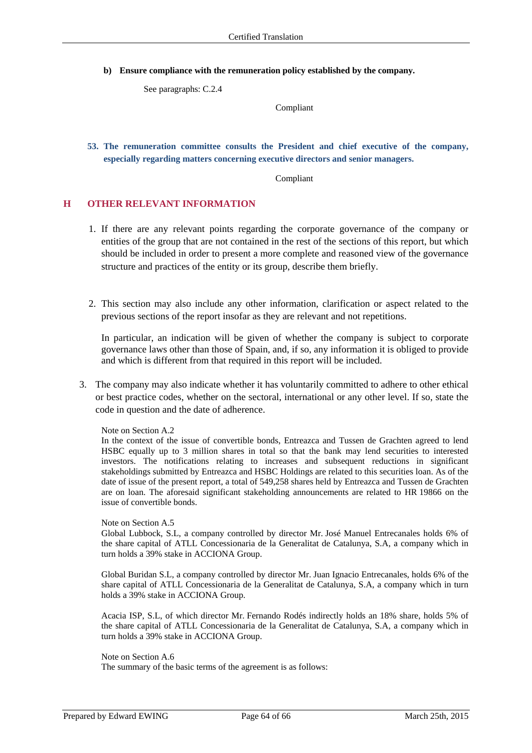**b) Ensure compliance with the remuneration policy established by the company.** 

See paragraphs: C.2.4

Compliant

**53. The remuneration committee consults the President and chief executive of the company, especially regarding matters concerning executive directors and senior managers.** 

Compliant

### **H OTHER RELEVANT INFORMATION**

- 1. If there are any relevant points regarding the corporate governance of the company or entities of the group that are not contained in the rest of the sections of this report, but which should be included in order to present a more complete and reasoned view of the governance structure and practices of the entity or its group, describe them briefly.
- 2. This section may also include any other information, clarification or aspect related to the previous sections of the report insofar as they are relevant and not repetitions.

In particular, an indication will be given of whether the company is subject to corporate governance laws other than those of Spain, and, if so, any information it is obliged to provide and which is different from that required in this report will be included.

3. The company may also indicate whether it has voluntarily committed to adhere to other ethical or best practice codes, whether on the sectoral, international or any other level. If so, state the code in question and the date of adherence.

### Note on Section A.2

In the context of the issue of convertible bonds, Entreazca and Tussen de Grachten agreed to lend HSBC equally up to 3 million shares in total so that the bank may lend securities to interested investors. The notifications relating to increases and subsequent reductions in significant stakeholdings submitted by Entreazca and HSBC Holdings are related to this securities loan. As of the date of issue of the present report, a total of 549,258 shares held by Entreazca and Tussen de Grachten are on loan. The aforesaid significant stakeholding announcements are related to HR 19866 on the issue of convertible bonds.

### Note on Section A.5

Global Lubbock, S.L, a company controlled by director Mr. José Manuel Entrecanales holds 6% of the share capital of ATLL Concessionaria de la Generalitat de Catalunya, S.A, a company which in turn holds a 39% stake in ACCIONA Group.

Global Buridan S.L, a company controlled by director Mr. Juan Ignacio Entrecanales, holds 6% of the share capital of ATLL Concessionaria de la Generalitat de Catalunya, S.A, a company which in turn holds a 39% stake in ACCIONA Group.

Acacia ISP, S.L, of which director Mr. Fernando Rodés indirectly holds an 18% share, holds 5% of the share capital of ATLL Concessionaria de la Generalitat de Catalunya, S.A, a company which in turn holds a 39% stake in ACCIONA Group.

### Note on Section A.6

The summary of the basic terms of the agreement is as follows: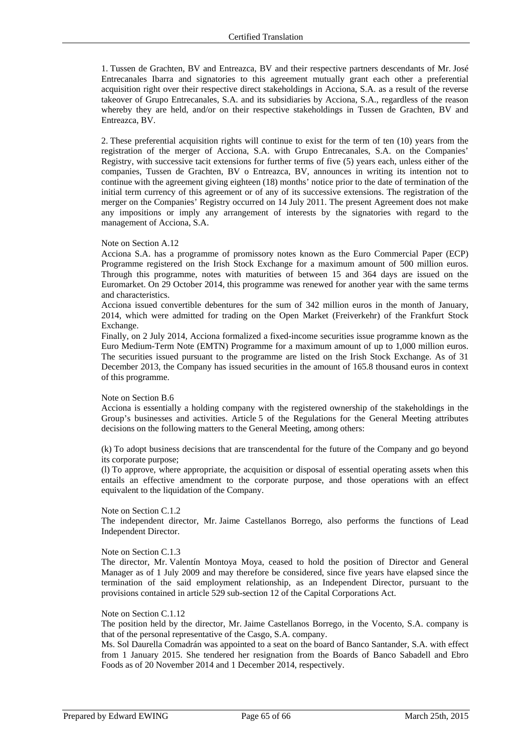1. Tussen de Grachten, BV and Entreazca, BV and their respective partners descendants of Mr. José Entrecanales Ibarra and signatories to this agreement mutually grant each other a preferential acquisition right over their respective direct stakeholdings in Acciona, S.A. as a result of the reverse takeover of Grupo Entrecanales, S.A. and its subsidiaries by Acciona, S.A., regardless of the reason whereby they are held, and/or on their respective stakeholdings in Tussen de Grachten, BV and Entreazca, BV.

2. These preferential acquisition rights will continue to exist for the term of ten (10) years from the registration of the merger of Acciona, S.A. with Grupo Entrecanales, S.A. on the Companies' Registry, with successive tacit extensions for further terms of five (5) years each, unless either of the companies, Tussen de Grachten, BV o Entreazca, BV, announces in writing its intention not to continue with the agreement giving eighteen (18) months' notice prior to the date of termination of the initial term currency of this agreement or of any of its successive extensions. The registration of the merger on the Companies' Registry occurred on 14 July 2011. The present Agreement does not make any impositions or imply any arrangement of interests by the signatories with regard to the management of Acciona, S.A.

### Note on Section A.12

Acciona S.A. has a programme of promissory notes known as the Euro Commercial Paper (ECP) Programme registered on the Irish Stock Exchange for a maximum amount of 500 million euros. Through this programme, notes with maturities of between 15 and 364 days are issued on the Euromarket. On 29 October 2014, this programme was renewed for another year with the same terms and characteristics.

Acciona issued convertible debentures for the sum of 342 million euros in the month of January, 2014, which were admitted for trading on the Open Market (Freiverkehr) of the Frankfurt Stock Exchange.

Finally, on 2 July 2014, Acciona formalized a fixed-income securities issue programme known as the Euro Medium-Term Note (EMTN) Programme for a maximum amount of up to 1,000 million euros. The securities issued pursuant to the programme are listed on the Irish Stock Exchange. As of 31 December 2013, the Company has issued securities in the amount of 165.8 thousand euros in context of this programme.

#### Note on Section B.6

Acciona is essentially a holding company with the registered ownership of the stakeholdings in the Group's businesses and activities. Article 5 of the Regulations for the General Meeting attributes decisions on the following matters to the General Meeting, among others:

(k) To adopt business decisions that are transcendental for the future of the Company and go beyond its corporate purpose;

(l) To approve, where appropriate, the acquisition or disposal of essential operating assets when this entails an effective amendment to the corporate purpose, and those operations with an effect equivalent to the liquidation of the Company.

### Note on Section C.1.2

The independent director, Mr. Jaime Castellanos Borrego, also performs the functions of Lead Independent Director.

### Note on Section C.1.3

The director, Mr. Valentín Montoya Moya, ceased to hold the position of Director and General Manager as of 1 July 2009 and may therefore be considered, since five years have elapsed since the termination of the said employment relationship, as an Independent Director, pursuant to the provisions contained in article 529 sub-section 12 of the Capital Corporations Act.

#### Note on Section C.1.12

The position held by the director, Mr. Jaime Castellanos Borrego, in the Vocento, S.A. company is that of the personal representative of the Casgo, S.A. company.

Ms. Sol Daurella Comadrán was appointed to a seat on the board of Banco Santander, S.A. with effect from 1 January 2015. She tendered her resignation from the Boards of Banco Sabadell and Ebro Foods as of 20 November 2014 and 1 December 2014, respectively.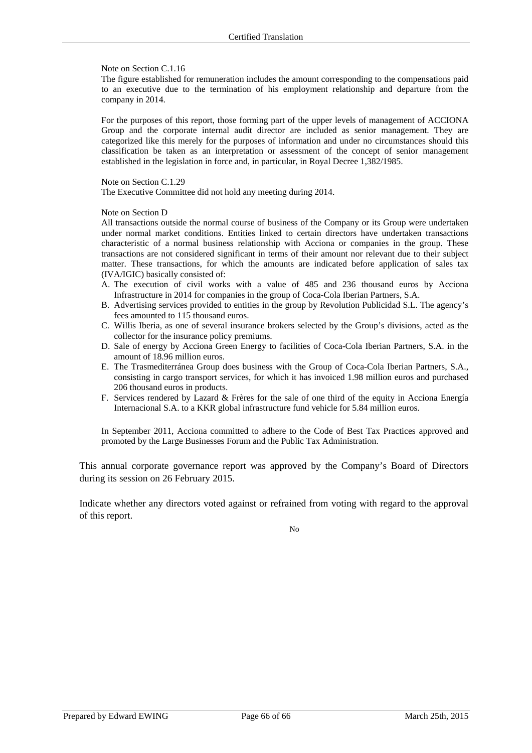### Note on Section C.1.16

The figure established for remuneration includes the amount corresponding to the compensations paid to an executive due to the termination of his employment relationship and departure from the company in 2014.

For the purposes of this report, those forming part of the upper levels of management of ACCIONA Group and the corporate internal audit director are included as senior management. They are categorized like this merely for the purposes of information and under no circumstances should this classification be taken as an interpretation or assessment of the concept of senior management established in the legislation in force and, in particular, in Royal Decree 1,382/1985.

### Note on Section C.1.29

The Executive Committee did not hold any meeting during 2014.

### Note on Section D

All transactions outside the normal course of business of the Company or its Group were undertaken under normal market conditions. Entities linked to certain directors have undertaken transactions characteristic of a normal business relationship with Acciona or companies in the group. These transactions are not considered significant in terms of their amount nor relevant due to their subject matter. These transactions, for which the amounts are indicated before application of sales tax (IVA/IGIC) basically consisted of:

- A. The execution of civil works with a value of 485 and 236 thousand euros by Acciona Infrastructure in 2014 for companies in the group of Coca-Cola Iberian Partners, S.A.
- B. Advertising services provided to entities in the group by Revolution Publicidad S.L. The agency's fees amounted to 115 thousand euros.
- C. Willis Iberia, as one of several insurance brokers selected by the Group's divisions, acted as the collector for the insurance policy premiums.
- D. Sale of energy by Acciona Green Energy to facilities of Coca-Cola Iberian Partners, S.A. in the amount of 18.96 million euros.
- E. The Trasmediterránea Group does business with the Group of Coca-Cola Iberian Partners, S.A., consisting in cargo transport services, for which it has invoiced 1.98 million euros and purchased 206 thousand euros in products.
- F. Services rendered by Lazard & Frères for the sale of one third of the equity in Acciona Energía Internacional S.A. to a KKR global infrastructure fund vehicle for 5.84 million euros.

In September 2011, Acciona committed to adhere to the Code of Best Tax Practices approved and promoted by the Large Businesses Forum and the Public Tax Administration.

This annual corporate governance report was approved by the Company's Board of Directors during its session on 26 February 2015.

Indicate whether any directors voted against or refrained from voting with regard to the approval of this report.

No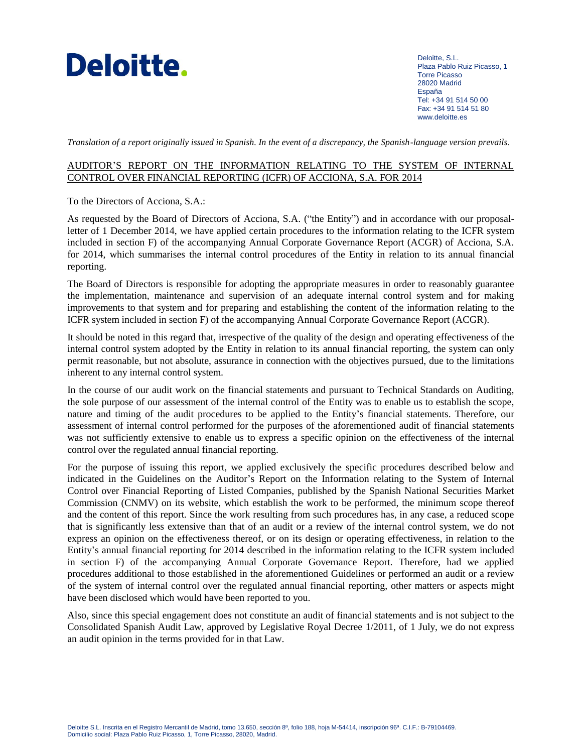

Deloitte, S.L. Plaza Pablo Ruiz Picasso, 1 Torre Picasso 28020 Madrid España Tel: +34 91 514 50 00 Fax: +34 91 514 51 80 [www.deloitte.es](http://www.deloitte.com/)

*Translation of a report originally issued in Spanish. In the event of a discrepancy, the Spanish-language version prevails.*

### AUDITOR'S REPORT ON THE INFORMATION RELATING TO THE SYSTEM OF INTERNAL CONTROL OVER FINANCIAL REPORTING (ICFR) OF ACCIONA, S.A. FOR 2014

To the Directors of Acciona, S.A.:

As requested by the Board of Directors of Acciona, S.A. ("the Entity") and in accordance with our proposalletter of 1 December 2014, we have applied certain procedures to the information relating to the ICFR system included in section F) of the accompanying Annual Corporate Governance Report (ACGR) of Acciona, S.A. for 2014, which summarises the internal control procedures of the Entity in relation to its annual financial reporting.

The Board of Directors is responsible for adopting the appropriate measures in order to reasonably guarantee the implementation, maintenance and supervision of an adequate internal control system and for making improvements to that system and for preparing and establishing the content of the information relating to the ICFR system included in section F) of the accompanying Annual Corporate Governance Report (ACGR).

It should be noted in this regard that, irrespective of the quality of the design and operating effectiveness of the internal control system adopted by the Entity in relation to its annual financial reporting, the system can only permit reasonable, but not absolute, assurance in connection with the objectives pursued, due to the limitations inherent to any internal control system.

In the course of our audit work on the financial statements and pursuant to Technical Standards on Auditing, the sole purpose of our assessment of the internal control of the Entity was to enable us to establish the scope, nature and timing of the audit procedures to be applied to the Entity's financial statements. Therefore, our assessment of internal control performed for the purposes of the aforementioned audit of financial statements was not sufficiently extensive to enable us to express a specific opinion on the effectiveness of the internal control over the regulated annual financial reporting.

For the purpose of issuing this report, we applied exclusively the specific procedures described below and indicated in the Guidelines on the Auditor's Report on the Information relating to the System of Internal Control over Financial Reporting of Listed Companies, published by the Spanish National Securities Market Commission (CNMV) on its website, which establish the work to be performed, the minimum scope thereof and the content of this report. Since the work resulting from such procedures has, in any case, a reduced scope that is significantly less extensive than that of an audit or a review of the internal control system, we do not express an opinion on the effectiveness thereof, or on its design or operating effectiveness, in relation to the Entity's annual financial reporting for 2014 described in the information relating to the ICFR system included in section F) of the accompanying Annual Corporate Governance Report. Therefore, had we applied procedures additional to those established in the aforementioned Guidelines or performed an audit or a review of the system of internal control over the regulated annual financial reporting, other matters or aspects might have been disclosed which would have been reported to you.

Also, since this special engagement does not constitute an audit of financial statements and is not subject to the Consolidated Spanish Audit Law, approved by Legislative Royal Decree 1/2011, of 1 July, we do not express an audit opinion in the terms provided for in that Law.